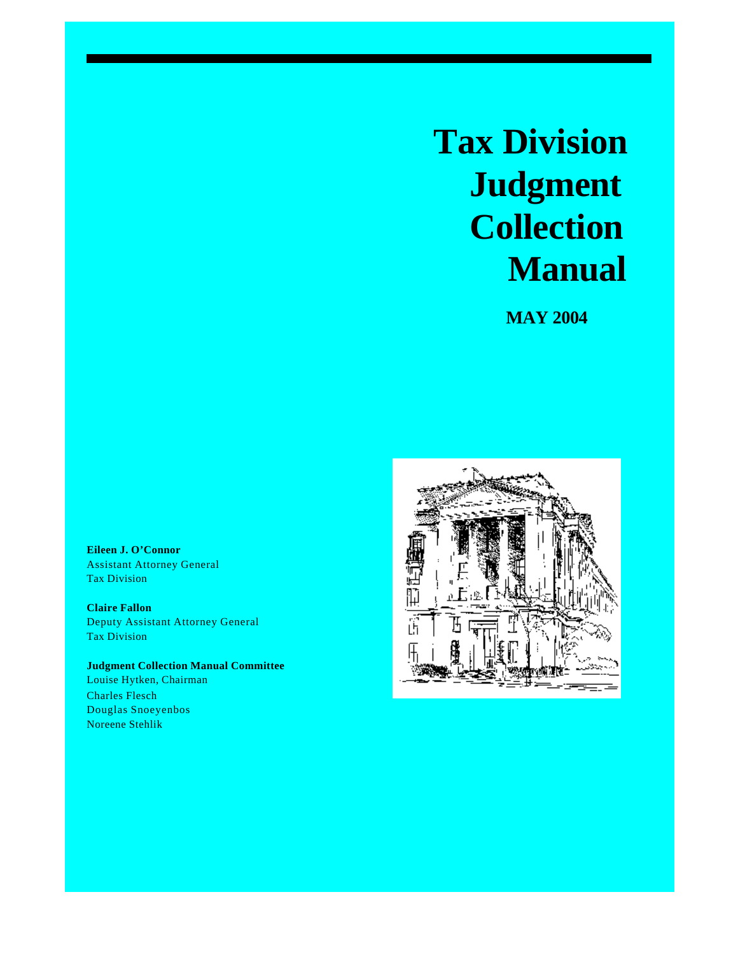# **Tax Division Judgment Collection Manual**

 **MAY 2004**

**Eileen J. O'Connor** Assistant Attorney General Tax Division

**Claire Fallon** Deputy Assistant Attorney General Tax Division

**Judgment Collection Manual Committee** Louise Hytken, Chairman Charles Flesch Douglas Snoeyenbos Noreene Stehlik

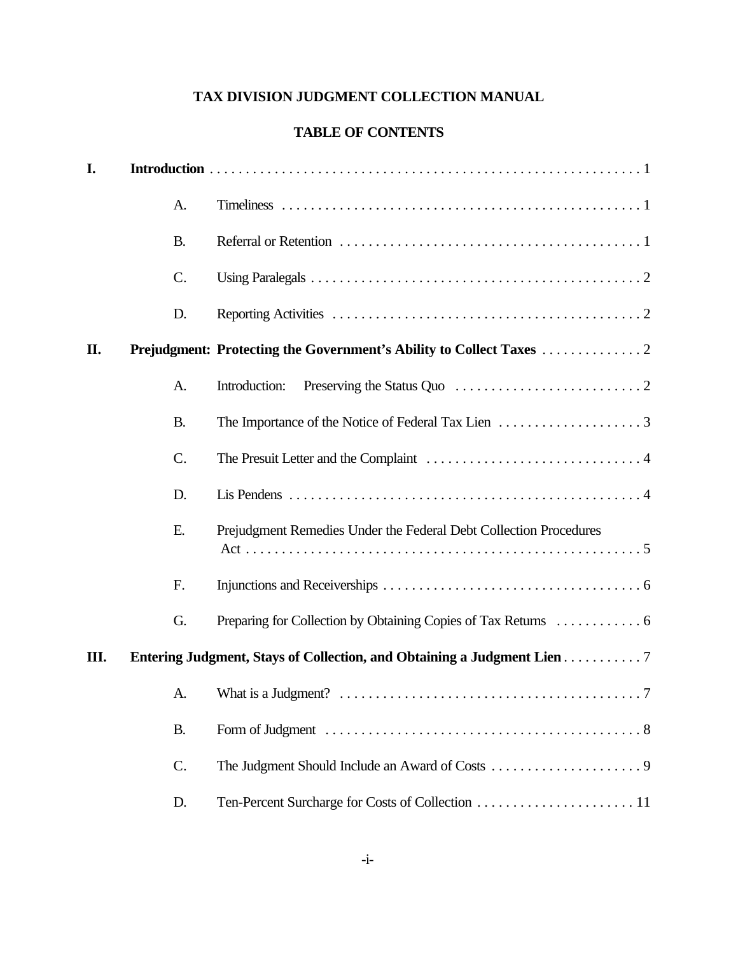# **TAX DIVISION JUDGMENT COLLECTION MANUAL**

# **TABLE OF CONTENTS**

| I. |           |                                                                                   |
|----|-----------|-----------------------------------------------------------------------------------|
|    | A.        |                                                                                   |
|    | <b>B.</b> |                                                                                   |
|    | C.        |                                                                                   |
|    | D.        |                                                                                   |
| П. |           |                                                                                   |
|    | A.        | Introduction:                                                                     |
|    | <b>B.</b> |                                                                                   |
|    | C.        |                                                                                   |
|    | D.        |                                                                                   |
|    | Ε.        | Prejudgment Remedies Under the Federal Debt Collection Procedures                 |
|    | F.        |                                                                                   |
|    | G.        |                                                                                   |
| Ш. |           | Entering Judgment, Stays of Collection, and Obtaining a Judgment Lien 7           |
|    |           |                                                                                   |
|    | <b>B.</b> | Form of Judgment $\dots\dots\dots\dots\dots\dots\dots\dots\dots\dots\dots\dots 8$ |
|    | C.        |                                                                                   |
|    | D.        |                                                                                   |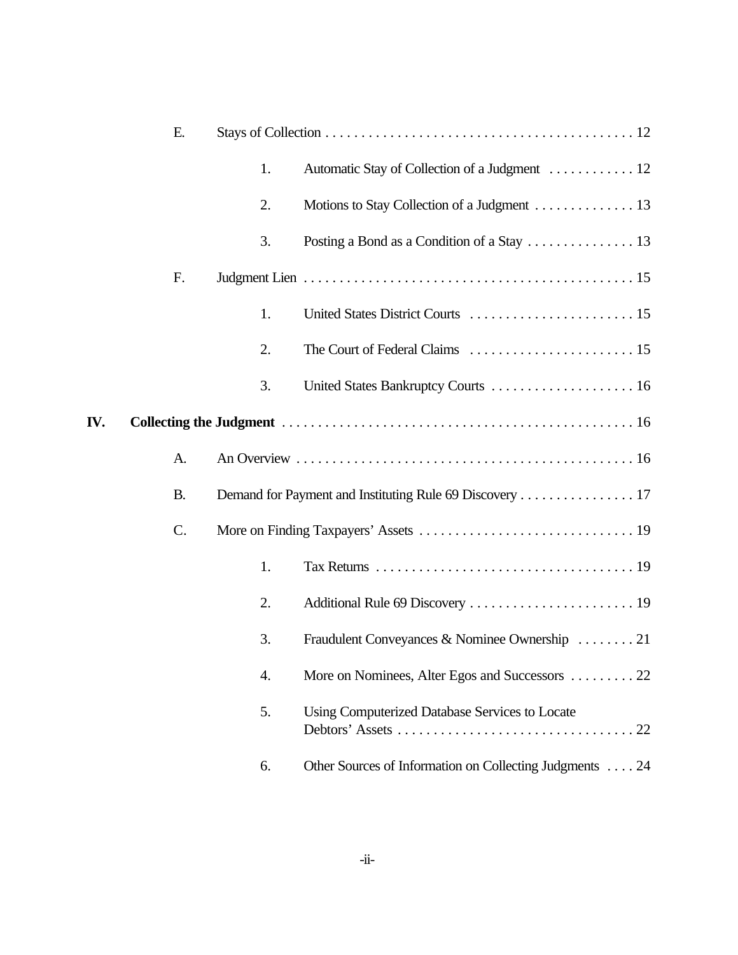|     | Ε.              |    |                                                         |
|-----|-----------------|----|---------------------------------------------------------|
|     |                 | 1. | Automatic Stay of Collection of a Judgment 12           |
|     |                 | 2. | Motions to Stay Collection of a Judgment 13             |
|     |                 | 3. |                                                         |
|     | F.              |    |                                                         |
|     |                 | 1. |                                                         |
|     |                 | 2. |                                                         |
|     |                 | 3. |                                                         |
| IV. |                 |    |                                                         |
|     | A.              |    |                                                         |
|     | <b>B.</b>       |    | Demand for Payment and Instituting Rule 69 Discovery 17 |
|     | $\mathcal{C}$ . |    |                                                         |
|     |                 | 1. |                                                         |
|     |                 | 2. |                                                         |
|     |                 | 3. | Fraudulent Conveyances & Nominee Ownership 21           |
|     |                 | 4. | More on Nominees, Alter Egos and Successors 22          |
|     |                 | 5. | Using Computerized Database Services to Locate          |
|     |                 | 6. | Other Sources of Information on Collecting Judgments 24 |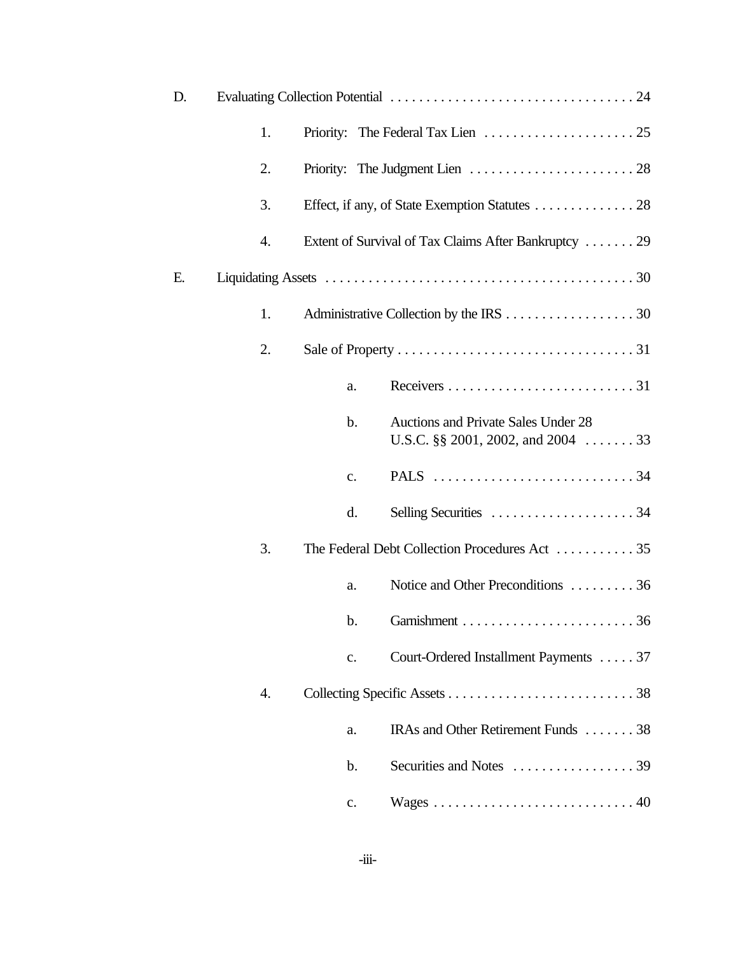| D. |    |               |                                                                                |
|----|----|---------------|--------------------------------------------------------------------------------|
|    | 1. |               |                                                                                |
|    | 2. |               |                                                                                |
|    | 3. |               | Effect, if any, of State Exemption Statutes 28                                 |
|    | 4. |               | Extent of Survival of Tax Claims After Bankruptcy 29                           |
| Е. |    |               |                                                                                |
|    | 1. |               |                                                                                |
|    | 2. |               |                                                                                |
|    |    | a.            |                                                                                |
|    |    | $\mathbf b$ . | Auctions and Private Sales Under 28<br>U.S.C. $\S\S 2001$ , 2002, and 2004  33 |
|    |    | c.            |                                                                                |
|    |    | d.            |                                                                                |
|    | 3. |               | The Federal Debt Collection Procedures Act  35                                 |
|    |    | a.            | Notice and Other Preconditions 36                                              |
|    |    |               |                                                                                |
|    |    | c.            | Court-Ordered Installment Payments 37                                          |
|    | 4. |               |                                                                                |
|    |    | a.            | IRAs and Other Retirement Funds 38                                             |
|    |    | $\mathbf b$ . |                                                                                |
|    |    | c.            |                                                                                |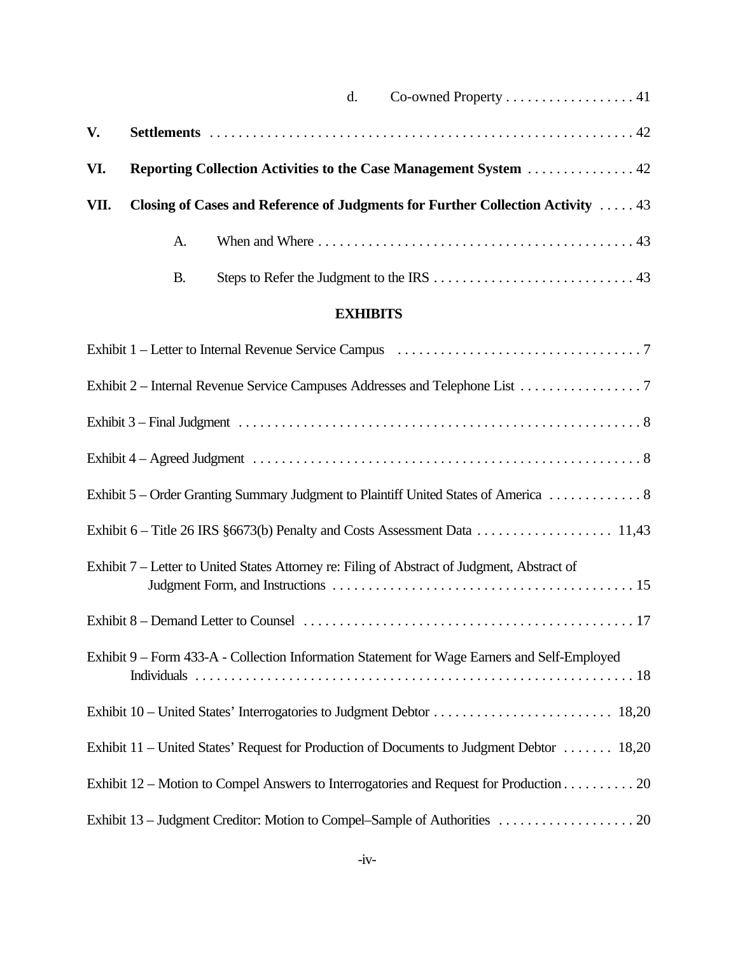|      |    | Co-owned Property  41<br>$d_{\cdot}$                                            |
|------|----|---------------------------------------------------------------------------------|
| V.   |    |                                                                                 |
| VI.  |    | Reporting Collection Activities to the Case Management System  42               |
| VII. |    | Closing of Cases and Reference of Judgments for Further Collection Activity  43 |
|      | A. |                                                                                 |
|      | B. |                                                                                 |

# **EXHIBITS**

| Exhibit 2 – Internal Revenue Service Campuses Addresses and Telephone List 7                 |
|----------------------------------------------------------------------------------------------|
|                                                                                              |
|                                                                                              |
|                                                                                              |
|                                                                                              |
| Exhibit 7 – Letter to United States Attorney re: Filing of Abstract of Judgment, Abstract of |
|                                                                                              |
| Exhibit 9 – Form 433-A - Collection Information Statement for Wage Earners and Self-Employed |
|                                                                                              |
| Exhibit 11 – United States' Request for Production of Documents to Judgment Debtor  18,20    |
| Exhibit 12 – Motion to Compel Answers to Interrogatories and Request for Production 20       |
|                                                                                              |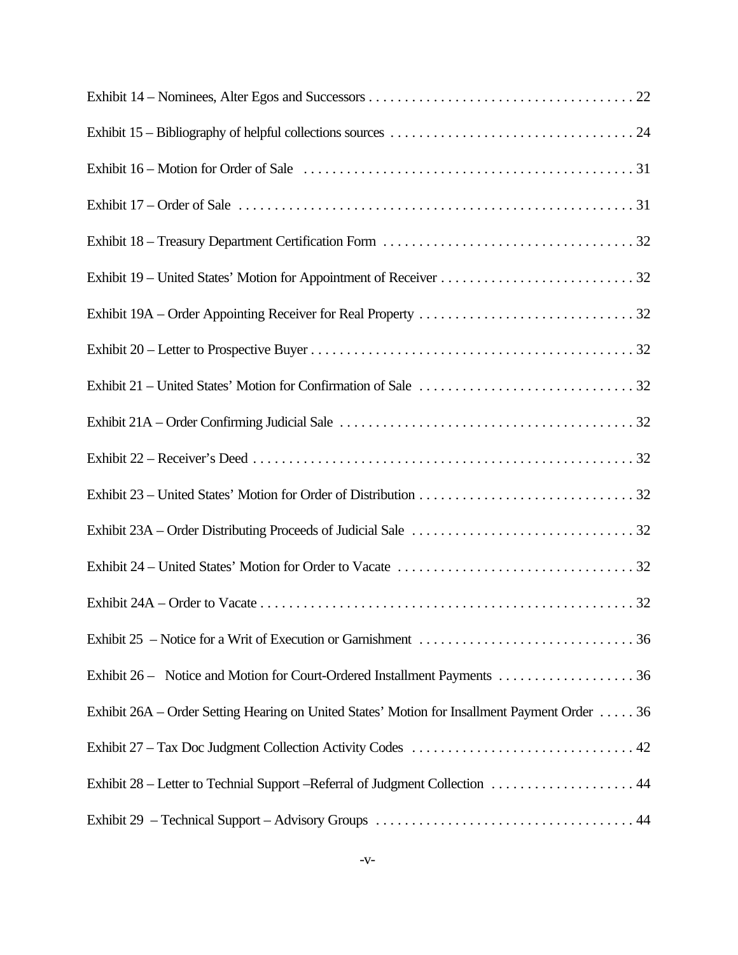| Exhibit 26 - Notice and Motion for Court-Ordered Installment Payments 36                      |
|-----------------------------------------------------------------------------------------------|
| Exhibit 26A – Order Setting Hearing on United States' Motion for Insallment Payment Order  36 |
|                                                                                               |
| Exhibit 28 – Letter to Technial Support – Referral of Judgment Collection 44                  |
|                                                                                               |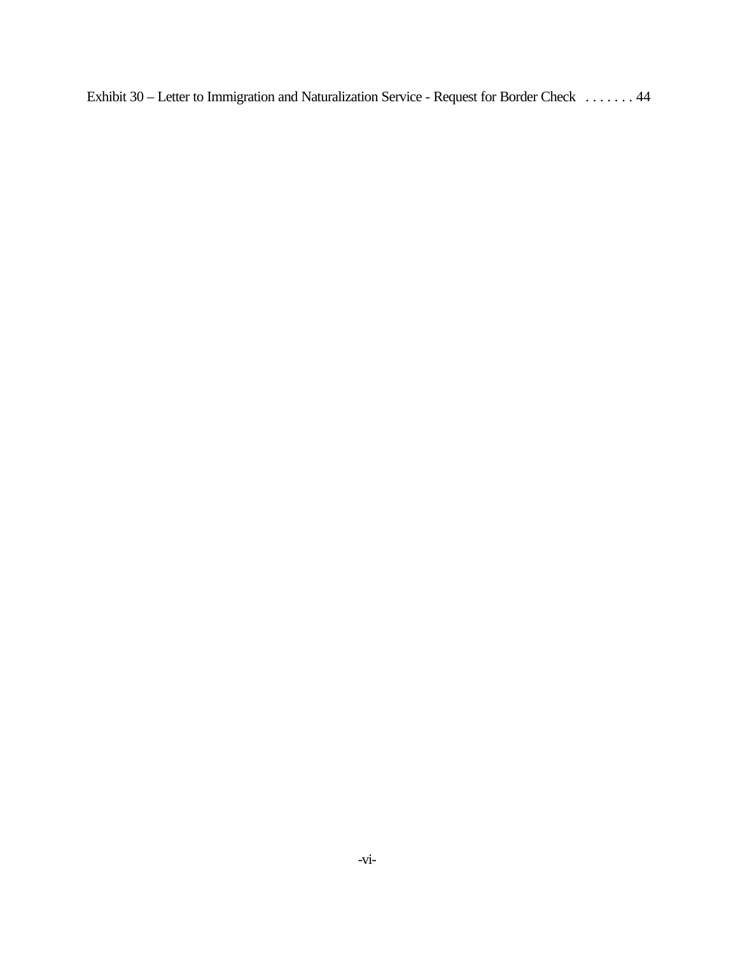[Exhibit 30 – Letter to Immigration and Naturalization Service - Request for Border Check](www.usdoj.gov/tax/readingroom/JCM2004/exh30.pdf) ....... 44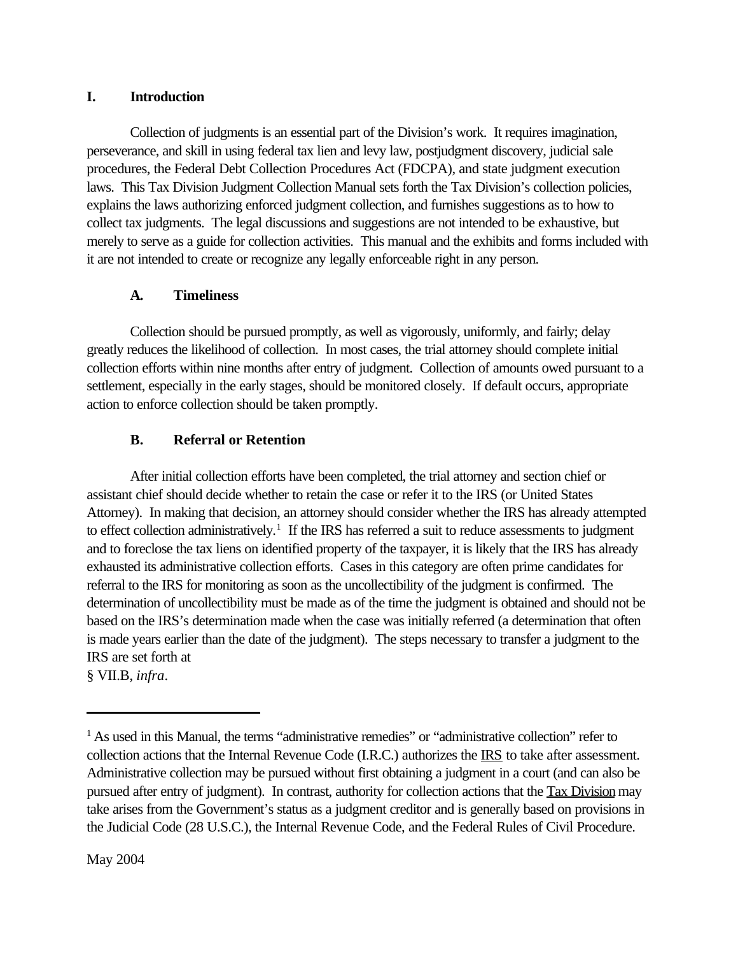# <span id="page-7-0"></span>**I. Introduction**

Collection of judgments is an essential part of the Division's work. It requires imagination, perseverance, and skill in using federal tax lien and levy law, postjudgment discovery, judicial sale procedures, the Federal Debt Collection Procedures Act (FDCPA), and state judgment execution laws. This Tax Division Judgment Collection Manual sets forth the Tax Division's collection policies, explains the laws authorizing enforced judgment collection, and furnishes suggestions as to how to collect tax judgments. The legal discussions and suggestions are not intended to be exhaustive, but merely to serve as a guide for collection activities. This manual and the exhibits and forms included with it are not intended to create or recognize any legally enforceable right in any person.

# **A. Timeliness**

Collection should be pursued promptly, as well as vigorously, uniformly, and fairly; delay greatly reduces the likelihood of collection. In most cases, the trial attorney should complete initial collection efforts within nine months after entry of judgment. Collection of amounts owed pursuant to a settlement, especially in the early stages, should be monitored closely. If default occurs, appropriate action to enforce collection should be taken promptly.

# **B. Referral or Retention**

After initial collection efforts have been completed, the trial attorney and section chief or assistant chief should decide whether to retain the case or refer it to the IRS (or United States Attorney). In making that decision, an attorney should consider whether the IRS has already attempted to effect collection administratively.<sup>1</sup> If the IRS has referred a suit to reduce assessments to judgment and to foreclose the tax liens on identified property of the taxpayer, it is likely that the IRS has already exhausted its administrative collection efforts. Cases in this category are often prime candidates for referral to the IRS for monitoring as soon as the uncollectibility of the judgment is confirmed. The determination of uncollectibility must be made as of the time the judgment is obtained and should not be based on the IRS's determination made when the case was initially referred (a determination that often is made years earlier than the date of the judgment). The steps necessary to transfer a judgment to the IRS are set forth at § VII.B, *infra*.

<sup>&</sup>lt;sup>1</sup> As used in this Manual, the terms "administrative remedies" or "administrative collection" refer to collection actions that the Internal Revenue Code (I.R.C.) authorizes the IRS to take after assessment. Administrative collection may be pursued without first obtaining a judgment in a court (and can also be pursued after entry of judgment). In contrast, authority for collection actions that the Tax Division may take arises from the Government's status as a judgment creditor and is generally based on provisions in the Judicial Code (28 U.S.C.), the Internal Revenue Code, and the Federal Rules of Civil Procedure.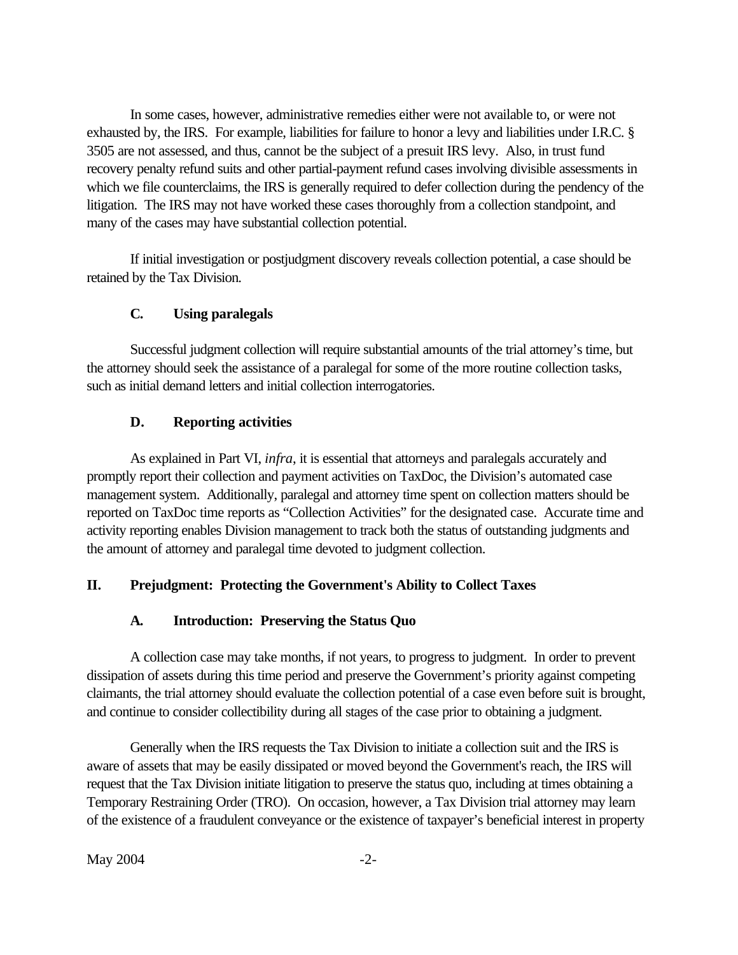<span id="page-8-0"></span>In some cases, however, administrative remedies either were not available to, or were not exhausted by, the IRS. For example, liabilities for failure to honor a levy and liabilities under I.R.C. § 3505 are not assessed, and thus, cannot be the subject of a presuit IRS levy. Also, in trust fund recovery penalty refund suits and other partial-payment refund cases involving divisible assessments in which we file counterclaims, the IRS is generally required to defer collection during the pendency of the litigation. The IRS may not have worked these cases thoroughly from a collection standpoint, and many of the cases may have substantial collection potential.

If initial investigation or postjudgment discovery reveals collection potential, a case should be retained by the Tax Division.

# **C. Using paralegals**

Successful judgment collection will require substantial amounts of the trial attorney's time, but the attorney should seek the assistance of a paralegal for some of the more routine collection tasks, such as initial demand letters and initial collection interrogatories.

#### **D. Reporting activities**

As explained in Part VI, *infra*, it is essential that attorneys and paralegals accurately and promptly report their collection and payment activities on TaxDoc, the Division's automated case management system. Additionally, paralegal and attorney time spent on collection matters should be reported on TaxDoc time reports as "Collection Activities" for the designated case. Accurate time and activity reporting enables Division management to track both the status of outstanding judgments and the amount of attorney and paralegal time devoted to judgment collection.

# **II. Prejudgment: Protecting the Government's Ability to Collect Taxes**

#### **A. Introduction: Preserving the Status Quo**

A collection case may take months, if not years, to progress to judgment. In order to prevent dissipation of assets during this time period and preserve the Government's priority against competing claimants, the trial attorney should evaluate the collection potential of a case even before suit is brought, and continue to consider collectibility during all stages of the case prior to obtaining a judgment.

Generally when the IRS requests the Tax Division to initiate a collection suit and the IRS is aware of assets that may be easily dissipated or moved beyond the Government's reach, the IRS will request that the Tax Division initiate litigation to preserve the status quo, including at times obtaining a Temporary Restraining Order (TRO). On occasion, however, a Tax Division trial attorney may learn of the existence of a fraudulent conveyance or the existence of taxpayer's beneficial interest in property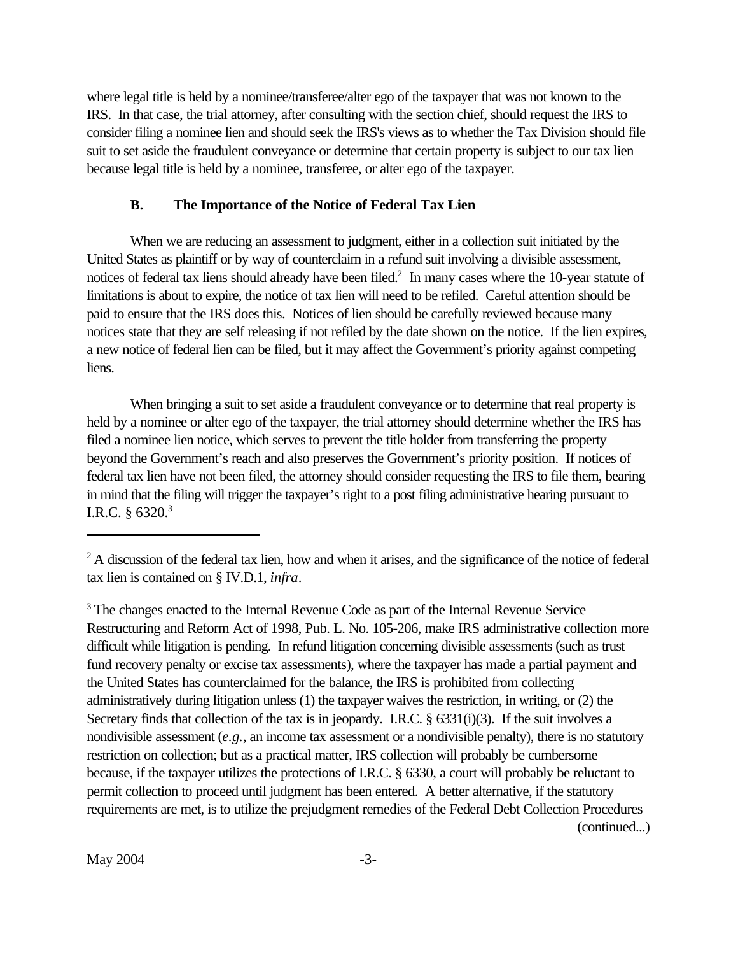<span id="page-9-0"></span>where legal title is held by a nominee/transferee/alter ego of the taxpayer that was not known to the IRS. In that case, the trial attorney, after consulting with the section chief, should request the IRS to consider filing a nominee lien and should seek the IRS's views as to whether the Tax Division should file suit to set aside the fraudulent conveyance or determine that certain property is subject to our tax lien because legal title is held by a nominee, transferee, or alter ego of the taxpayer.

### **B. The Importance of the Notice of Federal Tax Lien**

When we are reducing an assessment to judgment, either in a collection suit initiated by the United States as plaintiff or by way of counterclaim in a refund suit involving a divisible assessment, notices of federal tax liens should already have been filed.<sup>2</sup> In many cases where the 10-year statute of limitations is about to expire, the notice of tax lien will need to be refiled. Careful attention should be paid to ensure that the IRS does this. Notices of lien should be carefully reviewed because many notices state that they are self releasing if not refiled by the date shown on the notice. If the lien expires, a new notice of federal lien can be filed, but it may affect the Government's priority against competing liens.

When bringing a suit to set aside a fraudulent conveyance or to determine that real property is held by a nominee or alter ego of the taxpayer, the trial attorney should determine whether the IRS has filed a nominee lien notice, which serves to prevent the title holder from transferring the property beyond the Government's reach and also preserves the Government's priority position. If notices of federal tax lien have not been filed, the attorney should consider requesting the IRS to file them, bearing in mind that the filing will trigger the taxpayer's right to a post filing administrative hearing pursuant to I.R.C. § 6320.3

<sup>3</sup> The changes enacted to the Internal Revenue Code as part of the Internal Revenue Service Restructuring and Reform Act of 1998, Pub. L. No. 105-206, make IRS administrative collection more difficult while litigation is pending. In refund litigation concerning divisible assessments (such as trust fund recovery penalty or excise tax assessments), where the taxpayer has made a partial payment and the United States has counterclaimed for the balance, the IRS is prohibited from collecting administratively during litigation unless (1) the taxpayer waives the restriction, in writing, or (2) the Secretary finds that collection of the tax is in jeopardy. I.R.C. § 6331(i)(3). If the suit involves a nondivisible assessment (*e.g.*, an income tax assessment or a nondivisible penalty), there is no statutory restriction on collection; but as a practical matter, IRS collection will probably be cumbersome because, if the taxpayer utilizes the protections of I.R.C. § 6330, a court will probably be reluctant to permit collection to proceed until judgment has been entered. A better alternative, if the statutory requirements are met, is to utilize the prejudgment remedies of the Federal Debt Collection Procedures (continued...)

<sup>&</sup>lt;sup>2</sup> A discussion of the federal tax lien, how and when it arises, and the significance of the notice of federal tax lien is contained on § IV.D.1, *infra*.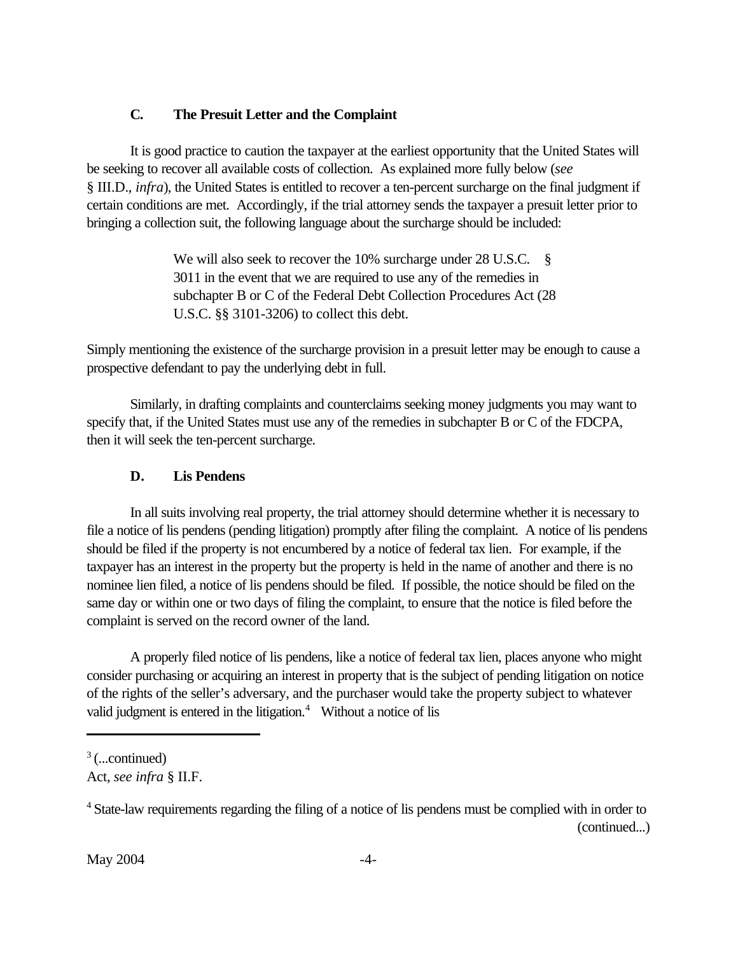# <span id="page-10-0"></span>**C. The Presuit Letter and the Complaint**

It is good practice to caution the taxpayer at the earliest opportunity that the United States will be seeking to recover all available costs of collection. As explained more fully below (*see* § III.D., *infra*), the United States is entitled to recover a ten-percent surcharge on the final judgment if certain conditions are met. Accordingly, if the trial attorney sends the taxpayer a presuit letter prior to bringing a collection suit, the following language about the surcharge should be included:

> We will also seek to recover the 10% surcharge under 28 U.S.C. § 3011 in the event that we are required to use any of the remedies in subchapter B or C of the Federal Debt Collection Procedures Act (28 U.S.C. §§ 3101-3206) to collect this debt.

Simply mentioning the existence of the surcharge provision in a presuit letter may be enough to cause a prospective defendant to pay the underlying debt in full.

Similarly, in drafting complaints and counterclaims seeking money judgments you may want to specify that, if the United States must use any of the remedies in subchapter B or C of the FDCPA, then it will seek the ten-percent surcharge.

# **D. Lis Pendens**

In all suits involving real property, the trial attorney should determine whether it is necessary to file a notice of lis pendens (pending litigation) promptly after filing the complaint. A notice of lis pendens should be filed if the property is not encumbered by a notice of federal tax lien. For example, if the taxpayer has an interest in the property but the property is held in the name of another and there is no nominee lien filed, a notice of lis pendens should be filed. If possible, the notice should be filed on the same day or within one or two days of filing the complaint, to ensure that the notice is filed before the complaint is served on the record owner of the land.

A properly filed notice of lis pendens, like a notice of federal tax lien, places anyone who might consider purchasing or acquiring an interest in property that is the subject of pending litigation on notice of the rights of the seller's adversary, and the purchaser would take the property subject to whatever valid judgment is entered in the litigation.<sup>4</sup> Without a notice of lis

 $3$  (...continued)

Act, *see infra* § II.F.

<sup>4</sup>State-law requirements regarding the filing of a notice of lis pendens must be complied with in order to (continued...)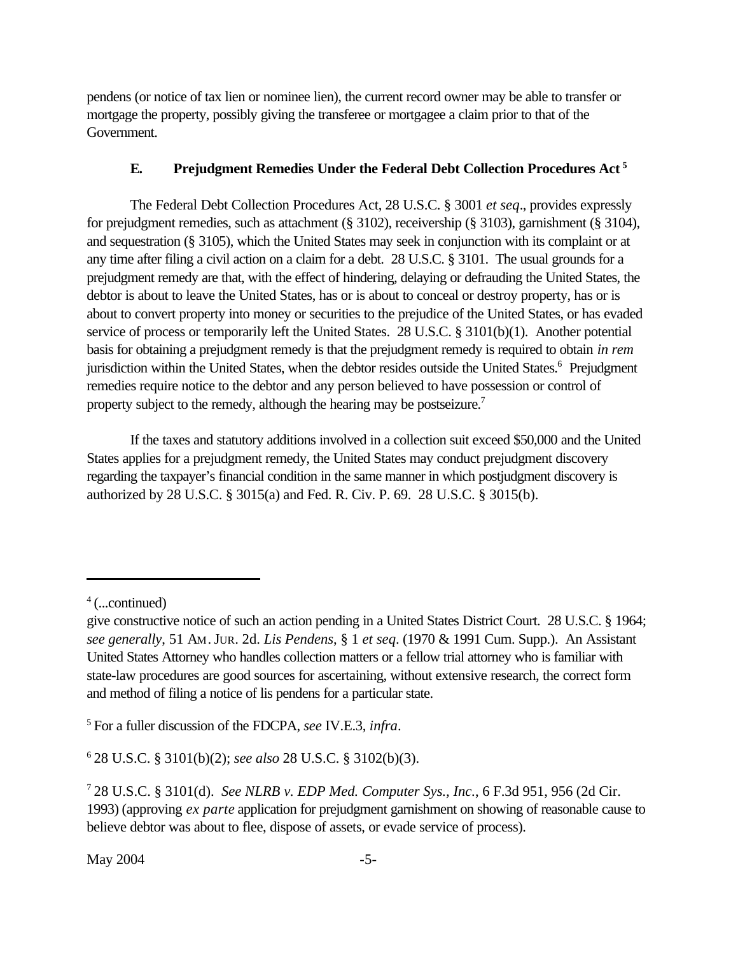<span id="page-11-0"></span>pendens (or notice of tax lien or nominee lien), the current record owner may be able to transfer or mortgage the property, possibly giving the transferee or mortgagee a claim prior to that of the Government.

# **E. Prejudgment Remedies Under the Federal Debt Collection Procedures Act<sup>5</sup>**

The Federal Debt Collection Procedures Act, 28 U.S.C. § 3001 *et seq*., provides expressly for prejudgment remedies, such as attachment (§ 3102), receivership (§ 3103), garnishment (§ 3104), and sequestration (§ 3105), which the United States may seek in conjunction with its complaint or at any time after filing a civil action on a claim for a debt. 28 U.S.C. § 3101. The usual grounds for a prejudgment remedy are that, with the effect of hindering, delaying or defrauding the United States, the debtor is about to leave the United States, has or is about to conceal or destroy property, has or is about to convert property into money or securities to the prejudice of the United States, or has evaded service of process or temporarily left the United States. 28 U.S.C. § 3101(b)(1). Another potential basis for obtaining a prejudgment remedy is that the prejudgment remedy is required to obtain *in rem* jurisdiction within the United States, when the debtor resides outside the United States.<sup>6</sup> Prejudgment remedies require notice to the debtor and any person believed to have possession or control of property subject to the remedy, although the hearing may be postseizure.<sup>7</sup>

If the taxes and statutory additions involved in a collection suit exceed \$50,000 and the United States applies for a prejudgment remedy, the United States may conduct prejudgment discovery regarding the taxpayer's financial condition in the same manner in which postjudgment discovery is authorized by 28 U.S.C. § 3015(a) and Fed. R. Civ. P. 69. 28 U.S.C. § 3015(b).

<sup>5</sup>For a fuller discussion of the FDCPA, *see* IV.E.3, *infra*.

<sup>6</sup>28 U.S.C. § 3101(b)(2); *see also* 28 U.S.C. § 3102(b)(3).

 $4$  (...continued)

give constructive notice of such an action pending in a United States District Court. 28 U.S.C. § 1964; *see generally*, 51 AM.JUR. 2d. *Lis Pendens*, § 1 *et seq*. (1970 & 1991 Cum. Supp.). An Assistant United States Attorney who handles collection matters or a fellow trial attorney who is familiar with state-law procedures are good sources for ascertaining, without extensive research, the correct form and method of filing a notice of lis pendens for a particular state.

<sup>7</sup>28 U.S.C. § 3101(d). *See NLRB v. EDP Med. Computer Sys., Inc.*, 6 F.3d 951, 956 (2d Cir. 1993) (approving *ex parte* application for prejudgment garnishment on showing of reasonable cause to believe debtor was about to flee, dispose of assets, or evade service of process).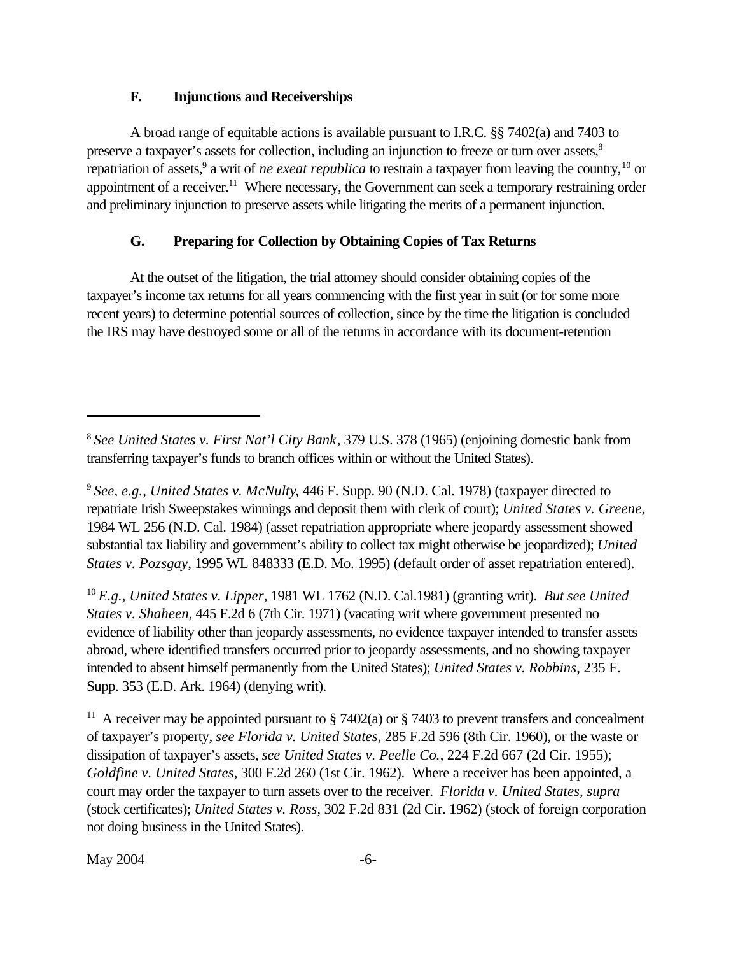### **F. Injunctions and Receiverships**

<span id="page-12-0"></span>A broad range of equitable actions is available pursuant to I.R.C. §§ 7402(a) and 7403 to preserve a taxpayer's assets for collection, including an injunction to freeze or turn over assets,<sup>8</sup> repatriation of assets,<sup>9</sup> a writ of *ne exeat republica* to restrain a taxpayer from leaving the country,<sup>10</sup> or appointment of a receiver.<sup>11</sup> Where necessary, the Government can seek a temporary restraining order and preliminary injunction to preserve assets while litigating the merits of a permanent injunction.

# **G. Preparing for Collection by Obtaining Copies of Tax Returns**

At the outset of the litigation, the trial attorney should consider obtaining copies of the taxpayer's income tax returns for all years commencing with the first year in suit (or for some more recent years) to determine potential sources of collection, since by the time the litigation is concluded the IRS may have destroyed some or all of the returns in accordance with its document-retention

<sup>10</sup>*E.g., United States v. Lipper*, 1981 WL 1762 (N.D. Cal.1981) (granting writ). *But see United States v. Shaheen*, 445 F.2d 6 (7th Cir. 1971) (vacating writ where government presented no evidence of liability other than jeopardy assessments, no evidence taxpayer intended to transfer assets abroad, where identified transfers occurred prior to jeopardy assessments, and no showing taxpayer intended to absent himself permanently from the United States); *United States v. Robbins*, 235 F. Supp. 353 (E.D. Ark. 1964) (denying writ).

<sup>11</sup> A receiver may be appointed pursuant to § 7402(a) or § 7403 to prevent transfers and concealment of taxpayer's property, *see Florida v. United States*, 285 F.2d 596 (8th Cir. 1960), or the waste or dissipation of taxpayer's assets, *see United States v. Peelle Co.*, 224 F.2d 667 (2d Cir. 1955); *Goldfine v. United States*, 300 F.2d 260 (1st Cir. 1962). Where a receiver has been appointed, a court may order the taxpayer to turn assets over to the receiver. *Florida v. United States, supra* (stock certificates); *United States v. Ross*, 302 F.2d 831 (2d Cir. 1962) (stock of foreign corporation not doing business in the United States).

 $\text{May } 2004$  -6-

<sup>8</sup>*See United States v. First Nat'l City Bank*, 379 U.S. 378 (1965) (enjoining domestic bank from transferring taxpayer's funds to branch offices within or without the United States).

<sup>9</sup>*See, e.g., United States v. McNulty*, 446 F. Supp. 90 (N.D. Cal. 1978) (taxpayer directed to repatriate Irish Sweepstakes winnings and deposit them with clerk of court); *United States v. Greene*, 1984 WL 256 (N.D. Cal. 1984) (asset repatriation appropriate where jeopardy assessment showed substantial tax liability and government's ability to collect tax might otherwise be jeopardized); *United States v. Pozsgay*, 1995 WL 848333 (E.D. Mo. 1995) (default order of asset repatriation entered).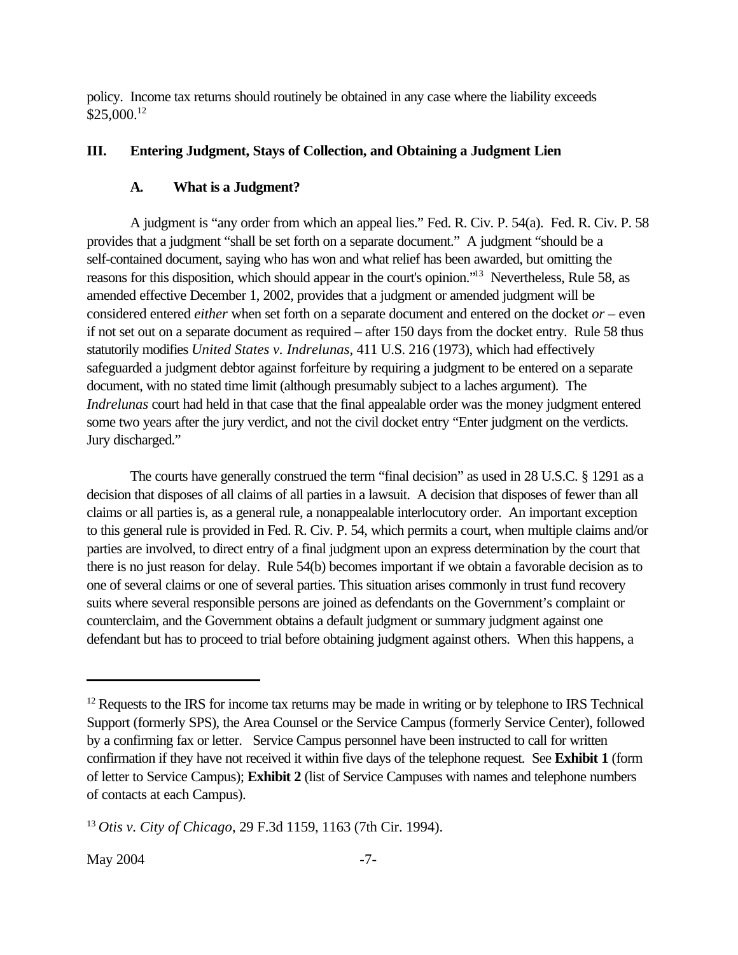<span id="page-13-0"></span>policy. Income tax returns should routinely be obtained in any case where the liability exceeds \$25,000.<sup>12</sup>

#### **III. Entering Judgment, Stays of Collection, and Obtaining a Judgment Lien**

#### **A. What is a Judgment?**

A judgment is "any order from which an appeal lies." Fed. R. Civ. P. 54(a). Fed. R. Civ. P. 58 provides that a judgment "shall be set forth on a separate document." A judgment "should be a self-contained document, saying who has won and what relief has been awarded, but omitting the reasons for this disposition, which should appear in the court's opinion."<sup>13</sup> Nevertheless, Rule 58, as amended effective December 1, 2002, provides that a judgment or amended judgment will be considered entered *either* when set forth on a separate document and entered on the docket *or* – even if not set out on a separate document as required – after 150 days from the docket entry. Rule 58 thus statutorily modifies *United States v. Indrelunas*, 411 U.S. 216 (1973), which had effectively safeguarded a judgment debtor against forfeiture by requiring a judgment to be entered on a separate document, with no stated time limit (although presumably subject to a laches argument). The *Indrelunas* court had held in that case that the final appealable order was the money judgment entered some two years after the jury verdict, and not the civil docket entry "Enter judgment on the verdicts. Jury discharged."

The courts have generally construed the term "final decision" as used in 28 U.S.C. § 1291 as a decision that disposes of all claims of all parties in a lawsuit. A decision that disposes of fewer than all claims or all parties is, as a general rule, a nonappealable interlocutory order. An important exception to this general rule is provided in Fed. R. Civ. P. 54, which permits a court, when multiple claims and/or parties are involved, to direct entry of a final judgment upon an express determination by the court that there is no just reason for delay. Rule 54(b) becomes important if we obtain a favorable decision as to one of several claims or one of several parties. This situation arises commonly in trust fund recovery suits where several responsible persons are joined as defendants on the Government's complaint or counterclaim, and the Government obtains a default judgment or summary judgment against one defendant but has to proceed to trial before obtaining judgment against others. When this happens, a

 $12$  Requests to the IRS for income tax returns may be made in writing or by telephone to IRS Technical Support (formerly SPS), the Area Counsel or the Service Campus (formerly Service Center), followed by a confirming fax or letter. Service Campus personnel have been instructed to call for written confirmation if they have not received it within five days of the telephone request. See **[Exhibit 1](www.usdoj.gov/tax/readingroom/JCM2004/exh01.pdf)** (form of letter to Service Campus); **[Exhibit 2](www.usdoj.gov/tax/readingroom/JCM2004/exh02.pdf)** (list of Service Campuses with names and telephone numbers of contacts at each Campus).

<sup>13</sup>*Otis v. City of Chicago*, 29 F.3d 1159, 1163 (7th Cir. 1994).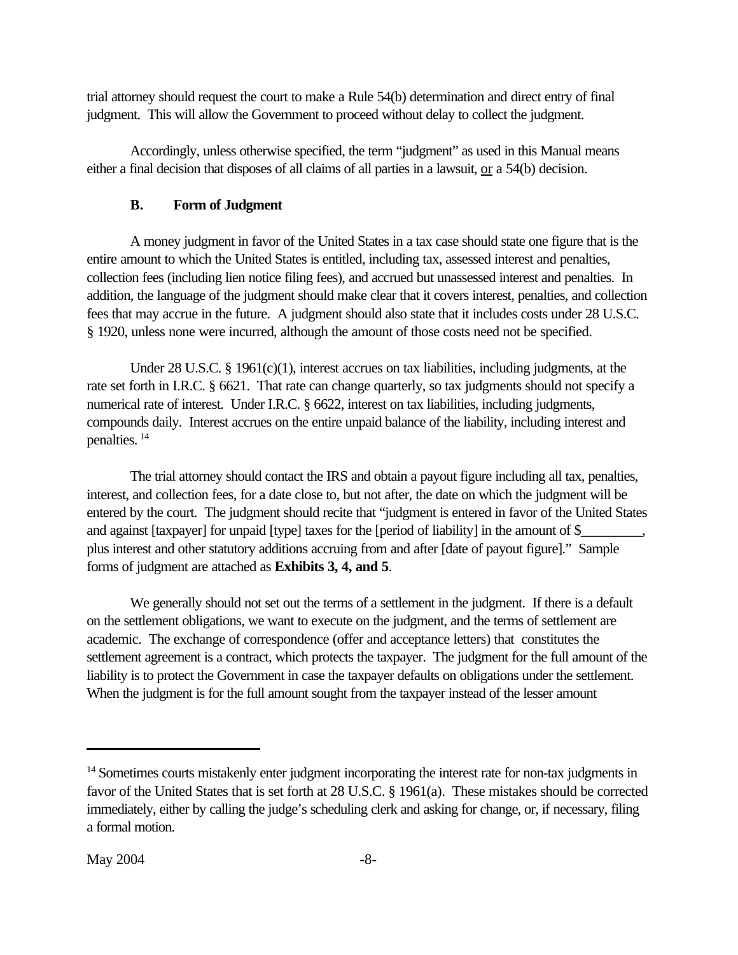<span id="page-14-0"></span>trial attorney should request the court to make a Rule 54(b) determination and direct entry of final judgment. This will allow the Government to proceed without delay to collect the judgment.

Accordingly, unless otherwise specified, the term "judgment" as used in this Manual means either a final decision that disposes of all claims of all parties in a lawsuit, or a 54(b) decision.

### **B. Form of Judgment**

A money judgment in favor of the United States in a tax case should state one figure that is the entire amount to which the United States is entitled, including tax, assessed interest and penalties, collection fees (including lien notice filing fees), and accrued but unassessed interest and penalties. In addition, the language of the judgment should make clear that it covers interest, penalties, and collection fees that may accrue in the future. A judgment should also state that it includes costs under 28 U.S.C. § 1920, unless none were incurred, although the amount of those costs need not be specified.

Under 28 U.S.C. § 1961(c)(1), interest accrues on tax liabilities, including judgments, at the rate set forth in I.R.C. § 6621. That rate can change quarterly, so tax judgments should not specify a numerical rate of interest. Under I.R.C. § 6622, interest on tax liabilities, including judgments, compounds daily. Interest accrues on the entire unpaid balance of the liability, including interest and penalties.<sup>14</sup>

The trial attorney should contact the IRS and obtain a payout figure including all tax, penalties, interest, and collection fees, for a date close to, but not after, the date on which the judgment will be entered by the court. The judgment should recite that "judgment is entered in favor of the United States and against [taxpayer] for unpaid [type] taxes for the [period of liability] in the amount of \$\_ plus interest and other statutory additions accruing from and after [date of payout figure]." Sample forms of judgment are attached as **Exhibits [3,](www.usdoj.gov/tax/readingroom/JCM2004/exh03.pdf) [4,](www.usdoj.gov/tax/readingroom/JCM2004/exh04.pdf) and [5](www.usdoj.gov/tax/readingroom/JCM2004/exh05.pdf)**.

We generally should not set out the terms of a settlement in the judgment. If there is a default on the settlement obligations, we want to execute on the judgment, and the terms of settlement are academic. The exchange of correspondence (offer and acceptance letters) that constitutes the settlement agreement is a contract, which protects the taxpayer. The judgment for the full amount of the liability is to protect the Government in case the taxpayer defaults on obligations under the settlement. When the judgment is for the full amount sought from the taxpayer instead of the lesser amount

<sup>&</sup>lt;sup>14</sup> Sometimes courts mistakenly enter judgment incorporating the interest rate for non-tax judgments in favor of the United States that is set forth at 28 U.S.C. § 1961(a). These mistakes should be corrected immediately, either by calling the judge's scheduling clerk and asking for change, or, if necessary, filing a formal motion.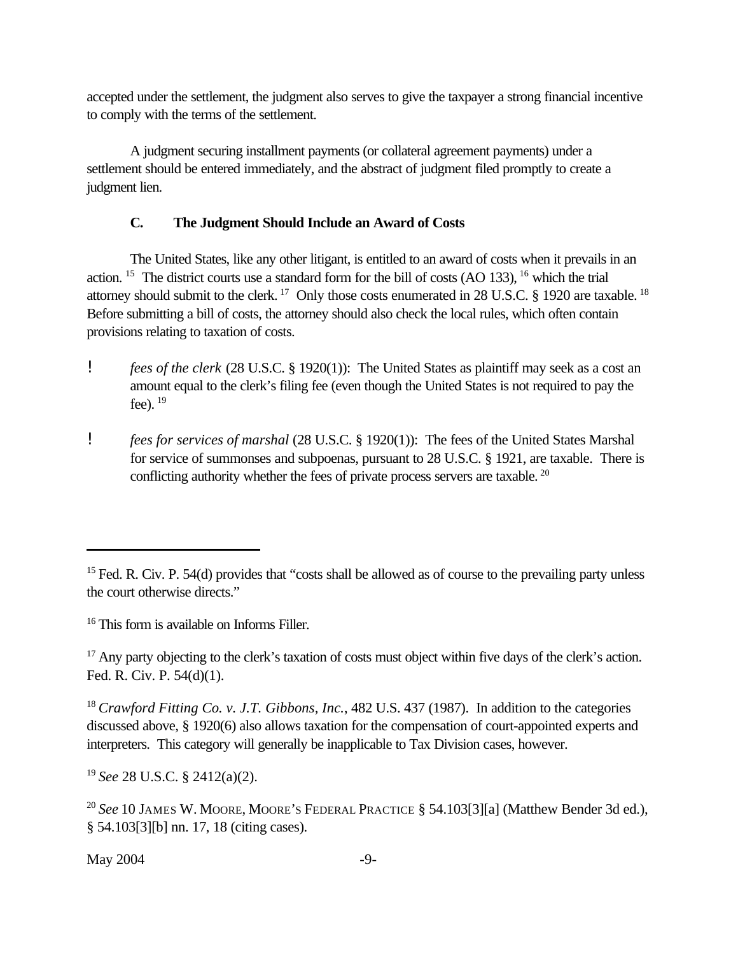<span id="page-15-0"></span>accepted under the settlement, the judgment also serves to give the taxpayer a strong financial incentive to comply with the terms of the settlement.

A judgment securing installment payments (or collateral agreement payments) under a settlement should be entered immediately, and the abstract of judgment filed promptly to create a judgment lien.

# **C. The Judgment Should Include an Award of Costs**

The United States, like any other litigant, is entitled to an award of costs when it prevails in an action.<sup>15</sup> The district courts use a standard form for the bill of costs  $(AO 133)$ , <sup>16</sup> which the trial attorney should submit to the clerk.<sup>17</sup> Only those costs enumerated in 28 U.S.C. § 1920 are taxable.<sup>18</sup> Before submitting a bill of costs, the attorney should also check the local rules, which often contain provisions relating to taxation of costs.

- ! *fees of the clerk* (28 U.S.C. § 1920(1)): The United States as plaintiff may seek as a cost an amount equal to the clerk's filing fee (even though the United States is not required to pay the fee).  $19$
- ! *fees for services of marshal* (28 U.S.C. § 1920(1)): The fees of the United States Marshal for service of summonses and subpoenas, pursuant to 28 U.S.C. § 1921, are taxable. There is conflicting authority whether the fees of private process servers are taxable. <sup>20</sup>

<sup>16</sup> This form is available on Informs Filler.

<sup>17</sup> Any party objecting to the clerk's taxation of costs must object within five days of the clerk's action. Fed. R. Civ. P. 54(d)(1).

<sup>18</sup>*Crawford Fitting Co. v. J.T. Gibbons, Inc.*, 482 U.S. 437 (1987). In addition to the categories discussed above, § 1920(6) also allows taxation for the compensation of court-appointed experts and interpreters. This category will generally be inapplicable to Tax Division cases, however.

<sup>19</sup>*See* 28 U.S.C. § 2412(a)(2).

 $\text{May } 2004$   $-9$ -

<sup>&</sup>lt;sup>15</sup> Fed. R. Civ. P. 54(d) provides that "costs shall be allowed as of course to the prevailing party unless the court otherwise directs."

<sup>&</sup>lt;sup>20</sup> See 10 JAMES W. MOORE, MOORE'S FEDERAL PRACTICE § 54.103[3][a] (Matthew Bender 3d ed.), § 54.103[3][b] nn. 17, 18 (citing cases).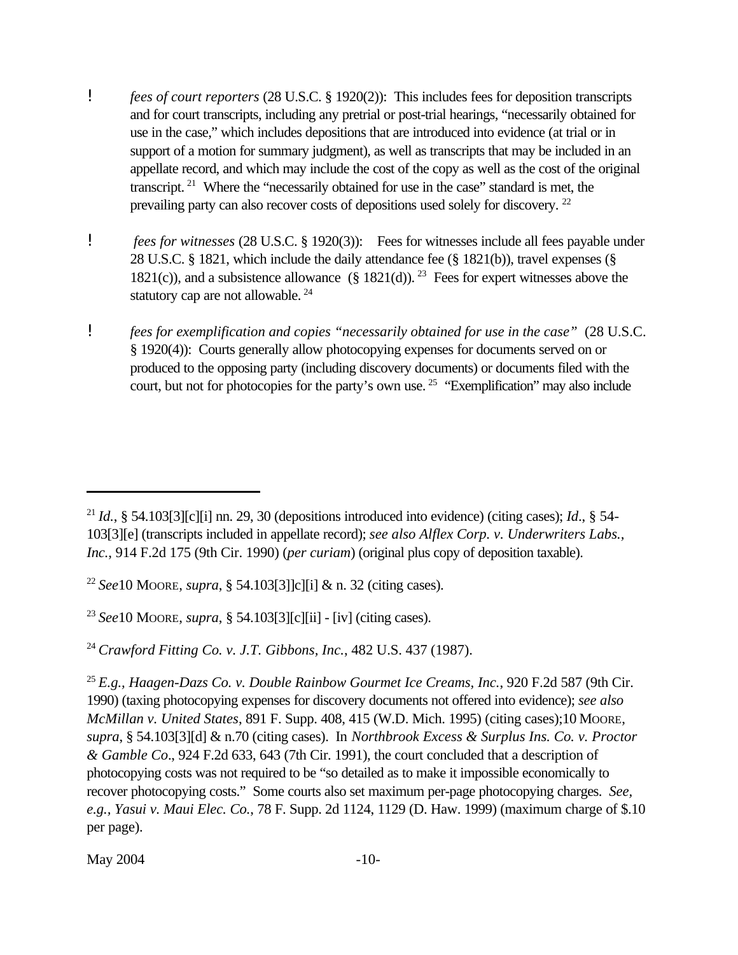- ! *fees of court reporters* (28 U.S.C. § 1920(2)): This includes fees for deposition transcripts and for court transcripts, including any pretrial or post-trial hearings, "necessarily obtained for use in the case," which includes depositions that are introduced into evidence (at trial or in support of a motion for summary judgment), as well as transcripts that may be included in an appellate record, and which may include the cost of the copy as well as the cost of the original transcript.<sup>21</sup> Where the "necessarily obtained for use in the case" standard is met, the prevailing party can also recover costs of depositions used solely for discovery.<sup>22</sup>
- ! *fees for witnesses* (28 U.S.C. § 1920(3)): Fees for witnesses include all fees payable under 28 U.S.C. § 1821, which include the daily attendance fee (§ 1821(b)), travel expenses (§ 1821(c)), and a subsistence allowance  $(\S 1821(d))$ .<sup>23</sup> Fees for expert witnesses above the statutory cap are not allowable.  $24$
- ! *fees for exemplification and copies "necessarily obtained for use in the case"* (28 U.S.C. § 1920(4)): Courts generally allow photocopying expenses for documents served on or produced to the opposing party (including discovery documents) or documents filed with the court, but not for photocopies for the party's own use.<sup>25</sup> "Exemplification" may also include

<sup>23</sup>*See*10 MOORE, *supra*, § 54.103[3][c][ii] - [iv] (citing cases).

<sup>24</sup>*Crawford Fitting Co. v. J.T. Gibbons, Inc.*, 482 U.S. 437 (1987).

<sup>&</sup>lt;sup>21</sup> *Id.*, § 54.103[3][c][i] nn. 29, 30 (depositions introduced into evidence) (citing cases); *Id.*, § 54-103[3][e] (transcripts included in appellate record); *see also Alflex Corp. v. Underwriters Labs., Inc.*, 914 F.2d 175 (9th Cir. 1990) (*per curiam*) (original plus copy of deposition taxable).

<sup>22</sup>*See*10 MOORE, *supra*, § 54.103[3]]c][i] & n. 32 (citing cases).

<sup>25</sup>*E.g., Haagen-Dazs Co. v. Double Rainbow Gourmet Ice Creams, Inc.*, 920 F.2d 587 (9th Cir. 1990) (taxing photocopying expenses for discovery documents not offered into evidence); *see also McMillan v. United States*, 891 F. Supp. 408, 415 (W.D. Mich. 1995) (citing cases);10 MOORE, *supra*, § 54.103[3][d] & n.70 (citing cases). In *Northbrook Excess & Surplus Ins. Co. v. Proctor & Gamble Co*., 924 F.2d 633, 643 (7th Cir. 1991), the court concluded that a description of photocopying costs was not required to be "so detailed as to make it impossible economically to recover photocopying costs." Some courts also set maximum per-page photocopying charges. *See, e.g., Yasui v. Maui Elec. Co.*, 78 F. Supp. 2d 1124, 1129 (D. Haw. 1999) (maximum charge of \$.10 per page).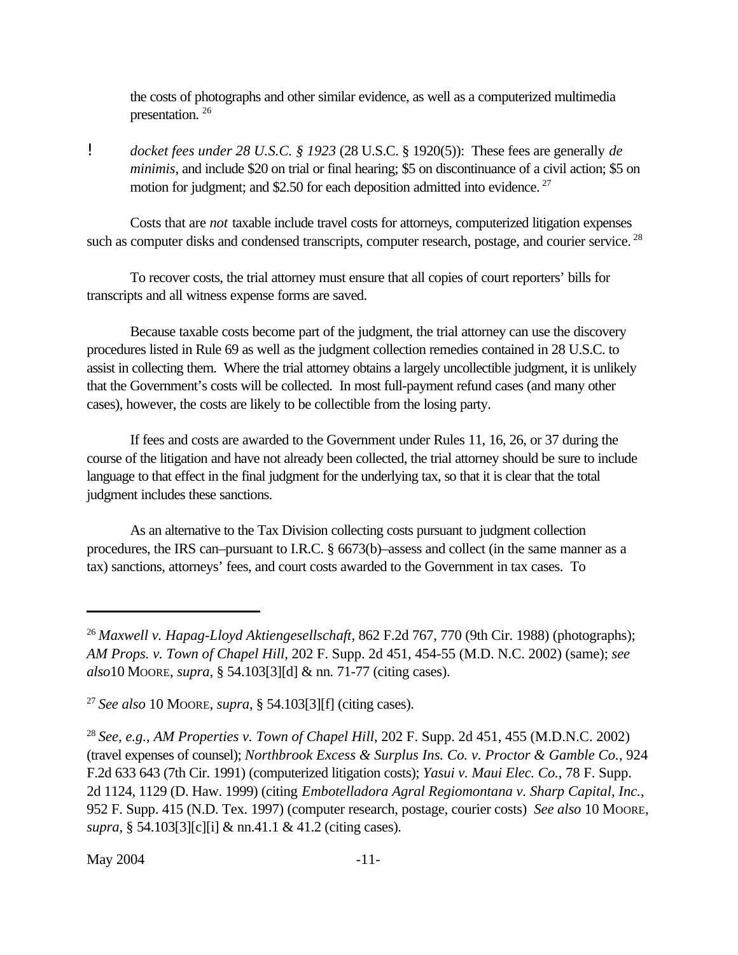<span id="page-17-0"></span>the costs of photographs and other similar evidence, as well as a computerized multimedia presentation.  $26$ 

! *docket fees under 28 U.S.C. § 1923* (28 U.S.C. § 1920(5)): These fees are generally *de minimis*, and include \$20 on trial or final hearing; \$5 on discontinuance of a civil action; \$5 on motion for judgment; and \$2.50 for each deposition admitted into evidence.<sup>27</sup>

Costs that are *not* taxable include travel costs for attorneys, computerized litigation expenses such as computer disks and condensed transcripts, computer research, postage, and courier service.<sup>28</sup>

To recover costs, the trial attorney must ensure that all copies of court reporters' bills for transcripts and all witness expense forms are saved.

Because taxable costs become part of the judgment, the trial attorney can use the discovery procedures listed in Rule 69 as well as the judgment collection remedies contained in 28 U.S.C. to assist in collecting them. Where the trial attorney obtains a largely uncollectible judgment, it is unlikely that the Government's costs will be collected. In most full-payment refund cases (and many other cases), however, the costs are likely to be collectible from the losing party.

If fees and costs are awarded to the Government under Rules 11, 16, 26, or 37 during the course of the litigation and have not already been collected, the trial attorney should be sure to include language to that effect in the final judgment for the underlying tax, so that it is clear that the total judgment includes these sanctions.

As an alternative to the Tax Division collecting costs pursuant to judgment collection procedures, the IRS can–pursuant to I.R.C. § 6673(b)–assess and collect (in the same manner as a tax) sanctions, attorneys' fees, and court costs awarded to the Government in tax cases. To

<sup>26</sup>*Maxwell v. Hapag-Lloyd Aktiengesellschaft*, 862 F.2d 767, 770 (9th Cir. 1988) (photographs); *AM Props. v. Town of Chapel Hill*, 202 F. Supp. 2d 451, 454-55 (M.D. N.C. 2002) (same); *see also*10 MOORE, *supra*, § 54.103[3][d] & nn. 71-77 (citing cases).

<sup>27</sup>*See also* 10 MOORE, *supra*, § 54.103[3][f] (citing cases).

<sup>28</sup>*See, e.g., AM Properties v. Town of Chapel Hill*, 202 F. Supp. 2d 451, 455 (M.D.N.C. 2002) (travel expenses of counsel); *Northbrook Excess & Surplus Ins. Co. v. Proctor & Gamble Co.*, 924 F.2d 633 643 (7th Cir. 1991) (computerized litigation costs); *Yasui v. Maui Elec. Co.*, 78 F. Supp. 2d 1124, 1129 (D. Haw. 1999) (citing *Embotelladora Agral Regiomontana v. Sharp Capital, Inc.*, 952 F. Supp. 415 (N.D. Tex. 1997) (computer research, postage, courier costs) *See also* 10 MOORE, *supra*, § 54.103[3][c][i] & nn.41.1 & 41.2 (citing cases).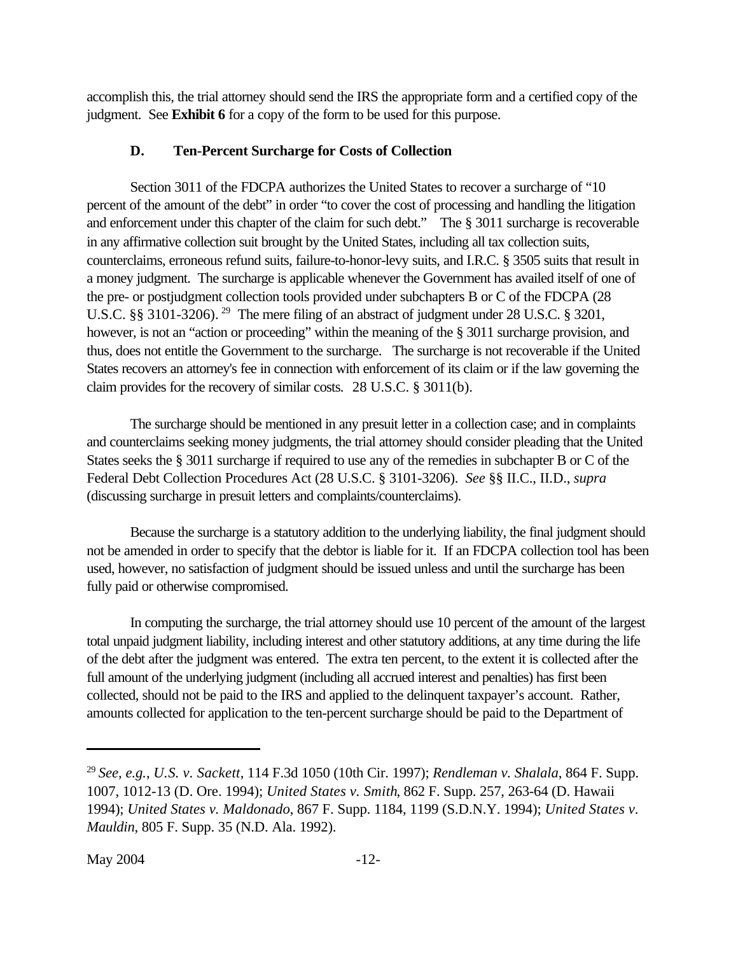<span id="page-18-0"></span>accomplish this, the trial attorney should send the IRS the appropriate form and a certified copy of the judgment. See **[Exhibit 6](www.usdoj.gov/tax/readingroom/JCM2004/exh06.pdf)** for a copy of the form to be used for this purpose.

### **D. Ten-Percent Surcharge for Costs of Collection**

Section 3011 of the FDCPA authorizes the United States to recover a surcharge of "10 percent of the amount of the debt" in order "to cover the cost of processing and handling the litigation and enforcement under this chapter of the claim for such debt." The § 3011 surcharge is recoverable in any affirmative collection suit brought by the United States, including all tax collection suits, counterclaims, erroneous refund suits, failure-to-honor-levy suits, and I.R.C. § 3505 suits that result in a money judgment. The surcharge is applicable whenever the Government has availed itself of one of the pre- or postjudgment collection tools provided under subchapters B or C of the FDCPA (28 U.S.C. §§ 3101-3206).<sup>29</sup> The mere filing of an abstract of judgment under 28 U.S.C. § 3201, however, is not an "action or proceeding" within the meaning of the § 3011 surcharge provision, and thus, does not entitle the Government to the surcharge. The surcharge is not recoverable if the United States recovers an attorney's fee in connection with enforcement of its claim or if the law governing the claim provides for the recovery of similar costs. 28 U.S.C. § 3011(b).

The surcharge should be mentioned in any presuit letter in a collection case; and in complaints and counterclaims seeking money judgments, the trial attorney should consider pleading that the United States seeks the § 3011 surcharge if required to use any of the remedies in subchapter B or C of the Federal Debt Collection Procedures Act (28 U.S.C. § 3101-3206). *See* §§ II.C., II.D., *supra* (discussing surcharge in presuit letters and complaints/counterclaims).

Because the surcharge is a statutory addition to the underlying liability, the final judgment should not be amended in order to specify that the debtor is liable for it. If an FDCPA collection tool has been used, however, no satisfaction of judgment should be issued unless and until the surcharge has been fully paid or otherwise compromised.

In computing the surcharge, the trial attorney should use 10 percent of the amount of the largest total unpaid judgment liability, including interest and other statutory additions, at any time during the life of the debt after the judgment was entered. The extra ten percent, to the extent it is collected after the full amount of the underlying judgment (including all accrued interest and penalties) has first been collected, should not be paid to the IRS and applied to the delinquent taxpayer's account. Rather, amounts collected for application to the ten-percent surcharge should be paid to the Department of

<sup>29</sup>*See, e.g.*, *U.S. v. Sackett*, 114 F.3d 1050 (10th Cir. 1997); *Rendleman v. Shalala*, 864 F. Supp. 1007, 1012-13 (D. Ore. 1994); *United States v. Smith*, 862 F. Supp. 257, 263-64 (D. Hawaii 1994); *United States v. Maldonado*, 867 F. Supp. 1184, 1199 (S.D.N.Y. 1994); *United States v. Mauldin*, 805 F. Supp. 35 (N.D. Ala. 1992).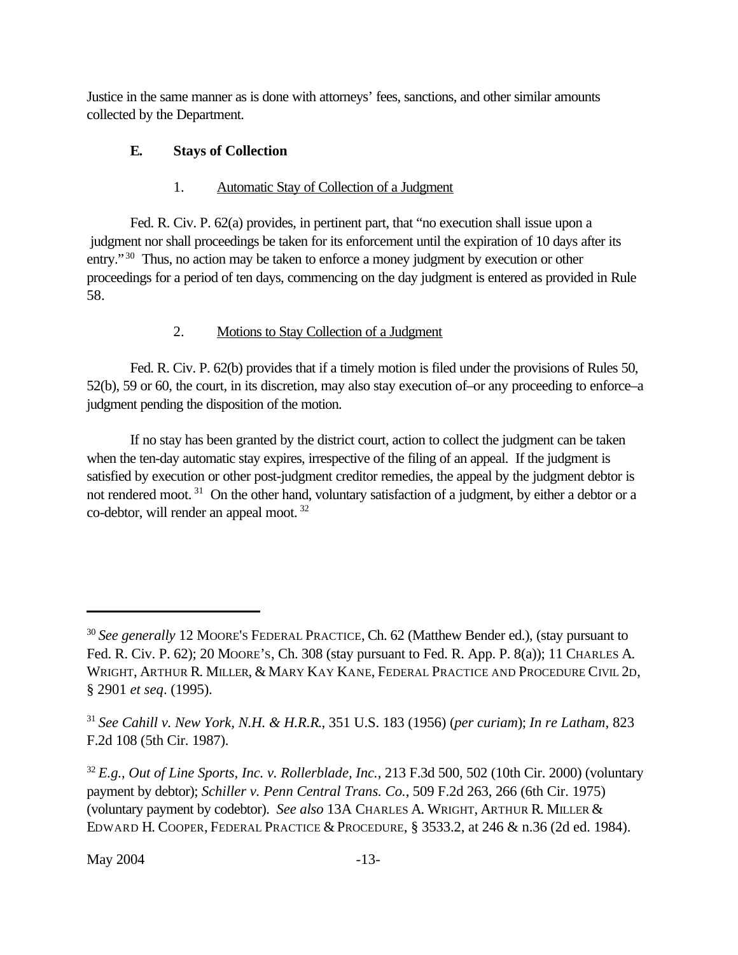<span id="page-19-0"></span>Justice in the same manner as is done with attorneys' fees, sanctions, and other similar amounts collected by the Department.

# **E. Stays of Collection**

# 1. Automatic Stay of Collection of a Judgment

Fed. R. Civ. P. 62(a) provides, in pertinent part, that "no execution shall issue upon a judgment nor shall proceedings be taken for its enforcement until the expiration of 10 days after its entry."<sup>30</sup> Thus, no action may be taken to enforce a money judgment by execution or other proceedings for a period of ten days, commencing on the day judgment is entered as provided in Rule 58.

# 2. Motions to Stay Collection of a Judgment

Fed. R. Civ. P. 62(b) provides that if a timely motion is filed under the provisions of Rules 50, 52(b), 59 or 60, the court, in its discretion, may also stay execution of–or any proceeding to enforce–a judgment pending the disposition of the motion.

If no stay has been granted by the district court, action to collect the judgment can be taken when the ten-day automatic stay expires, irrespective of the filing of an appeal. If the judgment is satisfied by execution or other post-judgment creditor remedies, the appeal by the judgment debtor is not rendered moot.<sup>31</sup> On the other hand, voluntary satisfaction of a judgment, by either a debtor or a co-debtor, will render an appeal moot. 32

<sup>30</sup>*See generally* 12 MOORE'S FEDERAL PRACTICE, Ch. 62 (Matthew Bender ed.), (stay pursuant to Fed. R. Civ. P. 62); 20 MOORE'S, Ch. 308 (stay pursuant to Fed. R. App. P. 8(a)); 11 CHARLES A. WRIGHT, ARTHUR R. MILLER, & MARY KAY KANE, FEDERAL PRACTICE AND PROCEDURE CIVIL 2D, § 2901 *et seq*. (1995).

<sup>31</sup>*See Cahill v. New York, N.H. & H.R.R*., 351 U.S. 183 (1956) (*per curiam*); *In re Latham*, 823 F.2d 108 (5th Cir. 1987).

<sup>32</sup>*E.g., Out of Line Sports, Inc. v. Rollerblade, Inc.*, 213 F.3d 500, 502 (10th Cir. 2000) (voluntary payment by debtor); *Schiller v. Penn Central Trans. Co.*, 509 F.2d 263, 266 (6th Cir. 1975) (voluntary payment by codebtor). *See also* 13A CHARLES A. WRIGHT, ARTHUR R. MILLER & EDWARD H. COOPER, FEDERAL PRACTICE & PROCEDURE, § 3533.2, at 246 & n.36 (2d ed. 1984).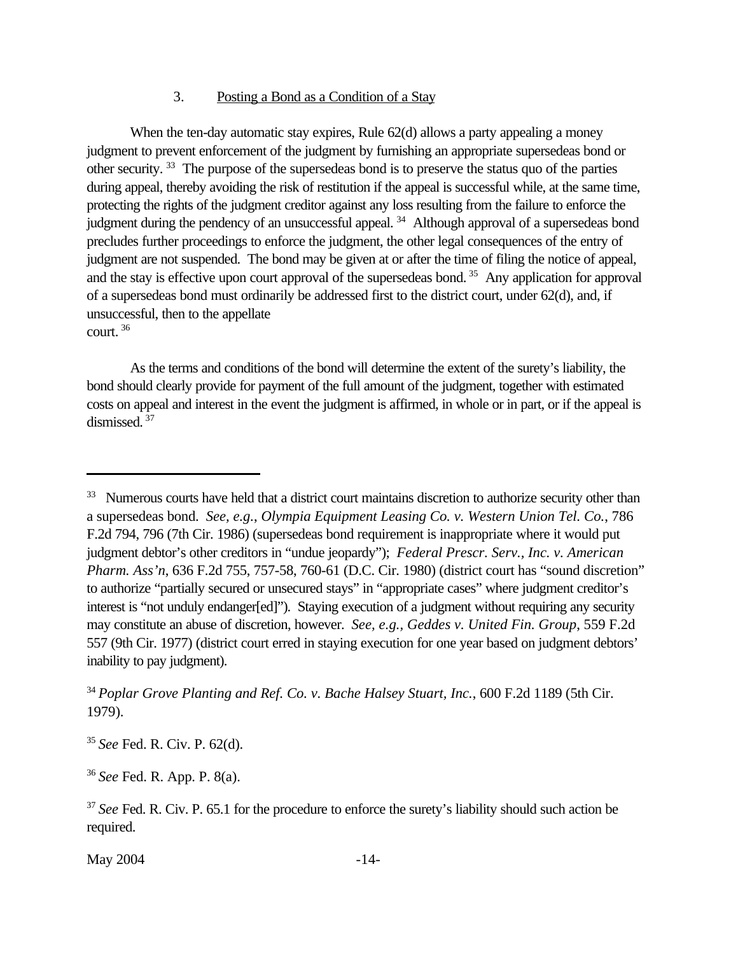#### 3. Posting a Bond as a Condition of a Stay

When the ten-day automatic stay expires, Rule 62(d) allows a party appealing a money judgment to prevent enforcement of the judgment by furnishing an appropriate supersedeas bond or other security.<sup>33</sup> The purpose of the supersedeas bond is to preserve the status quo of the parties during appeal, thereby avoiding the risk of restitution if the appeal is successful while, at the same time, protecting the rights of the judgment creditor against any loss resulting from the failure to enforce the judgment during the pendency of an unsuccessful appeal.<sup>34</sup> Although approval of a supersedeas bond precludes further proceedings to enforce the judgment, the other legal consequences of the entry of judgment are not suspended. The bond may be given at or after the time of filing the notice of appeal, and the stay is effective upon court approval of the supersedeas bond.<sup>35</sup> Any application for approval of a supersedeas bond must ordinarily be addressed first to the district court, under 62(d), and, if unsuccessful, then to the appellate court.<sup>36</sup>

As the terms and conditions of the bond will determine the extent of the surety's liability, the bond should clearly provide for payment of the full amount of the judgment, together with estimated costs on appeal and interest in the event the judgment is affirmed, in whole or in part, or if the appeal is dismissed. 37

<sup>35</sup>*See* Fed. R. Civ. P. 62(d).

<sup>36</sup>*See* Fed. R. App. P. 8(a).

May 2004 -14-

<sup>&</sup>lt;sup>33</sup> Numerous courts have held that a district court maintains discretion to authorize security other than a supersedeas bond. *See, e.g.*, *Olympia Equipment Leasing Co. v. Western Union Tel. Co.*, 786 F.2d 794, 796 (7th Cir. 1986) (supersedeas bond requirement is inappropriate where it would put judgment debtor's other creditors in "undue jeopardy"); *Federal Prescr. Serv., Inc. v. American Pharm. Ass'n*, 636 F.2d 755, 757-58, 760-61 (D.C. Cir. 1980) (district court has "sound discretion" to authorize "partially secured or unsecured stays" in "appropriate cases" where judgment creditor's interest is "not unduly endanger[ed]"). Staying execution of a judgment without requiring any security may constitute an abuse of discretion, however. *See, e.g., Geddes v. United Fin. Group*, 559 F.2d 557 (9th Cir. 1977) (district court erred in staying execution for one year based on judgment debtors' inability to pay judgment).

<sup>34</sup>*Poplar Grove Planting and Ref. Co. v. Bache Halsey Stuart, Inc.*, 600 F.2d 1189 (5th Cir. 1979).

<sup>&</sup>lt;sup>37</sup> See Fed. R. Civ. P. 65.1 for the procedure to enforce the surety's liability should such action be required.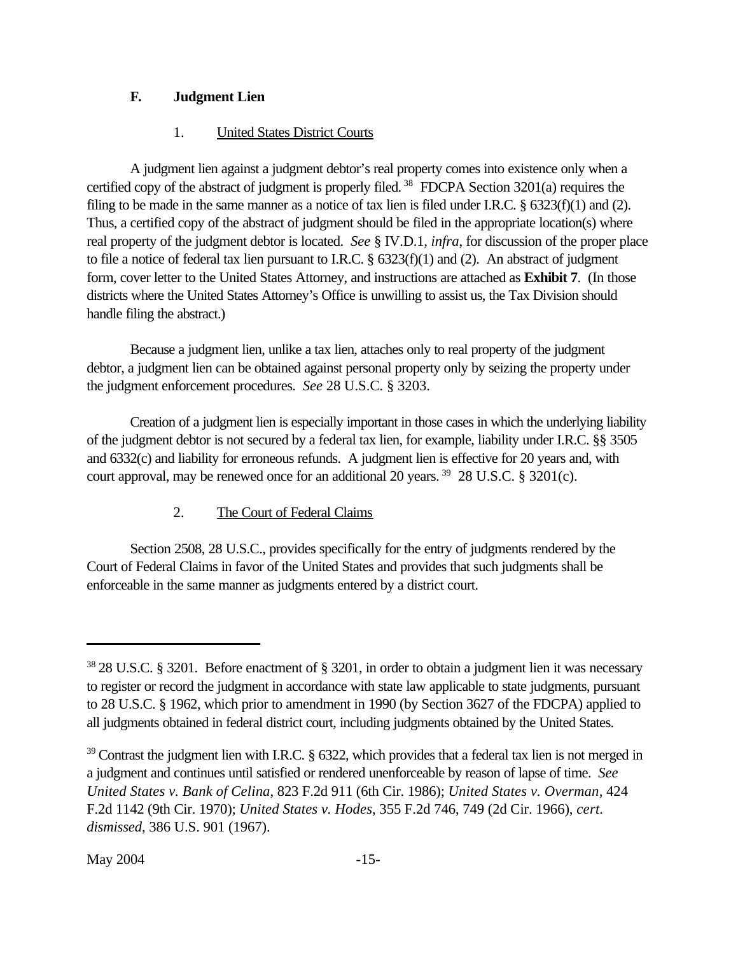# <span id="page-21-0"></span>**F. Judgment Lien**

# 1. United States District Courts

A judgment lien against a judgment debtor's real property comes into existence only when a certified copy of the abstract of judgment is properly filed.<sup>38</sup> FDCPA Section  $3201(a)$  requires the filing to be made in the same manner as a notice of tax lien is filed under I.R.C. § 6323(f)(1) and (2). Thus, a certified copy of the abstract of judgment should be filed in the appropriate location(s) where real property of the judgment debtor is located. *See* § IV.D.1, *infra*, for discussion of the proper place to file a notice of federal tax lien pursuant to I.R.C. § 6323(f)(1) and (2). An abstract of judgment form, cover letter to the United States Attorney, and instructions are attached as **[Exhibit 7](www.usdoj.gov/tax/readingroom/JCM2004/exh07.pdf)**. (In those districts where the United States Attorney's Office is unwilling to assist us, the Tax Division should handle filing the abstract.)

Because a judgment lien, unlike a tax lien, attaches only to real property of the judgment debtor, a judgment lien can be obtained against personal property only by seizing the property under the judgment enforcement procedures. *See* 28 U.S.C. § 3203.

Creation of a judgment lien is especially important in those cases in which the underlying liability of the judgment debtor is not secured by a federal tax lien, for example, liability under I.R.C. §§ 3505 and 6332(c) and liability for erroneous refunds. A judgment lien is effective for 20 years and, with court approval, may be renewed once for an additional 20 years.<sup>39</sup> 28 U.S.C. § 3201(c).

# 2. The Court of Federal Claims

Section 2508, 28 U.S.C., provides specifically for the entry of judgments rendered by the Court of Federal Claims in favor of the United States and provides that such judgments shall be enforceable in the same manner as judgments entered by a district court.

<sup>38</sup>28 U.S.C. § 3201. Before enactment of § 3201, in order to obtain a judgment lien it was necessary to register or record the judgment in accordance with state law applicable to state judgments, pursuant to 28 U.S.C. § 1962, which prior to amendment in 1990 (by Section 3627 of the FDCPA) applied to all judgments obtained in federal district court, including judgments obtained by the United States.

 $39$  Contrast the judgment lien with I.R.C. § 6322, which provides that a federal tax lien is not merged in a judgment and continues until satisfied or rendered unenforceable by reason of lapse of time. *See United States v. Bank of Celina*, 823 F.2d 911 (6th Cir. 1986); *United States v. Overman*, 424 F.2d 1142 (9th Cir. 1970); *United States v. Hodes*, 355 F.2d 746, 749 (2d Cir. 1966), *cert. dismissed*, 386 U.S. 901 (1967).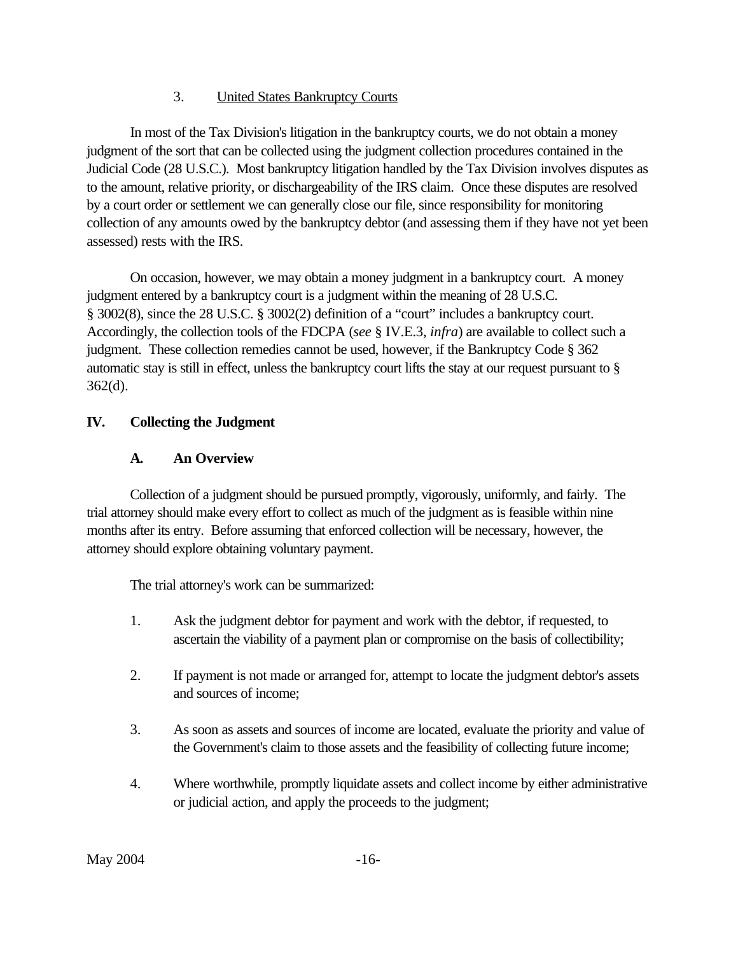# 3. United States Bankruptcy Courts

<span id="page-22-0"></span>In most of the Tax Division's litigation in the bankruptcy courts, we do not obtain a money judgment of the sort that can be collected using the judgment collection procedures contained in the Judicial Code (28 U.S.C.). Most bankruptcy litigation handled by the Tax Division involves disputes as to the amount, relative priority, or dischargeability of the IRS claim. Once these disputes are resolved by a court order or settlement we can generally close our file, since responsibility for monitoring collection of any amounts owed by the bankruptcy debtor (and assessing them if they have not yet been assessed) rests with the IRS.

On occasion, however, we may obtain a money judgment in a bankruptcy court. A money judgment entered by a bankruptcy court is a judgment within the meaning of 28 U.S.C. § 3002(8), since the 28 U.S.C. § 3002(2) definition of a "court" includes a bankruptcy court. Accordingly, the collection tools of the FDCPA (*see* § IV.E.3, *infra*) are available to collect such a judgment. These collection remedies cannot be used, however, if the Bankruptcy Code § 362 automatic stay is still in effect, unless the bankruptcy court lifts the stay at our request pursuant to § 362(d).

# **IV. Collecting the Judgment**

# **A. An Overview**

Collection of a judgment should be pursued promptly, vigorously, uniformly, and fairly. The trial attorney should make every effort to collect as much of the judgment as is feasible within nine months after its entry. Before assuming that enforced collection will be necessary, however, the attorney should explore obtaining voluntary payment.

The trial attorney's work can be summarized:

- 1. Ask the judgment debtor for payment and work with the debtor, if requested, to ascertain the viability of a payment plan or compromise on the basis of collectibility;
- 2. If payment is not made or arranged for, attempt to locate the judgment debtor's assets and sources of income;
- 3. As soon as assets and sources of income are located, evaluate the priority and value of the Government's claim to those assets and the feasibility of collecting future income;
- 4. Where worthwhile, promptly liquidate assets and collect income by either administrative or judicial action, and apply the proceeds to the judgment;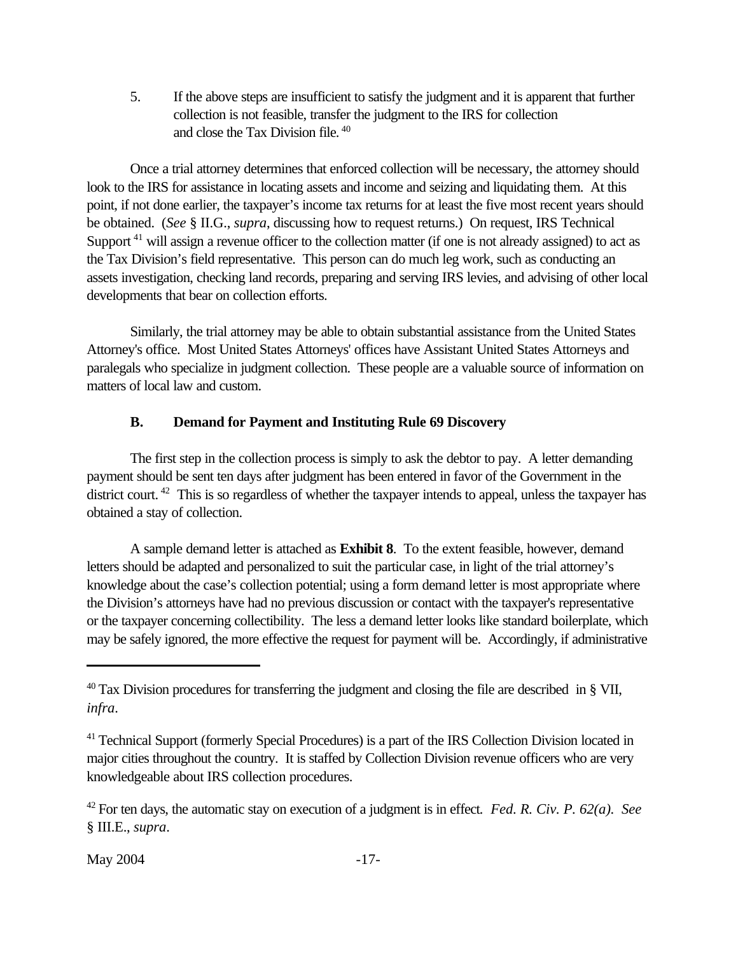<span id="page-23-0"></span>5. If the above steps are insufficient to satisfy the judgment and it is apparent that further collection is not feasible, transfer the judgment to the IRS for collection and close the Tax Division file.<sup>40</sup>

Once a trial attorney determines that enforced collection will be necessary, the attorney should look to the IRS for assistance in locating assets and income and seizing and liquidating them. At this point, if not done earlier, the taxpayer's income tax returns for at least the five most recent years should be obtained. (*See* § II.G., *supra*, discussing how to request returns.) On request, IRS Technical Support<sup>41</sup> will assign a revenue officer to the collection matter (if one is not already assigned) to act as the Tax Division's field representative. This person can do much leg work, such as conducting an assets investigation, checking land records, preparing and serving IRS levies, and advising of other local developments that bear on collection efforts.

Similarly, the trial attorney may be able to obtain substantial assistance from the United States Attorney's office. Most United States Attorneys' offices have Assistant United States Attorneys and paralegals who specialize in judgment collection. These people are a valuable source of information on matters of local law and custom.

# **B. Demand for Payment and Instituting Rule 69 Discovery**

The first step in the collection process is simply to ask the debtor to pay. A letter demanding payment should be sent ten days after judgment has been entered in favor of the Government in the district court.<sup>42</sup> This is so regardless of whether the taxpayer intends to appeal, unless the taxpayer has obtained a stay of collection.

A sample demand letter is attached as **[Exhibit 8](www.usdoj.gov/tax/readingroom/JCM2004/exh08.pdf)**. To the extent feasible, however, demand letters should be adapted and personalized to suit the particular case, in light of the trial attorney's knowledge about the case's collection potential; using a form demand letter is most appropriate where the Division's attorneys have had no previous discussion or contact with the taxpayer's representative or the taxpayer concerning collectibility. The less a demand letter looks like standard boilerplate, which may be safely ignored, the more effective the request for payment will be. Accordingly, if administrative

 $40$  Tax Division procedures for transferring the judgment and closing the file are described in § VII, *infra*.

<sup>&</sup>lt;sup>41</sup> Technical Support (formerly Special Procedures) is a part of the IRS Collection Division located in major cities throughout the country. It is staffed by Collection Division revenue officers who are very knowledgeable about IRS collection procedures.

<sup>42</sup>For ten days, the automatic stay on execution of a judgment is in effect*. Fed. R. Civ. P. 62(a). See* § III.E., *supra*.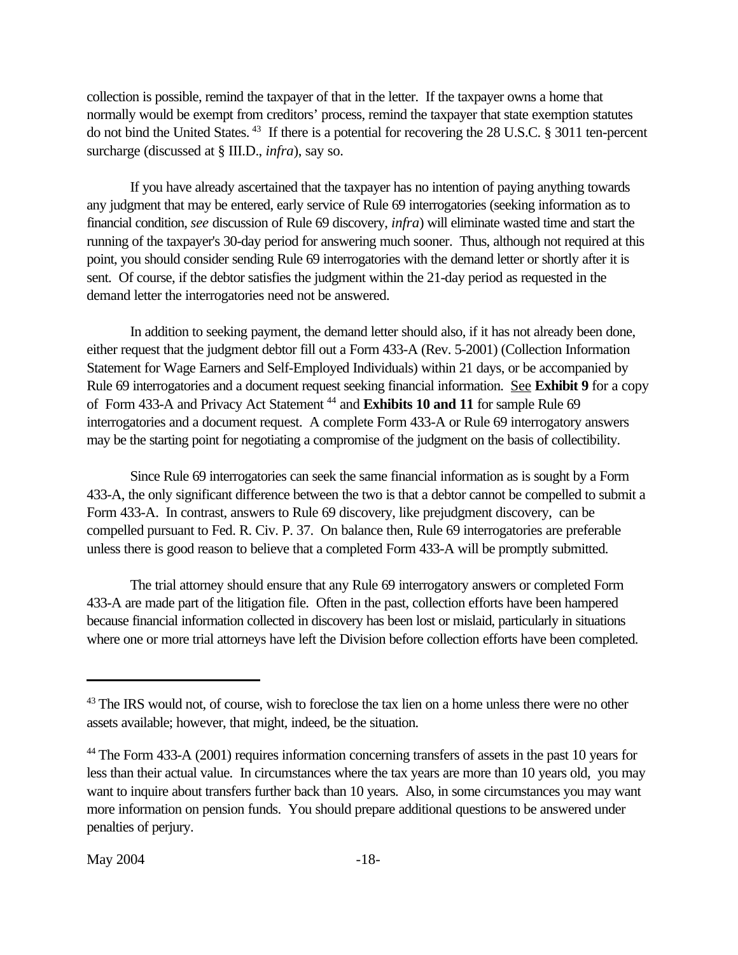collection is possible, remind the taxpayer of that in the letter. If the taxpayer owns a home that normally would be exempt from creditors' process, remind the taxpayer that state exemption statutes do not bind the United States.<sup>43</sup> If there is a potential for recovering the 28 U.S.C. § 3011 ten-percent surcharge (discussed at § III.D., *infra*), say so.

If you have already ascertained that the taxpayer has no intention of paying anything towards any judgment that may be entered, early service of Rule 69 interrogatories (seeking information as to financial condition, *see* discussion of Rule 69 discovery, *infra*) will eliminate wasted time and start the running of the taxpayer's 30-day period for answering much sooner. Thus, although not required at this point, you should consider sending Rule 69 interrogatories with the demand letter or shortly after it is sent. Of course, if the debtor satisfies the judgment within the 21-day period as requested in the demand letter the interrogatories need not be answered.

In addition to seeking payment, the demand letter should also, if it has not already been done, either request that the judgment debtor fill out a Form 433-A (Rev. 5-2001) (Collection Information Statement for Wage Earners and Self-Employed Individuals) within 21 days, or be accompanied by Rule 69 interrogatories and a document request seeking financial information. See **[Exhibit 9](www.usdoj.gov/tax/readingroom/JCM2004/exh09.pdf)** for a copy of Form 433-A and Privacy Act Statement<sup>44</sup> and **[Exhibits 10](www.usdoj.gov/tax/readingroom/JCM2004/exh10.pdf) and [11](www.usdoj.gov/tax/readingroom/JCM2004/exh11.pdf)** for sample Rule 69 interrogatories and a document request. A complete Form 433-A or Rule 69 interrogatory answers may be the starting point for negotiating a compromise of the judgment on the basis of collectibility.

Since Rule 69 interrogatories can seek the same financial information as is sought by a Form 433-A, the only significant difference between the two is that a debtor cannot be compelled to submit a Form 433-A. In contrast, answers to Rule 69 discovery, like prejudgment discovery, can be compelled pursuant to Fed. R. Civ. P. 37. On balance then, Rule 69 interrogatories are preferable unless there is good reason to believe that a completed Form 433-A will be promptly submitted.

The trial attorney should ensure that any Rule 69 interrogatory answers or completed Form 433-A are made part of the litigation file. Often in the past, collection efforts have been hampered because financial information collected in discovery has been lost or mislaid, particularly in situations where one or more trial attorneys have left the Division before collection efforts have been completed.

<sup>&</sup>lt;sup>43</sup> The IRS would not, of course, wish to foreclose the tax lien on a home unless there were no other assets available; however, that might, indeed, be the situation.

<sup>&</sup>lt;sup>44</sup> The Form 433-A (2001) requires information concerning transfers of assets in the past 10 years for less than their actual value. In circumstances where the tax years are more than 10 years old, you may want to inquire about transfers further back than 10 years. Also, in some circumstances you may want more information on pension funds. You should prepare additional questions to be answered under penalties of perjury.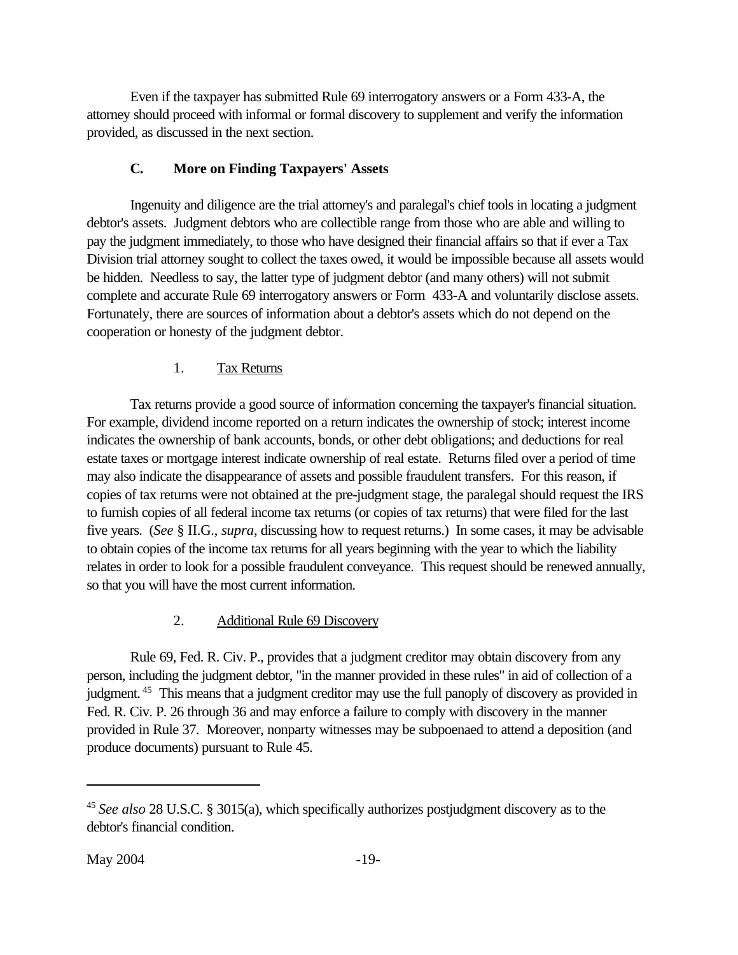<span id="page-25-0"></span>Even if the taxpayer has submitted Rule 69 interrogatory answers or a Form 433-A, the attorney should proceed with informal or formal discovery to supplement and verify the information provided, as discussed in the next section.

# **C. More on Finding Taxpayers' Assets**

Ingenuity and diligence are the trial attorney's and paralegal's chief tools in locating a judgment debtor's assets. Judgment debtors who are collectible range from those who are able and willing to pay the judgment immediately, to those who have designed their financial affairs so that if ever a Tax Division trial attorney sought to collect the taxes owed, it would be impossible because all assets would be hidden. Needless to say, the latter type of judgment debtor (and many others) will not submit complete and accurate Rule 69 interrogatory answers or Form 433-A and voluntarily disclose assets. Fortunately, there are sources of information about a debtor's assets which do not depend on the cooperation or honesty of the judgment debtor.

# 1. Tax Returns

Tax returns provide a good source of information concerning the taxpayer's financial situation. For example, dividend income reported on a return indicates the ownership of stock; interest income indicates the ownership of bank accounts, bonds, or other debt obligations; and deductions for real estate taxes or mortgage interest indicate ownership of real estate. Returns filed over a period of time may also indicate the disappearance of assets and possible fraudulent transfers. For this reason, if copies of tax returns were not obtained at the pre-judgment stage, the paralegal should request the IRS to furnish copies of all federal income tax returns (or copies of tax returns) that were filed for the last five years. (*See* § II.G., *supra*, discussing how to request returns.) In some cases, it may be advisable to obtain copies of the income tax returns for all years beginning with the year to which the liability relates in order to look for a possible fraudulent conveyance. This request should be renewed annually, so that you will have the most current information.

# 2. Additional Rule 69 Discovery

Rule 69, Fed. R. Civ. P., provides that a judgment creditor may obtain discovery from any person, including the judgment debtor, "in the manner provided in these rules" in aid of collection of a judgment.<sup>45</sup> This means that a judgment creditor may use the full panoply of discovery as provided in Fed. R. Civ. P. 26 through 36 and may enforce a failure to comply with discovery in the manner provided in Rule 37. Moreover, nonparty witnesses may be subpoenaed to attend a deposition (and produce documents) pursuant to Rule 45.

<sup>45</sup>*See also* 28 U.S.C. § 3015(a), which specifically authorizes postjudgment discovery as to the debtor's financial condition.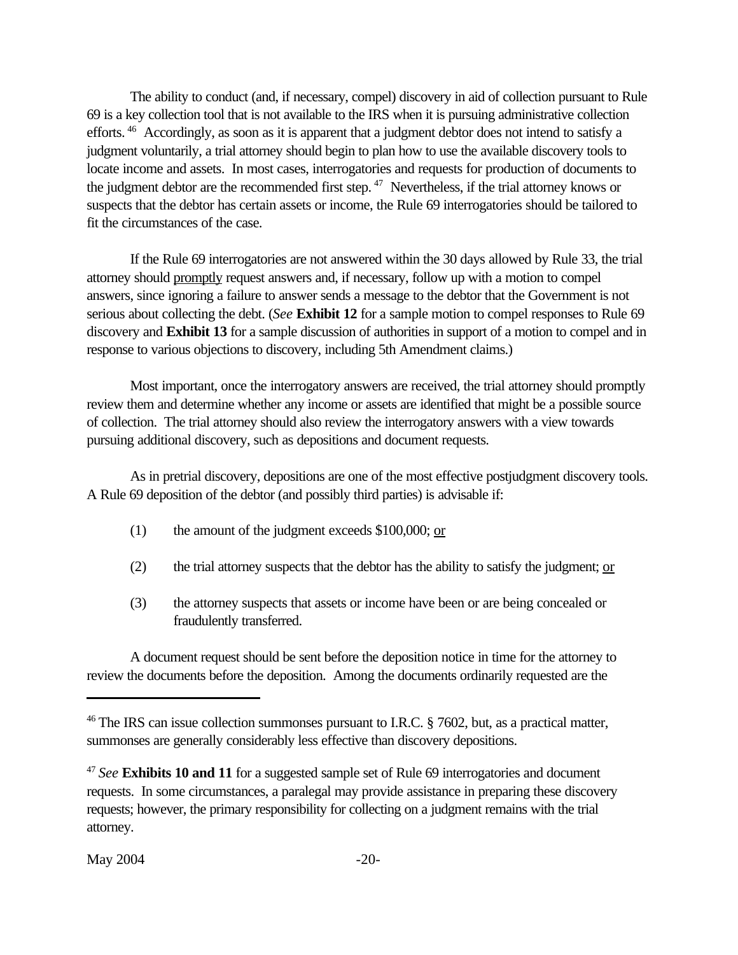The ability to conduct (and, if necessary, compel) discovery in aid of collection pursuant to Rule 69 is a key collection tool that is not available to the IRS when it is pursuing administrative collection efforts.<sup>46</sup> Accordingly, as soon as it is apparent that a judgment debtor does not intend to satisfy a judgment voluntarily, a trial attorney should begin to plan how to use the available discovery tools to locate income and assets. In most cases, interrogatories and requests for production of documents to the judgment debtor are the recommended first step.<sup>47</sup> Nevertheless, if the trial attorney knows or suspects that the debtor has certain assets or income, the Rule 69 interrogatories should be tailored to fit the circumstances of the case.

If the Rule 69 interrogatories are not answered within the 30 days allowed by Rule 33, the trial attorney should promptly request answers and, if necessary, follow up with a motion to compel answers, since ignoring a failure to answer sends a message to the debtor that the Government is not serious about collecting the debt. (*See* **[Exhibit 12](www.usdoj.gov/tax/readingroom/JCM2004/exh12.pdf)** for a sample motion to compel responses to Rule 69 discovery and **[Exhibit 13](www.usdoj.gov/tax/readingroom/JCM2004/exh13.pdf)** for a sample discussion of authorities in support of a motion to compel and in response to various objections to discovery, including 5th Amendment claims.)

Most important, once the interrogatory answers are received, the trial attorney should promptly review them and determine whether any income or assets are identified that might be a possible source of collection. The trial attorney should also review the interrogatory answers with a view towards pursuing additional discovery, such as depositions and document requests.

As in pretrial discovery, depositions are one of the most effective postjudgment discovery tools. A Rule 69 deposition of the debtor (and possibly third parties) is advisable if:

- (1) the amount of the judgment exceeds  $$100,000;$  or
- (2) the trial attorney suspects that the debtor has the ability to satisfy the judgment;  $or$ </u>
- (3) the attorney suspects that assets or income have been or are being concealed or fraudulently transferred.

A document request should be sent before the deposition notice in time for the attorney to review the documents before the deposition. Among the documents ordinarily requested are the

<sup>&</sup>lt;sup>46</sup> The IRS can issue collection summonses pursuant to I.R.C.  $\S$  7602, but, as a practical matter, summonses are generally considerably less effective than discovery depositions.

<sup>47</sup>*See* **[Exhibits 10](www.usdoj.gov/tax/readingroom/JCM2004/exh10.pdf) and [11](www.usdoj.gov/tax/readingroom/JCM2004/exh11.pdf)** for a suggested sample set of Rule 69 interrogatories and document requests. In some circumstances, a paralegal may provide assistance in preparing these discovery requests; however, the primary responsibility for collecting on a judgment remains with the trial attorney.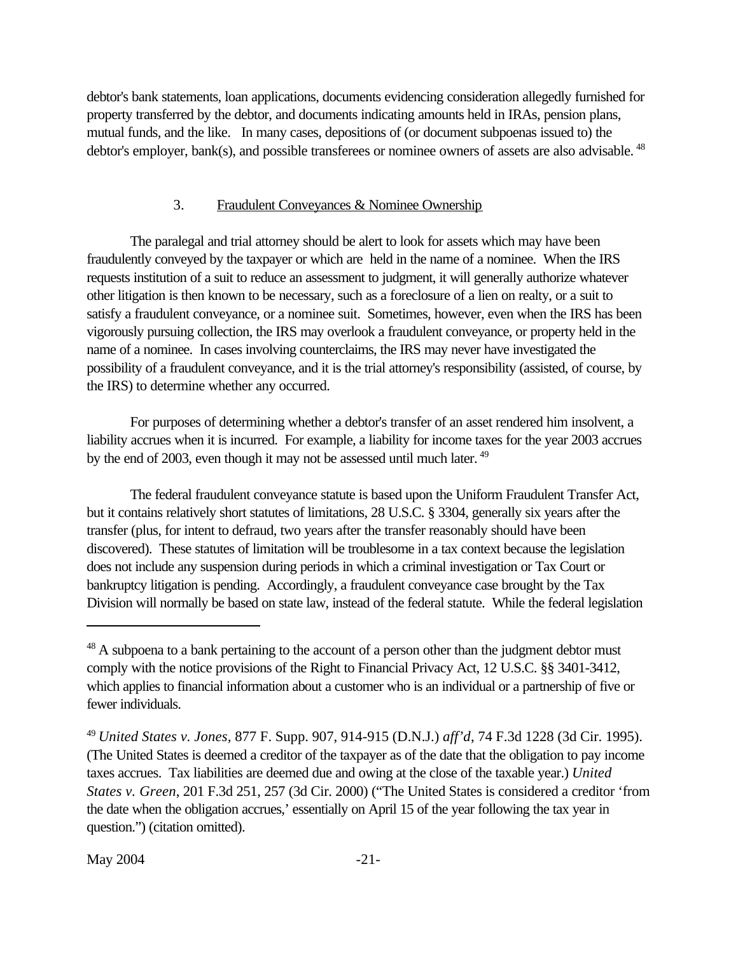<span id="page-27-0"></span>debtor's bank statements, loan applications, documents evidencing consideration allegedly furnished for property transferred by the debtor, and documents indicating amounts held in IRAs, pension plans, mutual funds, and the like. In many cases, depositions of (or document subpoenas issued to) the debtor's employer, bank(s), and possible transferees or nominee owners of assets are also advisable.<sup>48</sup>

#### 3. Fraudulent Conveyances & Nominee Ownership

The paralegal and trial attorney should be alert to look for assets which may have been fraudulently conveyed by the taxpayer or which are held in the name of a nominee. When the IRS requests institution of a suit to reduce an assessment to judgment, it will generally authorize whatever other litigation is then known to be necessary, such as a foreclosure of a lien on realty, or a suit to satisfy a fraudulent conveyance, or a nominee suit. Sometimes, however, even when the IRS has been vigorously pursuing collection, the IRS may overlook a fraudulent conveyance, or property held in the name of a nominee. In cases involving counterclaims, the IRS may never have investigated the possibility of a fraudulent conveyance, and it is the trial attorney's responsibility (assisted, of course, by the IRS) to determine whether any occurred.

For purposes of determining whether a debtor's transfer of an asset rendered him insolvent, a liability accrues when it is incurred. For example, a liability for income taxes for the year 2003 accrues by the end of 2003, even though it may not be assessed until much later.<sup>49</sup>

The federal fraudulent conveyance statute is based upon the Uniform Fraudulent Transfer Act, but it contains relatively short statutes of limitations, 28 U.S.C. § 3304, generally six years after the transfer (plus, for intent to defraud, two years after the transfer reasonably should have been discovered). These statutes of limitation will be troublesome in a tax context because the legislation does not include any suspension during periods in which a criminal investigation or Tax Court or bankruptcy litigation is pending. Accordingly, a fraudulent conveyance case brought by the Tax Division will normally be based on state law, instead of the federal statute. While the federal legislation

<sup>&</sup>lt;sup>48</sup> A subpoena to a bank pertaining to the account of a person other than the judgment debtor must comply with the notice provisions of the Right to Financial Privacy Act, 12 U.S.C. §§ 3401-3412, which applies to financial information about a customer who is an individual or a partnership of five or fewer individuals.

<sup>49</sup>*United States v. Jones,* 877 F. Supp. 907, 914-915 (D.N.J.) *aff'd*, 74 F.3d 1228 (3d Cir. 1995). (The United States is deemed a creditor of the taxpayer as of the date that the obligation to pay income taxes accrues. Tax liabilities are deemed due and owing at the close of the taxable year.) *United States v. Green*, 201 F.3d 251, 257 (3d Cir. 2000) ("The United States is considered a creditor 'from the date when the obligation accrues,' essentially on April 15 of the year following the tax year in question.") (citation omitted).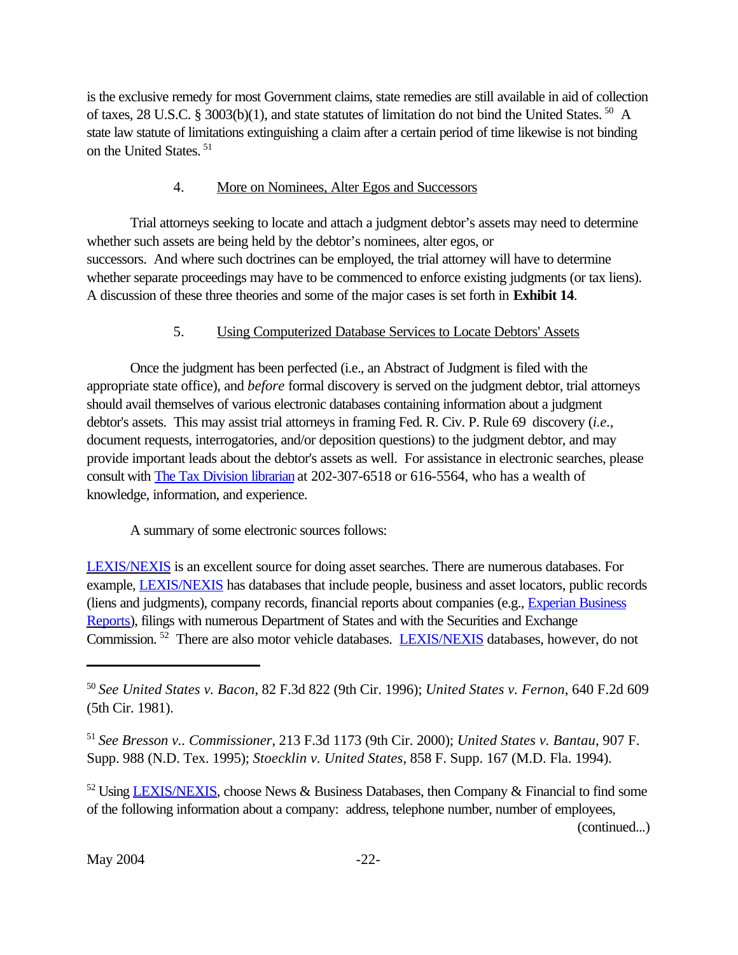<span id="page-28-0"></span>is the exclusive remedy for most Government claims, state remedies are still available in aid of collection of taxes, 28 U.S.C. § 3003(b)(1), and state statutes of limitation do not bind the United States.<sup>50</sup> A state law statute of limitations extinguishing a claim after a certain period of time likewise is not binding on the United States.<sup>51</sup>

# 4. More on Nominees, Alter Egos and Successors

Trial attorneys seeking to locate and attach a judgment debtor's assets may need to determine whether such assets are being held by the debtor's nominees, alter egos, or successors. And where such doctrines can be employed, the trial attorney will have to determine whether separate proceedings may have to be commenced to enforce existing judgments (or tax liens). A discussion of these three theories and some of the major cases is set forth in **[Exhibit 14](www.usdoj.gov/tax/readingroom/JCM2004/exh14.pdf)**.

# 5. Using Computerized Database Services to Locate Debtors' Assets

Once the judgment has been perfected (i.e., an Abstract of Judgment is filed with the appropriate state office), and *before* formal discovery is served on the judgment debtor, trial attorneys should avail themselves of various electronic databases containing information about a judgment debtor's assets. This may assist trial attorneys in framing Fed. R. Civ. P. Rule 69 discovery (*i.e*., document requests, interrogatories, and/or deposition questions) to the judgment debtor, and may provide important leads about the debtor's assets as well. For assistance in electronic searches, please consult with The Tax Division librarian at 202-307-6518 or 616-5564, who has a wealth of knowledge, information, and experience.

A summary of some electronic sources follows:

[LEXIS/NEXIS](http://www.lexis.com) is an excellent source for doing asset searches. There are numerous databases. For example, [LEXIS/NEXIS](http://www.lexis.com) has databases that include people, business and asset locators, public records (liens and judgments), company records, financial reports about companies (e.g., *[Experian Business](http://www.experian.com/product/bcredit/prodinfo.html)* [Reports\)](http://www.experian.com/product/bcredit/prodinfo.html), filings with numerous Department of States and with the Securities and Exchange Commission.<sup>52</sup> There are also motor vehicle databases. [LEXIS/NEXIS](http://www.lexis.com) databases, however, do not

(continued...)

<sup>50</sup>*See United States v. Bacon*, 82 F.3d 822 (9th Cir. 1996); *United States v. Fernon*, 640 F.2d 609 (5th Cir. 1981).

<sup>51</sup>*See Bresson v.. Commissioner*, 213 F.3d 1173 (9th Cir. 2000); *United States v. Bantau*, 907 F. Supp. 988 (N.D. Tex. 1995); *Stoecklin v. United States*, 858 F. Supp. 167 (M.D. Fla. 1994).

 $52$  Using [LEXIS/NEXIS,](http://www.lexis.com) choose News & Business Databases, then Company & Financial to find some of the following information about a company: address, telephone number, number of employees,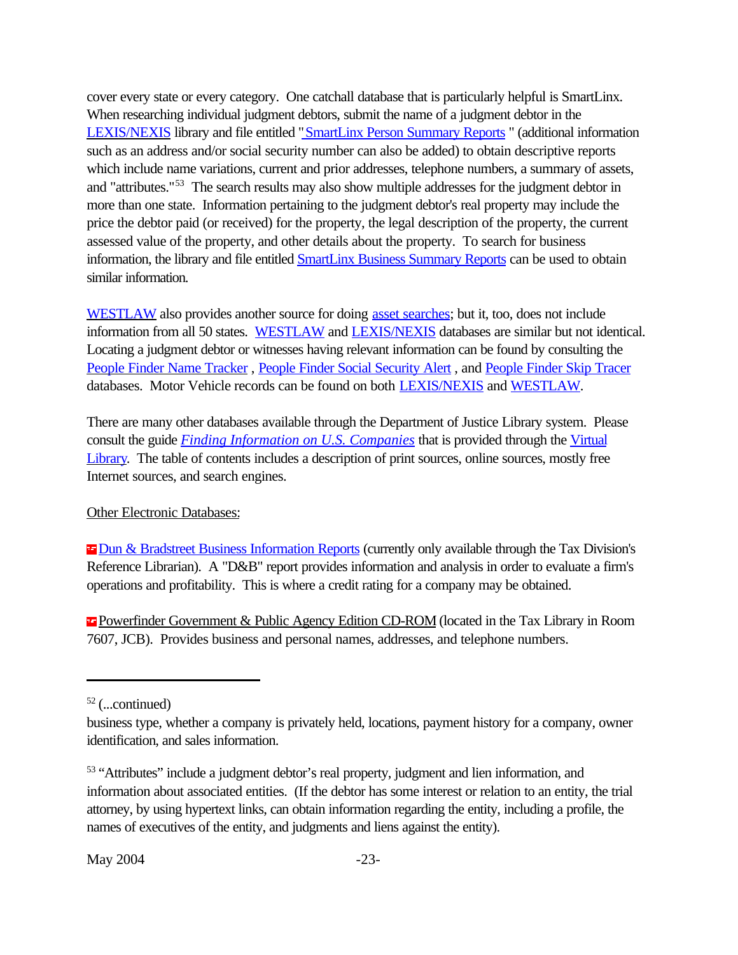cover every state or every category. One catchall database that is particularly helpful is SmartLinx. When researching individual judgment debtors, submit the name of a judgment debtor in the [LEXIS/NEXIS](http://www.lexis.com) library and file entitled "SmartLinx Person Summary Reports " (additional information such as an address and/or social security number can also be added) to obtain descriptive reports which include name variations, current and prior addresses, telephone numbers, a summary of assets, and "attributes."<sup>53</sup> The search results may also show multiple addresses for the judgment debtor in more than one state. Information pertaining to the judgment debtor's real property may include the price the debtor paid (or received) for the property, the legal description of the property, the current assessed value of the property, and other details about the property. To search for business information, the library and file entitled [SmartLinx Business Summary Reports](http://www.lexis.com/research/xlink?source=174611&autosubmit=no&searchtype=adf&search=&keytnum=1&keyenum=24534) can be used to obtain similar information.

[WESTLAW](http://www.westlaw.com) also provides another source for doing [asset searches;](http://web2.westlaw.com/signon/default.wl?Action=search&db=asset%2Dall&FN=%5Ftop&path=%2Fsearch%2Fdefault%2Ewl&RS=ITK3%2E0&ssl=n&strRecreate=no&VR=1%2E0&bhcp=1) but it, too, does not include information from all 50 states. [WESTLAW](http://www.westlaw.com) and [LEXIS/NEXIS](http://www.lexis.com) databases are similar but not identical. Locating a judgment debtor or witnesses having relevant information can be found by consulting the [People Finder Name Tracker](http://web2.westlaw.com/signon/default.wl?Action=search&bhcp=1&db=people%2Dname&FN=%5Ftop&newdoor=true&path=%2Fsearch%2Fdefault%2Ewl&RS=ITK3%2E0&ssl=n&strRecreate=no&VR=1%2E0) , [People Finder Social Security Alert](http://web2.westlaw.com/signon/default.wl?Action=search&db=ssn%2Dalert&FN=%5Ftop&newdoor=true&path=%2Fsearch%2Fdefault%2Ewl&RS=ITK3%2E0&ssl=n&strRecreate=no&VR=1%2E0) , and [People Finder Skip Tracer](http://web2.westlaw.com/signon/default.wl?Action=search&db=people%2Dtrack&FN=%5Ftop&newdoor=true&path=%2Fsearch%2Fdefault%2Ewl&RS=ITK3%2E0&ssl=n&strRecreate=no&VR=1%2E0) databases. Motor Vehicle records can be found on both [LEXIS/NEXIS](http://www.lexis.com) and [WESTLAW.](http://www.westlaw.com)

There are many other databases available through the Department of Justice Library system. Please consult the guide *Finding Information on U.S. Companies* that is provided through the Virtual Library. The table of contents includes a description of print sources, online sources, mostly free Internet sources, and search engines.

#### Other Electronic Databases:

**E [Dun & Bradstreet Business Information Reports](http://www.dnb.com/us/) (currently only available through the Tax Division's** Reference Librarian). A "D&B" report provides information and analysis in order to evaluate a firm's operations and profitability. This is where a credit rating for a company may be obtained.

Powerfinder Government & Public Agency Edition CD-ROM (located in the Tax Library in Room 7607, JCB). Provides business and personal names, addresses, and telephone numbers.

 $52$  (...continued)

business type, whether a company is privately held, locations, payment history for a company, owner identification, and sales information.

<sup>&</sup>lt;sup>53</sup> "Attributes" include a judgment debtor's real property, judgment and lien information, and information about associated entities. (If the debtor has some interest or relation to an entity, the trial attorney, by using hypertext links, can obtain information regarding the entity, including a profile, the names of executives of the entity, and judgments and liens against the entity).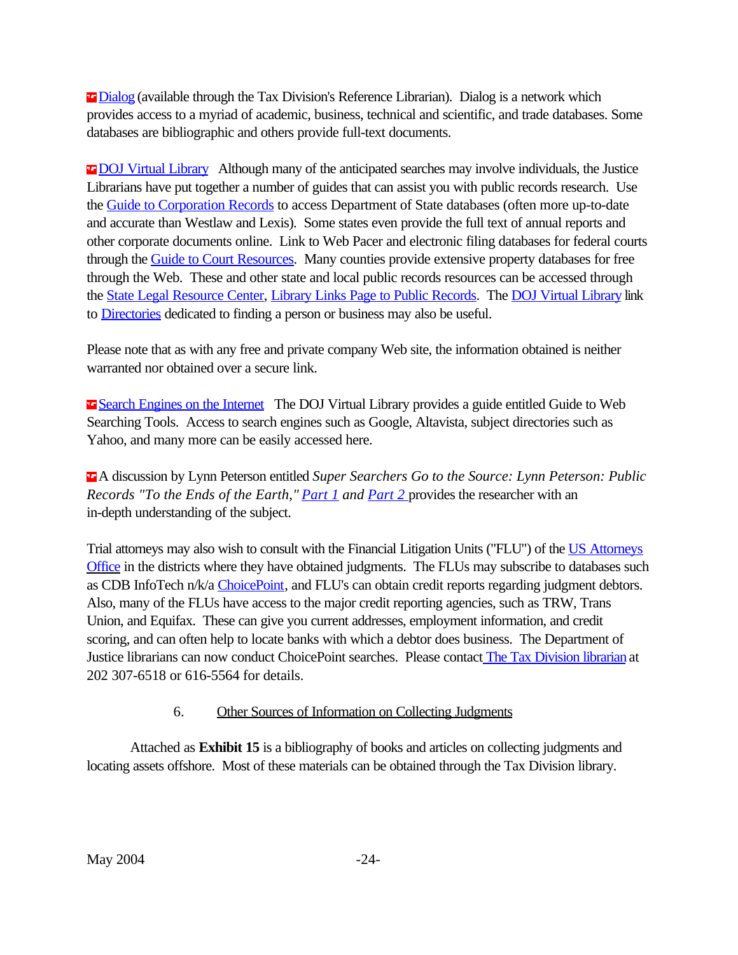<span id="page-30-0"></span>**Example 1** Dialog (available through the Tax Division's Reference Librarian). Dialog is a network which provides access to a myriad of academic, business, technical and scientific, and trade databases. Some databases are bibliographic and others provide full-text documents.

**E DOJ Virtual Library** Although many of the anticipated searches may involve individuals, the Justice Librarians have put together a number of guides that can assist you with public records research. Use the Guide to Corporation Records to access Department of State databases (often more up-to-date and accurate than Westlaw and Lexis). Some states even provide the full text of annual reports and other corporate documents online. Link to Web Pacer and electronic filing databases for federal courts through the Guide to Court Resources. Many counties provide extensive property databases for free through the Web. These and other state and local public records resources can be accessed through the State Legal Resource Center, Library Links Page to Public Records. The DOJ Virtual Library link to Directories dedicated to finding a person or business may also be useful.

Please note that as with any free and private company Web site, the information obtained is neither warranted nor obtained over a secure link.

**Example Search Engines on the Internet** The DOJ Virtual Library provides a guide entitled Guide to Web Searching Tools. Access to search engines such as Google, Altavista, subject directories such as Yahoo, and many more can be easily accessed here.

 A discussion by Lynn Peterson entitled *Super Searchers Go to the Source: Lynn Peterson: Public Records "To the Ends of the Earth," [Part 1](http://www.llrx.com/features/peterson.htm) and [Part 2](http://www.llrx.com/features/peterson2.htm)* provides the researcher with an in-depth understanding of the subject.

Trial attorneys may also wish to consult with the Financial Litigation Units ("FLU") of the [US Attorneys](http://www.usdoj.gov/usao/offices/index.html) [Office](http://www.usdoj.gov/usao/offices/index.html) in the districts where they have obtained judgments. The FLUs may subscribe to databases such as CDB InfoTech n/k/a [ChoicePoint](http://www.choicepointonline.com/cdb/), and FLU's can obtain credit reports regarding judgment debtors. Also, many of the FLUs have access to the major credit reporting agencies, such as TRW, Trans Union, and Equifax. These can give you current addresses, employment information, and credit scoring, and can often help to locate banks with which a debtor does business. The Department of Justice librarians can now conduct ChoicePoint searches. Please contact The Tax Division librarian at 202 307-6518 or 616-5564 for details.

# 6. Other Sources of Information on Collecting Judgments

Attached as **[Exhibit 15](www.usdoj.gov/tax/readingroom/JCM2004/exh15.pdf)** is a bibliography of books and articles on collecting judgments and locating assets offshore. Most of these materials can be obtained through the Tax Division library.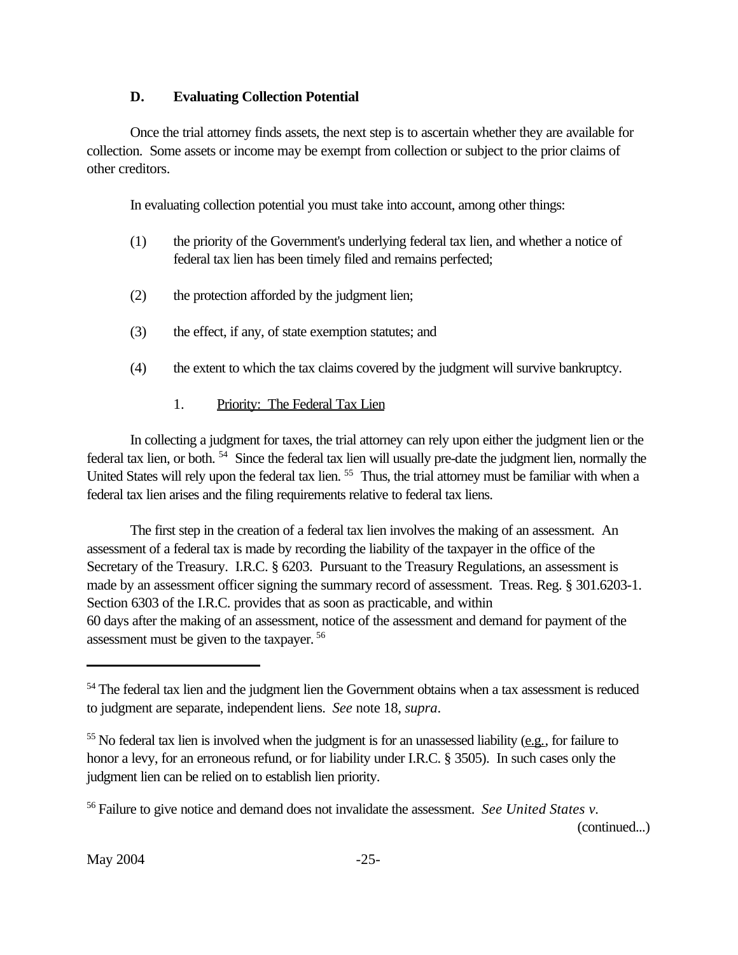# **D. Evaluating Collection Potential**

<span id="page-31-0"></span>Once the trial attorney finds assets, the next step is to ascertain whether they are available for collection. Some assets or income may be exempt from collection or subject to the prior claims of other creditors.

In evaluating collection potential you must take into account, among other things:

- (1) the priority of the Government's underlying federal tax lien, and whether a notice of federal tax lien has been timely filed and remains perfected;
- (2) the protection afforded by the judgment lien;
- (3) the effect, if any, of state exemption statutes; and
- (4) the extent to which the tax claims covered by the judgment will survive bankruptcy.
	- 1. Priority: The Federal Tax Lien

In collecting a judgment for taxes, the trial attorney can rely upon either the judgment lien or the federal tax lien, or both.<sup>54</sup> Since the federal tax lien will usually pre-date the judgment lien, normally the United States will rely upon the federal tax lien.<sup>55</sup> Thus, the trial attorney must be familiar with when a federal tax lien arises and the filing requirements relative to federal tax liens.

The first step in the creation of a federal tax lien involves the making of an assessment. An assessment of a federal tax is made by recording the liability of the taxpayer in the office of the Secretary of the Treasury. I.R.C. § 6203. Pursuant to the Treasury Regulations, an assessment is made by an assessment officer signing the summary record of assessment. Treas. Reg. § 301.6203-1. Section 6303 of the I.R.C. provides that as soon as practicable, and within 60 days after the making of an assessment, notice of the assessment and demand for payment of the assessment must be given to the taxpayer. 56

(continued...)

<sup>&</sup>lt;sup>54</sup> The federal tax lien and the judgment lien the Government obtains when a tax assessment is reduced to judgment are separate, independent liens. *See* note 18, *supra*.

<sup>&</sup>lt;sup>55</sup> No federal tax lien is involved when the judgment is for an unassessed liability (e.g., for failure to honor a levy, for an erroneous refund, or for liability under I.R.C. § 3505). In such cases only the judgment lien can be relied on to establish lien priority.

<sup>56</sup>Failure to give notice and demand does not invalidate the assessment. *See United States v.*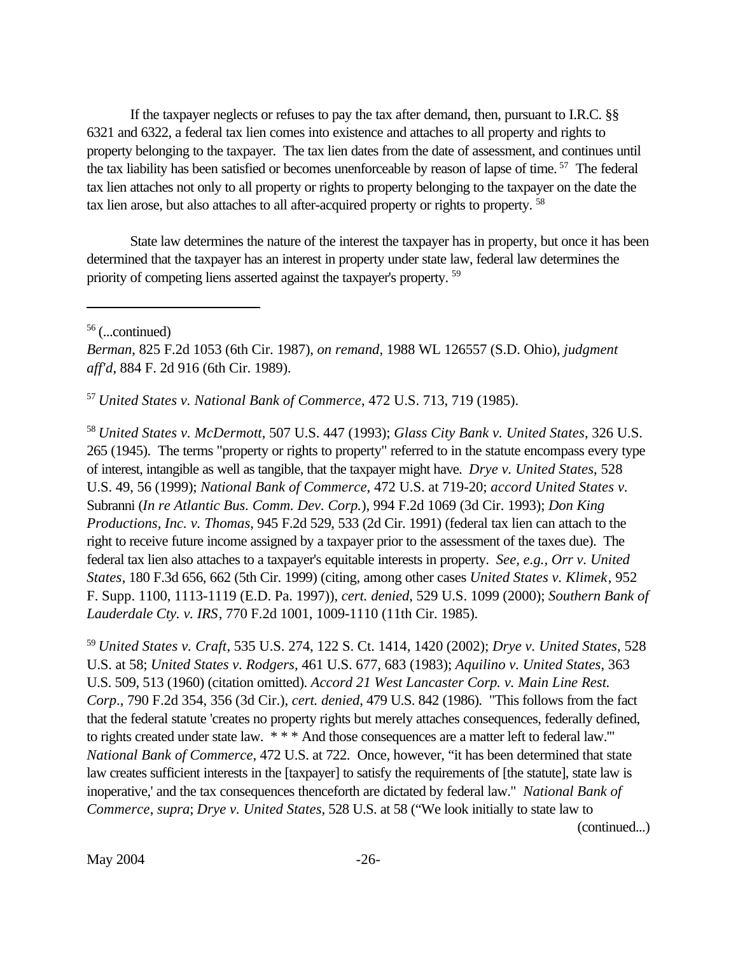If the taxpayer neglects or refuses to pay the tax after demand, then, pursuant to I.R.C. §§ 6321 and 6322, a federal tax lien comes into existence and attaches to all property and rights to property belonging to the taxpayer. The tax lien dates from the date of assessment, and continues until the tax liability has been satisfied or becomes unenforceable by reason of lapse of time.<sup>57</sup> The federal tax lien attaches not only to all property or rights to property belonging to the taxpayer on the date the tax lien arose, but also attaches to all after-acquired property or rights to property.<sup>58</sup>

State law determines the nature of the interest the taxpayer has in property, but once it has been determined that the taxpayer has an interest in property under state law, federal law determines the priority of competing liens asserted against the taxpayer's property. 59

<sup>57</sup>*United States v. National Bank of Commerce*, 472 U.S. 713, 719 (1985).

<sup>58</sup>*United States v. McDermott*, 507 U.S. 447 (1993); *Glass City Bank v. United States*, 326 U.S. 265 (1945). The terms "property or rights to property" referred to in the statute encompass every type of interest, intangible as well as tangible, that the taxpayer might have. *Drye v. United States*, 528 U.S. 49, 56 (1999); *National Bank of Commerce*, 472 U.S. at 719-20; *accord United States v.* Subranni (*In re Atlantic Bus. Comm. Dev. Corp.*), 994 F.2d 1069 (3d Cir. 1993); *Don King Productions, Inc. v. Thomas*, 945 F.2d 529, 533 (2d Cir. 1991) (federal tax lien can attach to the right to receive future income assigned by a taxpayer prior to the assessment of the taxes due). The federal tax lien also attaches to a taxpayer's equitable interests in property. *See, e.g., Orr v. United States*, 180 F.3d 656, 662 (5th Cir. 1999) (citing, among other cases *United States v. Klimek*, 952 F. Supp. 1100, 1113-1119 (E.D. Pa. 1997)), *cert. denied*, 529 U.S. 1099 (2000); *Southern Bank of Lauderdale Cty. v. IRS*, 770 F.2d 1001, 1009-1110 (11th Cir. 1985).

<sup>59</sup>*United States v. Craft*, 535 U.S. 274, 122 S. Ct. 1414, 1420 (2002); *Drye v. United States*, 528 U.S. at 58; *United States v. Rodgers*, 461 U.S. 677, 683 (1983); *Aquilino v. United States*, 363 U.S. 509, 513 (1960) (citation omitted). *Accord 21 West Lancaster Corp. v. Main Line Rest. Corp*., 790 F.2d 354, 356 (3d Cir.), *cert. denied*, 479 U.S. 842 (1986). "This follows from the fact that the federal statute 'creates no property rights but merely attaches consequences, federally defined, to rights created under state law. \* \* \* And those consequences are a matter left to federal law.'" *National Bank of Commerce*, 472 U.S. at 722. Once, however, "it has been determined that state law creates sufficient interests in the [taxpayer] to satisfy the requirements of [the statute], state law is inoperative,' and the tax consequences thenceforth are dictated by federal law." *National Bank of Commerce*, *supra*; *Drye v. United States*, 528 U.S. at 58 ("We look initially to state law to

(continued...)

May 2004 -26-

<sup>56</sup>(...continued)

*Berman*, 825 F.2d 1053 (6th Cir. 1987), *on remand*, 1988 WL 126557 (S.D. Ohio), *judgment aff'd*, 884 F. 2d 916 (6th Cir. 1989).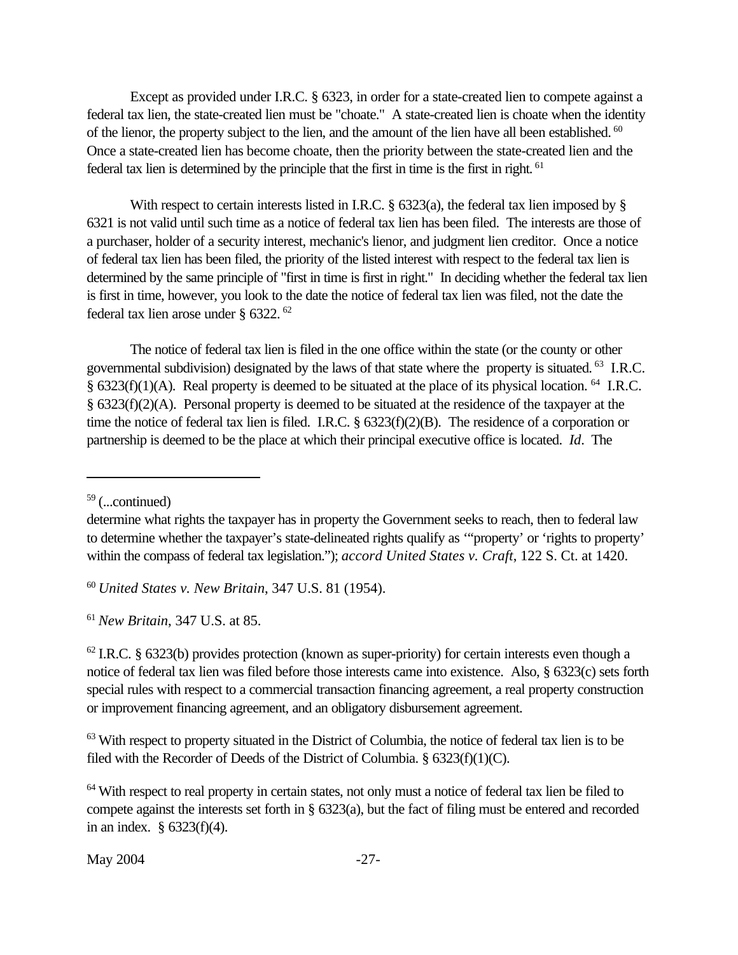Except as provided under I.R.C. § 6323, in order for a state-created lien to compete against a federal tax lien, the state-created lien must be "choate." A state-created lien is choate when the identity of the lienor, the property subject to the lien, and the amount of the lien have all been established.<sup>60</sup> Once a state-created lien has become choate, then the priority between the state-created lien and the federal tax lien is determined by the principle that the first in time is the first in right.<sup>61</sup>

With respect to certain interests listed in I.R.C.  $\S$  6323(a), the federal tax lien imposed by  $\S$ 6321 is not valid until such time as a notice of federal tax lien has been filed. The interests are those of a purchaser, holder of a security interest, mechanic's lienor, and judgment lien creditor. Once a notice of federal tax lien has been filed, the priority of the listed interest with respect to the federal tax lien is determined by the same principle of "first in time is first in right." In deciding whether the federal tax lien is first in time, however, you look to the date the notice of federal tax lien was filed, not the date the federal tax lien arose under § 6322.<sup>62</sup>

The notice of federal tax lien is filed in the one office within the state (or the county or other governmental subdivision) designated by the laws of that state where the property is situated.<sup>63</sup> I.R.C. § 6323(f)(1)(A). Real property is deemed to be situated at the place of its physical location.<sup>64</sup> I.R.C. § 6323(f)(2)(A). Personal property is deemed to be situated at the residence of the taxpayer at the time the notice of federal tax lien is filed. I.R.C. § 6323(f)(2)(B). The residence of a corporation or partnership is deemed to be the place at which their principal executive office is located. *Id*. The

<sup>60</sup>*United States v. New Britain*, 347 U.S. 81 (1954).

<sup>61</sup>*New Britain*, 347 U.S. at 85.

 $62$  I.R.C. § 6323(b) provides protection (known as super-priority) for certain interests even though a notice of federal tax lien was filed before those interests came into existence. Also, § 6323(c) sets forth special rules with respect to a commercial transaction financing agreement, a real property construction or improvement financing agreement, and an obligatory disbursement agreement.

<sup>63</sup> With respect to property situated in the District of Columbia, the notice of federal tax lien is to be filed with the Recorder of Deeds of the District of Columbia. § 6323(f)(1)(C).

<sup>64</sup> With respect to real property in certain states, not only must a notice of federal tax lien be filed to compete against the interests set forth in § 6323(a), but the fact of filing must be entered and recorded in an index. § 6323(f)(4).

 $59$  (...continued)

determine what rights the taxpayer has in property the Government seeks to reach, then to federal law to determine whether the taxpayer's state-delineated rights qualify as '"property' or 'rights to property' within the compass of federal tax legislation."); *accord United States v. Craft*, 122 S. Ct. at 1420.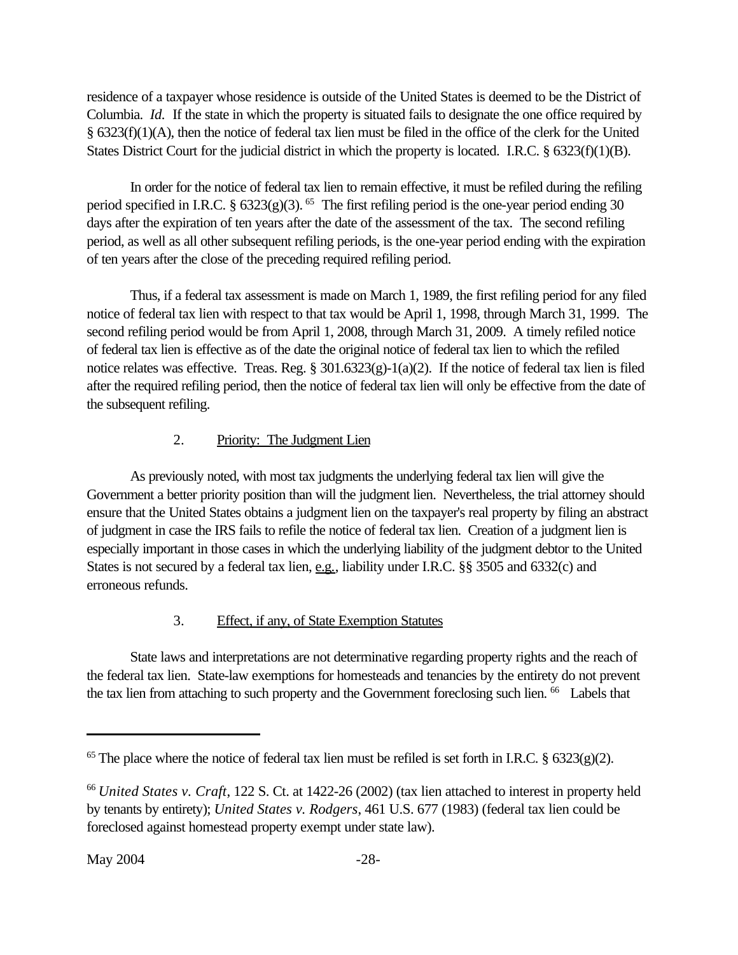<span id="page-34-0"></span>residence of a taxpayer whose residence is outside of the United States is deemed to be the District of Columbia. *Id.* If the state in which the property is situated fails to designate the one office required by § 6323(f)(1)(A), then the notice of federal tax lien must be filed in the office of the clerk for the United States District Court for the judicial district in which the property is located. I.R.C. § 6323(f)(1)(B).

In order for the notice of federal tax lien to remain effective, it must be refiled during the refiling period specified in I.R.C.  $\S$  6323(g)(3).<sup>65</sup> The first refiling period is the one-year period ending 30 days after the expiration of ten years after the date of the assessment of the tax. The second refiling period, as well as all other subsequent refiling periods, is the one-year period ending with the expiration of ten years after the close of the preceding required refiling period.

Thus, if a federal tax assessment is made on March 1, 1989, the first refiling period for any filed notice of federal tax lien with respect to that tax would be April 1, 1998, through March 31, 1999. The second refiling period would be from April 1, 2008, through March 31, 2009. A timely refiled notice of federal tax lien is effective as of the date the original notice of federal tax lien to which the refiled notice relates was effective. Treas. Reg.  $\S 301.6323(g)-1(a)(2)$ . If the notice of federal tax lien is filed after the required refiling period, then the notice of federal tax lien will only be effective from the date of the subsequent refiling.

# 2. Priority: The Judgment Lien

As previously noted, with most tax judgments the underlying federal tax lien will give the Government a better priority position than will the judgment lien. Nevertheless, the trial attorney should ensure that the United States obtains a judgment lien on the taxpayer's real property by filing an abstract of judgment in case the IRS fails to refile the notice of federal tax lien. Creation of a judgment lien is especially important in those cases in which the underlying liability of the judgment debtor to the United States is not secured by a federal tax lien, e.g., liability under I.R.C. §§ 3505 and 6332(c) and erroneous refunds.

# 3. Effect, if any, of State Exemption Statutes

State laws and interpretations are not determinative regarding property rights and the reach of the federal tax lien. State-law exemptions for homesteads and tenancies by the entirety do not prevent the tax lien from attaching to such property and the Government foreclosing such lien. <sup>66</sup> Labels that

<sup>&</sup>lt;sup>65</sup> The place where the notice of federal tax lien must be refiled is set forth in I.R.C. § 6323(g)(2).

<sup>66</sup>*United States v. Craft*, 122 S. Ct. at 1422-26 (2002) (tax lien attached to interest in property held by tenants by entirety); *United States v. Rodgers*, 461 U.S. 677 (1983) (federal tax lien could be foreclosed against homestead property exempt under state law).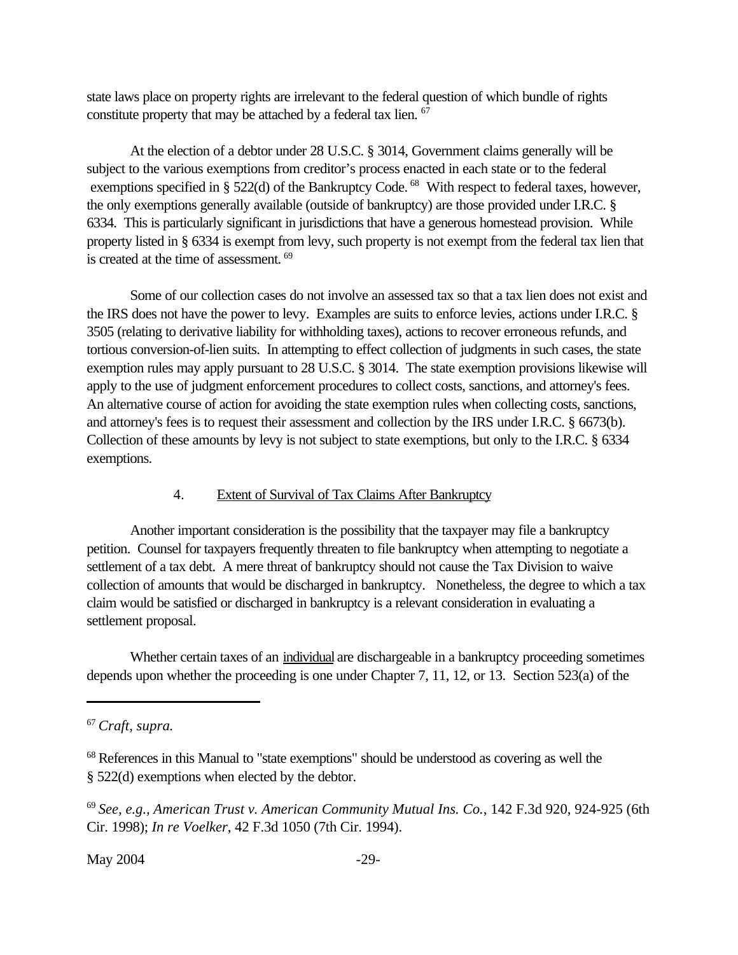<span id="page-35-0"></span>state laws place on property rights are irrelevant to the federal question of which bundle of rights constitute property that may be attached by a federal tax lien.  $67$ 

At the election of a debtor under 28 U.S.C. § 3014, Government claims generally will be subject to the various exemptions from creditor's process enacted in each state or to the federal exemptions specified in § 522(d) of the Bankruptcy Code.<sup>68</sup> With respect to federal taxes, however, the only exemptions generally available (outside of bankruptcy) are those provided under I.R.C. § 6334. This is particularly significant in jurisdictions that have a generous homestead provision. While property listed in § 6334 is exempt from levy, such property is not exempt from the federal tax lien that is created at the time of assessment.<sup>69</sup>

Some of our collection cases do not involve an assessed tax so that a tax lien does not exist and the IRS does not have the power to levy. Examples are suits to enforce levies, actions under I.R.C. § 3505 (relating to derivative liability for withholding taxes), actions to recover erroneous refunds, and tortious conversion-of-lien suits. In attempting to effect collection of judgments in such cases, the state exemption rules may apply pursuant to 28 U.S.C. § 3014. The state exemption provisions likewise will apply to the use of judgment enforcement procedures to collect costs, sanctions, and attorney's fees. An alternative course of action for avoiding the state exemption rules when collecting costs, sanctions, and attorney's fees is to request their assessment and collection by the IRS under I.R.C. § 6673(b). Collection of these amounts by levy is not subject to state exemptions, but only to the I.R.C. § 6334 exemptions.

#### 4. Extent of Survival of Tax Claims After Bankruptcy

Another important consideration is the possibility that the taxpayer may file a bankruptcy petition. Counsel for taxpayers frequently threaten to file bankruptcy when attempting to negotiate a settlement of a tax debt. A mere threat of bankruptcy should not cause the Tax Division to waive collection of amounts that would be discharged in bankruptcy. Nonetheless, the degree to which a tax claim would be satisfied or discharged in bankruptcy is a relevant consideration in evaluating a settlement proposal.

Whether certain taxes of an individual are dischargeable in a bankruptcy proceeding sometimes depends upon whether the proceeding is one under Chapter 7, 11, 12, or 13. Section 523(a) of the

<sup>69</sup>*See, e.g., American Trust v. American Community Mutual Ins. Co.*, 142 F.3d 920, 924-925 (6th Cir. 1998); *In re Voelker*, 42 F.3d 1050 (7th Cir. 1994).

<sup>67</sup>*Craft, supra.*

<sup>&</sup>lt;sup>68</sup> References in this Manual to "state exemptions" should be understood as covering as well the § 522(d) exemptions when elected by the debtor.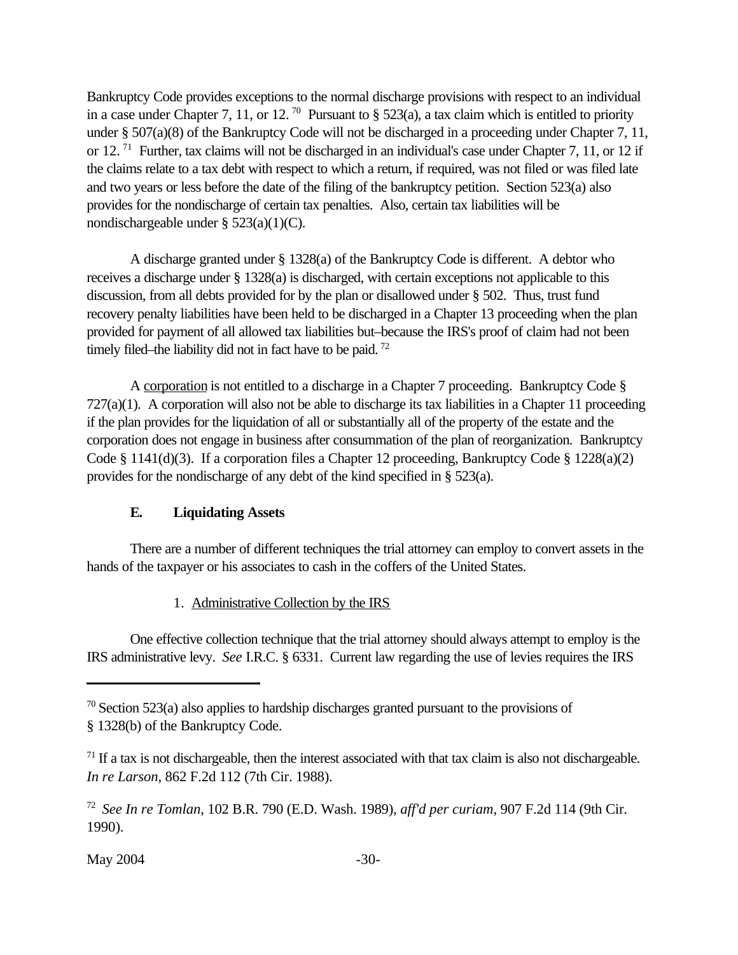<span id="page-36-0"></span>Bankruptcy Code provides exceptions to the normal discharge provisions with respect to an individual in a case under Chapter 7, 11, or 12.<sup>70</sup> Pursuant to § 523(a), a tax claim which is entitled to priority under § 507(a)(8) of the Bankruptcy Code will not be discharged in a proceeding under Chapter 7, 11, or 12.<sup>71</sup> Further, tax claims will not be discharged in an individual's case under Chapter 7, 11, or 12 if the claims relate to a tax debt with respect to which a return, if required, was not filed or was filed late and two years or less before the date of the filing of the bankruptcy petition. Section 523(a) also provides for the nondischarge of certain tax penalties. Also, certain tax liabilities will be nondischargeable under § 523(a)(1)(C).

A discharge granted under § 1328(a) of the Bankruptcy Code is different. A debtor who receives a discharge under § 1328(a) is discharged, with certain exceptions not applicable to this discussion, from all debts provided for by the plan or disallowed under § 502. Thus, trust fund recovery penalty liabilities have been held to be discharged in a Chapter 13 proceeding when the plan provided for payment of all allowed tax liabilities but–because the IRS's proof of claim had not been timely filed–the liability did not in fact have to be paid.<sup>72</sup>

A corporation is not entitled to a discharge in a Chapter 7 proceeding. Bankruptcy Code § 727(a)(1). A corporation will also not be able to discharge its tax liabilities in a Chapter 11 proceeding if the plan provides for the liquidation of all or substantially all of the property of the estate and the corporation does not engage in business after consummation of the plan of reorganization. Bankruptcy Code § 1141(d)(3). If a corporation files a Chapter 12 proceeding, Bankruptcy Code § 1228(a)(2) provides for the nondischarge of any debt of the kind specified in § 523(a).

# **E. Liquidating Assets**

There are a number of different techniques the trial attorney can employ to convert assets in the hands of the taxpayer or his associates to cash in the coffers of the United States.

# 1. Administrative Collection by the IRS

One effective collection technique that the trial attorney should always attempt to employ is the IRS administrative levy. *See* I.R.C. § 6331. Current law regarding the use of levies requires the IRS

 $70$  Section 523(a) also applies to hardship discharges granted pursuant to the provisions of § 1328(b) of the Bankruptcy Code.

 $71$  If a tax is not dischargeable, then the interest associated with that tax claim is also not dischargeable. *In re Larson*, 862 F.2d 112 (7th Cir. 1988).

<sup>72</sup>*See In re Tomlan*, 102 B.R. 790 (E.D. Wash. 1989), *aff'd per curiam*, 907 F.2d 114 (9th Cir. 1990).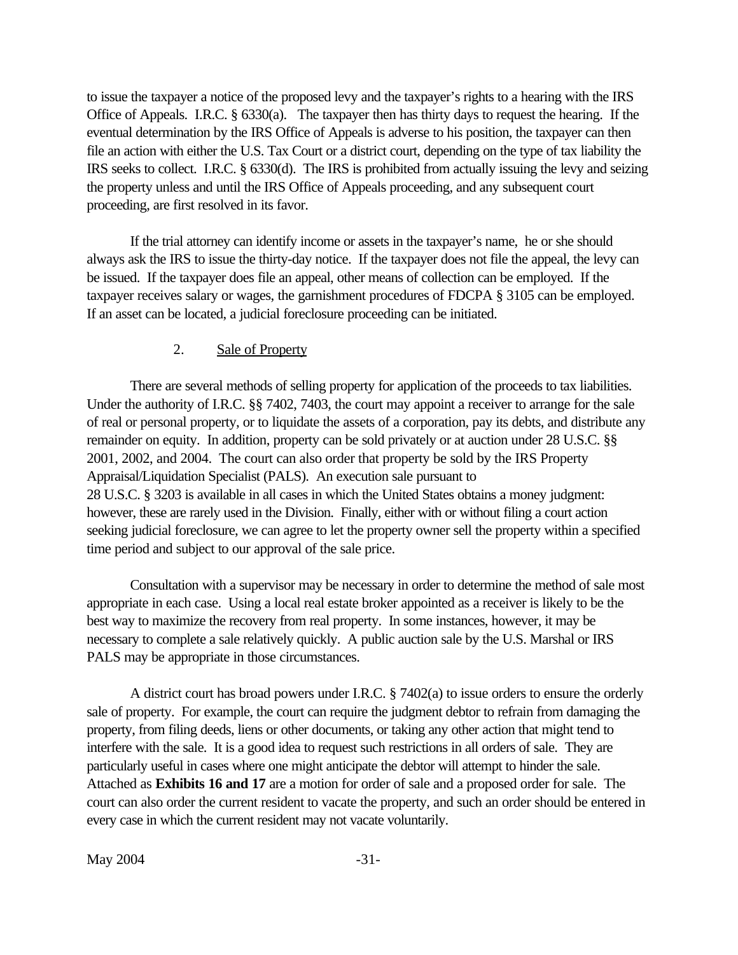<span id="page-37-0"></span>to issue the taxpayer a notice of the proposed levy and the taxpayer's rights to a hearing with the IRS Office of Appeals. I.R.C. § 6330(a). The taxpayer then has thirty days to request the hearing. If the eventual determination by the IRS Office of Appeals is adverse to his position, the taxpayer can then file an action with either the U.S. Tax Court or a district court, depending on the type of tax liability the IRS seeks to collect. I.R.C. § 6330(d). The IRS is prohibited from actually issuing the levy and seizing the property unless and until the IRS Office of Appeals proceeding, and any subsequent court proceeding, are first resolved in its favor.

If the trial attorney can identify income or assets in the taxpayer's name, he or she should always ask the IRS to issue the thirty-day notice. If the taxpayer does not file the appeal, the levy can be issued. If the taxpayer does file an appeal, other means of collection can be employed. If the taxpayer receives salary or wages, the garnishment procedures of FDCPA § 3105 can be employed. If an asset can be located, a judicial foreclosure proceeding can be initiated.

#### 2. Sale of Property

There are several methods of selling property for application of the proceeds to tax liabilities. Under the authority of I.R.C. §§ 7402, 7403, the court may appoint a receiver to arrange for the sale of real or personal property, or to liquidate the assets of a corporation, pay its debts, and distribute any remainder on equity. In addition, property can be sold privately or at auction under 28 U.S.C. §§ 2001, 2002, and 2004. The court can also order that property be sold by the IRS Property Appraisal/Liquidation Specialist (PALS). An execution sale pursuant to 28 U.S.C. § 3203 is available in all cases in which the United States obtains a money judgment: however, these are rarely used in the Division. Finally, either with or without filing a court action seeking judicial foreclosure, we can agree to let the property owner sell the property within a specified time period and subject to our approval of the sale price.

Consultation with a supervisor may be necessary in order to determine the method of sale most appropriate in each case. Using a local real estate broker appointed as a receiver is likely to be the best way to maximize the recovery from real property. In some instances, however, it may be necessary to complete a sale relatively quickly. A public auction sale by the U.S. Marshal or IRS PALS may be appropriate in those circumstances.

A district court has broad powers under I.R.C. § 7402(a) to issue orders to ensure the orderly sale of property. For example, the court can require the judgment debtor to refrain from damaging the property, from filing deeds, liens or other documents, or taking any other action that might tend to interfere with the sale. It is a good idea to request such restrictions in all orders of sale. They are particularly useful in cases where one might anticipate the debtor will attempt to hinder the sale. Attached as **[Exhibits 16 a](www.usdoj.gov/tax/readingroom/JCM2004/exh16.pdf)n[d 17](www.usdoj.gov/tax/readingroom/JCM2004/exh17.pdf)** are a motion for order of sale and a proposed order for sale. The court can also order the current resident to vacate the property, and such an order should be entered in every case in which the current resident may not vacate voluntarily.

May 2004 -31-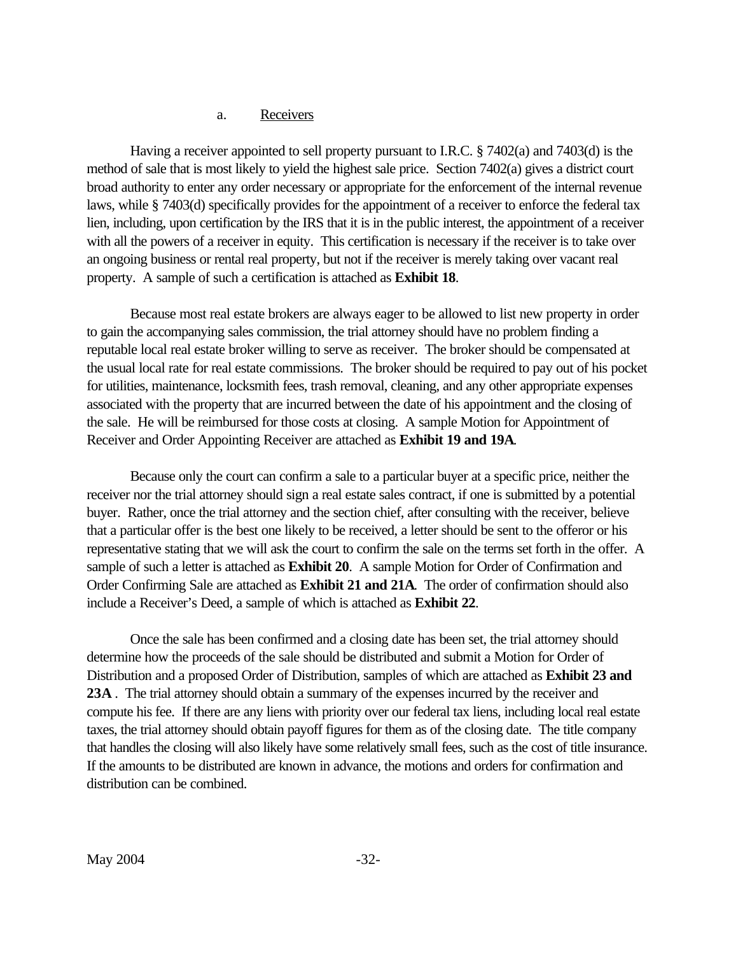#### a. Receivers

Having a receiver appointed to sell property pursuant to I.R.C. § 7402(a) and 7403(d) is the method of sale that is most likely to yield the highest sale price. Section 7402(a) gives a district court broad authority to enter any order necessary or appropriate for the enforcement of the internal revenue laws, while § 7403(d) specifically provides for the appointment of a receiver to enforce the federal tax lien, including, upon certification by the IRS that it is in the public interest, the appointment of a receiver with all the powers of a receiver in equity. This certification is necessary if the receiver is to take over an ongoing business or rental real property, but not if the receiver is merely taking over vacant real property. A sample of such a certification is attached as **[Exhibit 18](www.usdoj.gov/tax/readingroom/JCM2004/exh18.pdf)**.

Because most real estate brokers are always eager to be allowed to list new property in order to gain the accompanying sales commission, the trial attorney should have no problem finding a reputable local real estate broker willing to serve as receiver. The broker should be compensated at the usual local rate for real estate commissions. The broker should be required to pay out of his pocket for utilities, maintenance, locksmith fees, trash removal, cleaning, and any other appropriate expenses associated with the property that are incurred between the date of his appointment and the closing of the sale. He will be reimbursed for those costs at closing. A sample Motion for Appointment of Receiver and Order Appointing Receiver are attached as **[Exhibit 19](www.usdoj.gov/tax/readingroom/JCM2004/exh19.pdf) and [19A](www.usdoj.gov/tax/readingroom/JCM2004/exh19a.pdf)**.

Because only the court can confirm a sale to a particular buyer at a specific price, neither the receiver nor the trial attorney should sign a real estate sales contract, if one is submitted by a potential buyer. Rather, once the trial attorney and the section chief, after consulting with the receiver, believe that a particular offer is the best one likely to be received, a letter should be sent to the offeror or his representative stating that we will ask the court to confirm the sale on the terms set forth in the offer. A sample of such a letter is attached as **[Exhibit 20](www.usdoj.gov/tax/readingroom/JCM2004/exh20.pdf)**. A sample Motion for Order of Confirmation and Order Confirming Sale are attached as **[Exhibit 21](www.usdoj.gov/tax/readingroom/JCM2004/exh21.pdf) and [21A](www.usdoj.gov/tax/readingroom/JCM2004/exh21a.pdf)**. The order of confirmation should also include a Receiver's Deed, a sample of which is attached as **[Exhibit 22](www.usdoj.gov/tax/readingroom/JCM2004/exh22.pdf)**.

Once the sale has been confirmed and a closing date has been set, the trial attorney should determine how the proceeds of the sale should be distributed and submit a Motion for Order of Distribution and a proposed Order of Distribution, samples of which are attached as **[Exhibit 23 a](www.usdoj.gov/tax/readingroom/JCM2004/exh23.pdf)nd [23A](www.usdoj.gov/tax/readingroom/JCM2004/exh23a.pdf)** . The trial attorney should obtain a summary of the expenses incurred by the receiver and compute his fee. If there are any liens with priority over our federal tax liens, including local real estate taxes, the trial attorney should obtain payoff figures for them as of the closing date. The title company that handles the closing will also likely have some relatively small fees, such as the cost of title insurance. If the amounts to be distributed are known in advance, the motions and orders for confirmation and distribution can be combined.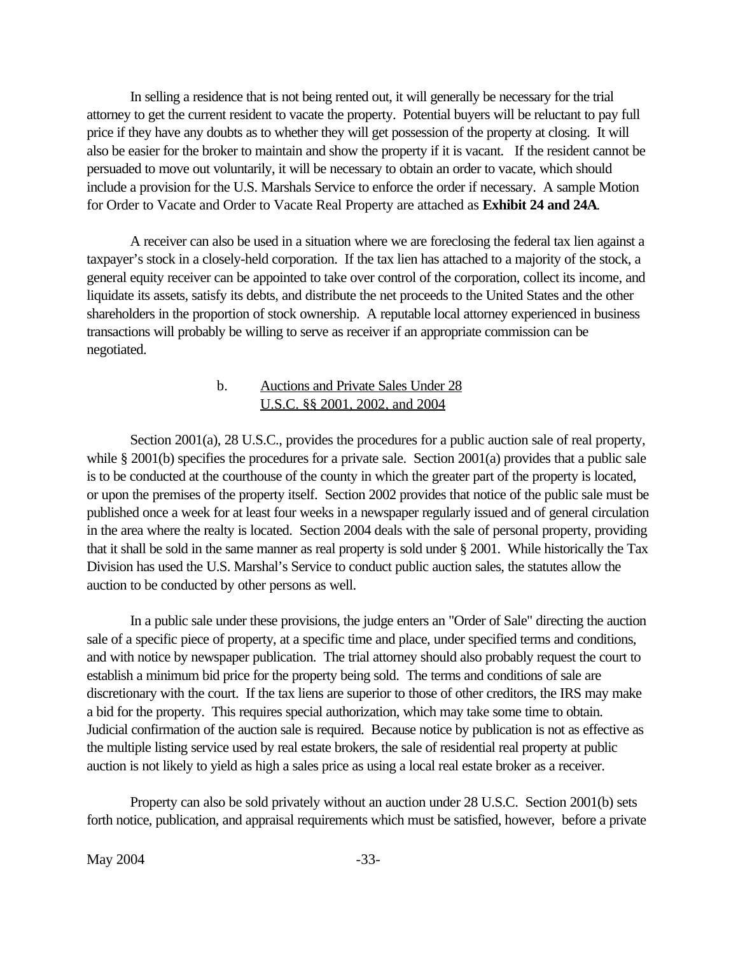<span id="page-39-0"></span>In selling a residence that is not being rented out, it will generally be necessary for the trial attorney to get the current resident to vacate the property. Potential buyers will be reluctant to pay full price if they have any doubts as to whether they will get possession of the property at closing. It will also be easier for the broker to maintain and show the property if it is vacant. If the resident cannot be persuaded to move out voluntarily, it will be necessary to obtain an order to vacate, which should include a provision for the U.S. Marshals Service to enforce the order if necessary. A sample Motion for Order to Vacate and Order to Vacate Real Property are attached as **[Exhibit 24](www.usdoj.gov/tax/readingroom/JCM2004/exh24.pdf) and [24A](www.usdoj.gov/tax/readingroom/JCM2004/exh24a.pdf)**.

A receiver can also be used in a situation where we are foreclosing the federal tax lien against a taxpayer's stock in a closely-held corporation. If the tax lien has attached to a majority of the stock, a general equity receiver can be appointed to take over control of the corporation, collect its income, and liquidate its assets, satisfy its debts, and distribute the net proceeds to the United States and the other shareholders in the proportion of stock ownership. A reputable local attorney experienced in business transactions will probably be willing to serve as receiver if an appropriate commission can be negotiated.

#### b. Auctions and Private Sales Under 28 U.S.C. §§ 2001, 2002, and 2004

Section 2001(a), 28 U.S.C., provides the procedures for a public auction sale of real property, while § 2001(b) specifies the procedures for a private sale. Section 2001(a) provides that a public sale is to be conducted at the courthouse of the county in which the greater part of the property is located, or upon the premises of the property itself. Section 2002 provides that notice of the public sale must be published once a week for at least four weeks in a newspaper regularly issued and of general circulation in the area where the realty is located. Section 2004 deals with the sale of personal property, providing that it shall be sold in the same manner as real property is sold under § 2001. While historically the Tax Division has used the U.S. Marshal's Service to conduct public auction sales, the statutes allow the auction to be conducted by other persons as well.

In a public sale under these provisions, the judge enters an "Order of Sale" directing the auction sale of a specific piece of property, at a specific time and place, under specified terms and conditions, and with notice by newspaper publication. The trial attorney should also probably request the court to establish a minimum bid price for the property being sold. The terms and conditions of sale are discretionary with the court. If the tax liens are superior to those of other creditors, the IRS may make a bid for the property. This requires special authorization, which may take some time to obtain. Judicial confirmation of the auction sale is required. Because notice by publication is not as effective as the multiple listing service used by real estate brokers, the sale of residential real property at public auction is not likely to yield as high a sales price as using a local real estate broker as a receiver.

Property can also be sold privately without an auction under 28 U.S.C. Section 2001(b) sets forth notice, publication, and appraisal requirements which must be satisfied, however, before a private

May 2004 -33-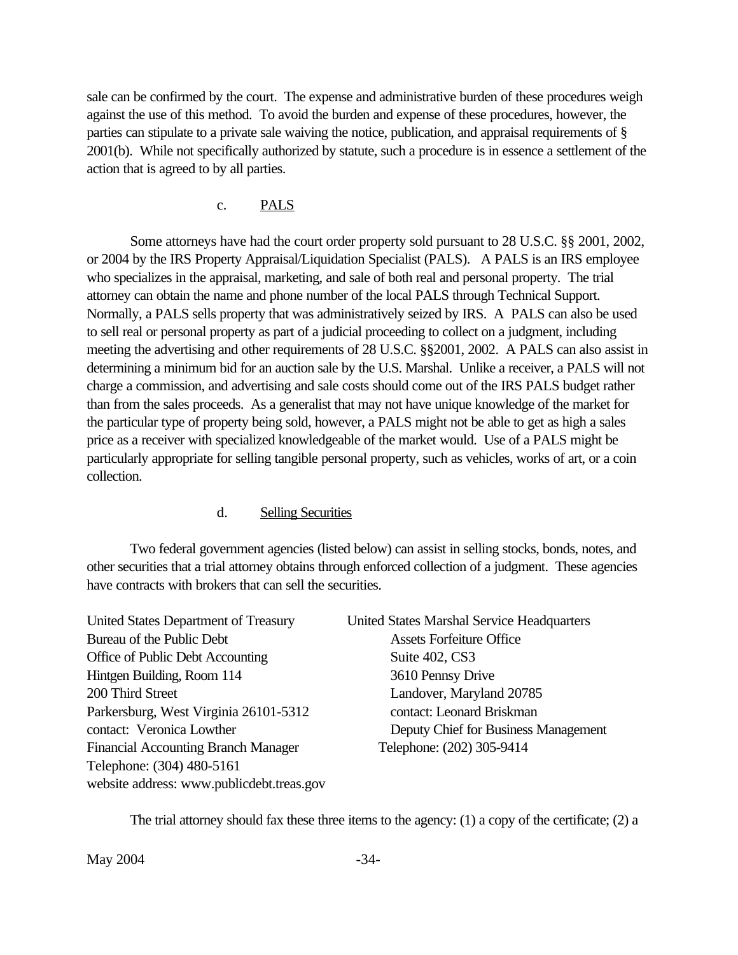<span id="page-40-0"></span>sale can be confirmed by the court. The expense and administrative burden of these procedures weigh against the use of this method. To avoid the burden and expense of these procedures, however, the parties can stipulate to a private sale waiving the notice, publication, and appraisal requirements of § 2001(b). While not specifically authorized by statute, such a procedure is in essence a settlement of the action that is agreed to by all parties.

#### c. PALS

Some attorneys have had the court order property sold pursuant to 28 U.S.C. §§ 2001, 2002, or 2004 by the IRS Property Appraisal/Liquidation Specialist (PALS). A PALS is an IRS employee who specializes in the appraisal, marketing, and sale of both real and personal property. The trial attorney can obtain the name and phone number of the local PALS through Technical Support. Normally, a PALS sells property that was administratively seized by IRS. A PALS can also be used to sell real or personal property as part of a judicial proceeding to collect on a judgment, including meeting the advertising and other requirements of 28 U.S.C. §§2001, 2002. A PALS can also assist in determining a minimum bid for an auction sale by the U.S. Marshal. Unlike a receiver, a PALS will not charge a commission, and advertising and sale costs should come out of the IRS PALS budget rather than from the sales proceeds. As a generalist that may not have unique knowledge of the market for the particular type of property being sold, however, a PALS might not be able to get as high a sales price as a receiver with specialized knowledgeable of the market would. Use of a PALS might be particularly appropriate for selling tangible personal property, such as vehicles, works of art, or a coin collection.

#### d. Selling Securities

Two federal government agencies (listed below) can assist in selling stocks, bonds, notes, and other securities that a trial attorney obtains through enforced collection of a judgment. These agencies have contracts with brokers that can sell the securities.

| United States Department of Treasury       | <b>United States Marshal Service Headquarters</b> |
|--------------------------------------------|---------------------------------------------------|
| Bureau of the Public Debt                  | <b>Assets Forfeiture Office</b>                   |
| Office of Public Debt Accounting           | Suite 402, CS3                                    |
| Hintgen Building, Room 114                 | 3610 Pennsy Drive                                 |
| 200 Third Street                           | Landover, Maryland 20785                          |
| Parkersburg, West Virginia 26101-5312      | contact: Leonard Briskman                         |
| contact: Veronica Lowther                  | Deputy Chief for Business Management              |
| <b>Financial Accounting Branch Manager</b> | Telephone: (202) 305-9414                         |
| Telephone: (304) 480-5161                  |                                                   |
| website address: www.publicdebt.treas.gov  |                                                   |

The trial attorney should fax these three items to the agency:  $(1)$  a copy of the certificate;  $(2)$  a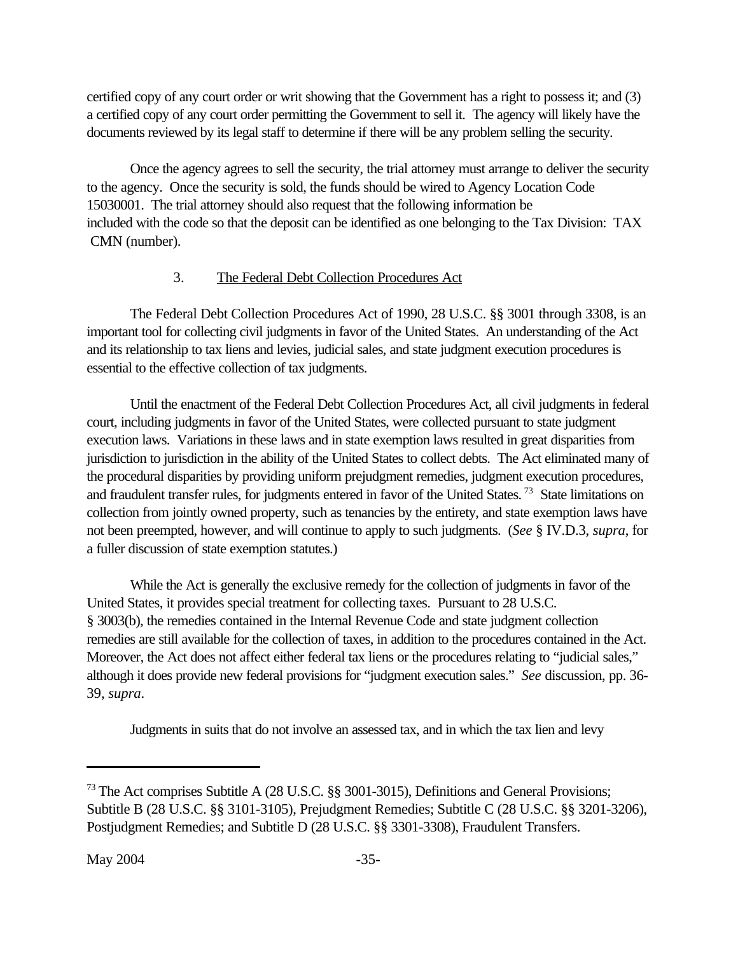<span id="page-41-0"></span>certified copy of any court order or writ showing that the Government has a right to possess it; and (3) a certified copy of any court order permitting the Government to sell it. The agency will likely have the documents reviewed by its legal staff to determine if there will be any problem selling the security.

Once the agency agrees to sell the security, the trial attorney must arrange to deliver the security to the agency. Once the security is sold, the funds should be wired to Agency Location Code 15030001. The trial attorney should also request that the following information be included with the code so that the deposit can be identified as one belonging to the Tax Division: TAX CMN (number).

# 3. The Federal Debt Collection Procedures Act

The Federal Debt Collection Procedures Act of 1990, 28 U.S.C. §§ 3001 through 3308, is an important tool for collecting civil judgments in favor of the United States. An understanding of the Act and its relationship to tax liens and levies, judicial sales, and state judgment execution procedures is essential to the effective collection of tax judgments.

Until the enactment of the Federal Debt Collection Procedures Act, all civil judgments in federal court, including judgments in favor of the United States, were collected pursuant to state judgment execution laws. Variations in these laws and in state exemption laws resulted in great disparities from jurisdiction to jurisdiction in the ability of the United States to collect debts. The Act eliminated many of the procedural disparities by providing uniform prejudgment remedies, judgment execution procedures, and fraudulent transfer rules, for judgments entered in favor of the United States.<sup>73</sup> State limitations on collection from jointly owned property, such as tenancies by the entirety, and state exemption laws have not been preempted, however, and will continue to apply to such judgments. (*See* § IV.D.3, *supra*, for a fuller discussion of state exemption statutes.)

While the Act is generally the exclusive remedy for the collection of judgments in favor of the United States, it provides special treatment for collecting taxes. Pursuant to 28 U.S.C. § 3003(b), the remedies contained in the Internal Revenue Code and state judgment collection remedies are still available for the collection of taxes, in addition to the procedures contained in the Act. Moreover, the Act does not affect either federal tax liens or the procedures relating to "judicial sales," although it does provide new federal provisions for "judgment execution sales." *See* discussion, pp. 36- 39, *supra*.

Judgments in suits that do not involve an assessed tax, and in which the tax lien and levy

<sup>&</sup>lt;sup>73</sup> The Act comprises Subtitle A (28 U.S.C. §§ 3001-3015), Definitions and General Provisions; Subtitle B (28 U.S.C. §§ 3101-3105), Prejudgment Remedies; Subtitle C (28 U.S.C. §§ 3201-3206), Postjudgment Remedies; and Subtitle D (28 U.S.C. §§ 3301-3308), Fraudulent Transfers.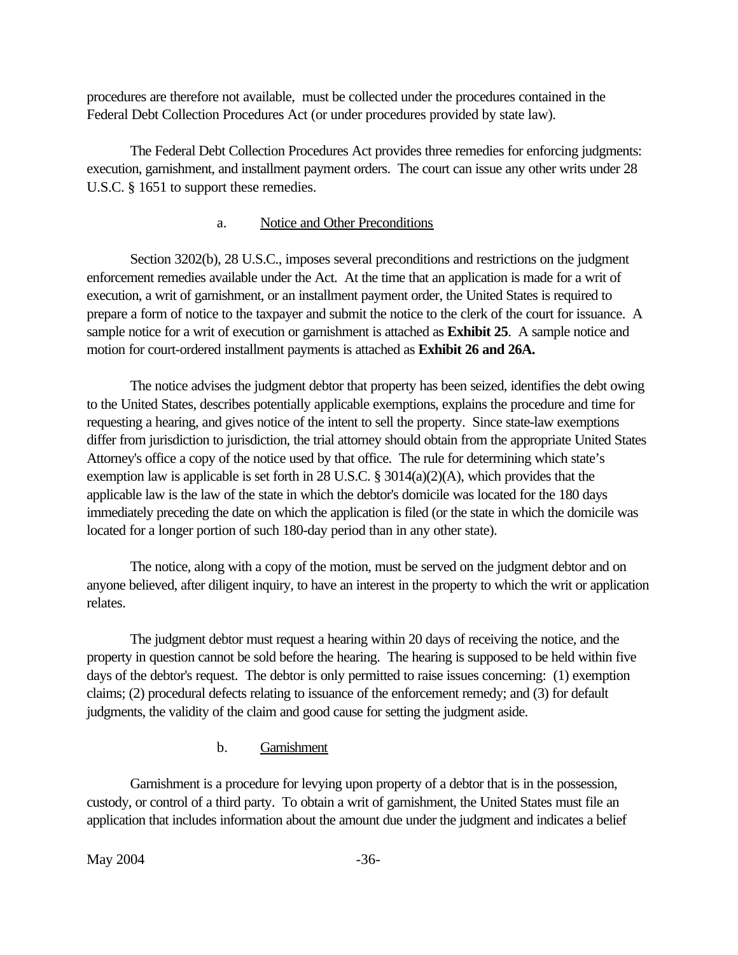<span id="page-42-0"></span>procedures are therefore not available, must be collected under the procedures contained in the Federal Debt Collection Procedures Act (or under procedures provided by state law).

The Federal Debt Collection Procedures Act provides three remedies for enforcing judgments: execution, garnishment, and installment payment orders. The court can issue any other writs under 28 U.S.C. § 1651 to support these remedies.

# a. Notice and Other Preconditions

Section 3202(b), 28 U.S.C., imposes several preconditions and restrictions on the judgment enforcement remedies available under the Act. At the time that an application is made for a writ of execution, a writ of garnishment, or an installment payment order, the United States is required to prepare a form of notice to the taxpayer and submit the notice to the clerk of the court for issuance. A sample notice for a writ of execution or garnishment is attached as **[Exhibit 25](www.usdoj.gov/tax/readingroom/JCM2004/exh25.pdf)**. A sample notice and motion for court-ordered installment payments is attached as **[Exhibit 26](www.usdoj.gov/tax/readingroom/JCM2004/exh26.pdf) and [26A.](www.usdoj.gov/tax/readingroom/JCM2004/exh26a.pdf)**

The notice advises the judgment debtor that property has been seized, identifies the debt owing to the United States, describes potentially applicable exemptions, explains the procedure and time for requesting a hearing, and gives notice of the intent to sell the property. Since state-law exemptions differ from jurisdiction to jurisdiction, the trial attorney should obtain from the appropriate United States Attorney's office a copy of the notice used by that office. The rule for determining which state's exemption law is applicable is set forth in 28 U.S.C. § 3014(a)(2)(A), which provides that the applicable law is the law of the state in which the debtor's domicile was located for the 180 days immediately preceding the date on which the application is filed (or the state in which the domicile was located for a longer portion of such 180-day period than in any other state).

The notice, along with a copy of the motion, must be served on the judgment debtor and on anyone believed, after diligent inquiry, to have an interest in the property to which the writ or application relates.

The judgment debtor must request a hearing within 20 days of receiving the notice, and the property in question cannot be sold before the hearing. The hearing is supposed to be held within five days of the debtor's request. The debtor is only permitted to raise issues concerning: (1) exemption claims; (2) procedural defects relating to issuance of the enforcement remedy; and (3) for default judgments, the validity of the claim and good cause for setting the judgment aside.

# b. Garnishment

Garnishment is a procedure for levying upon property of a debtor that is in the possession, custody, or control of a third party. To obtain a writ of garnishment, the United States must file an application that includes information about the amount due under the judgment and indicates a belief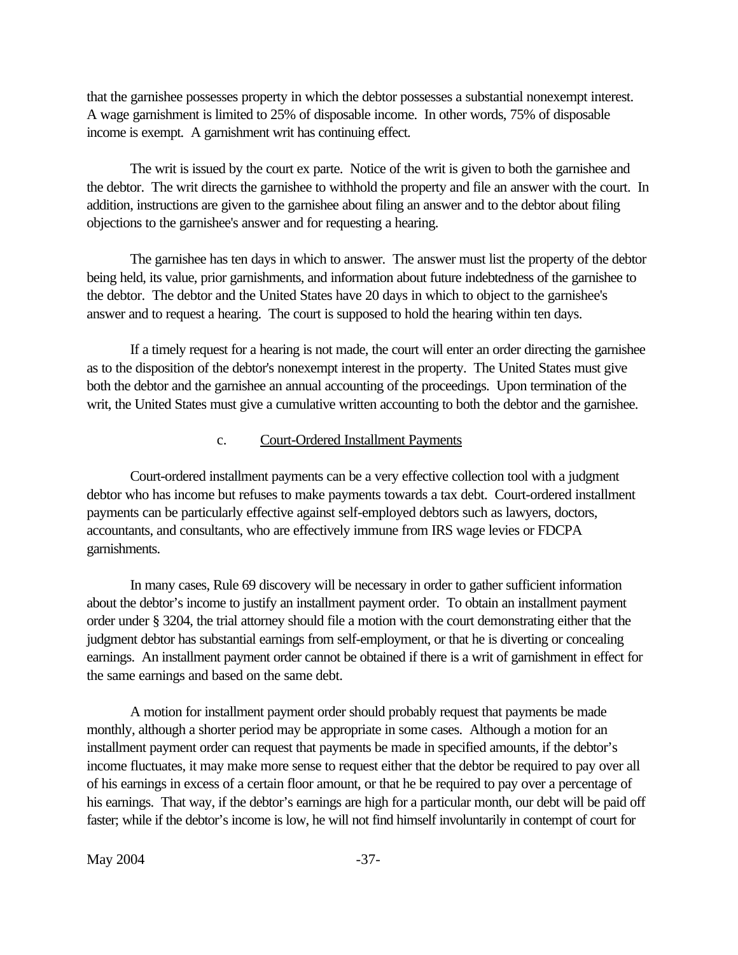<span id="page-43-0"></span>that the garnishee possesses property in which the debtor possesses a substantial nonexempt interest. A wage garnishment is limited to 25% of disposable income. In other words, 75% of disposable income is exempt. A garnishment writ has continuing effect.

The writ is issued by the court ex parte. Notice of the writ is given to both the garnishee and the debtor. The writ directs the garnishee to withhold the property and file an answer with the court. In addition, instructions are given to the garnishee about filing an answer and to the debtor about filing objections to the garnishee's answer and for requesting a hearing.

The garnishee has ten days in which to answer. The answer must list the property of the debtor being held, its value, prior garnishments, and information about future indebtedness of the garnishee to the debtor. The debtor and the United States have 20 days in which to object to the garnishee's answer and to request a hearing. The court is supposed to hold the hearing within ten days.

If a timely request for a hearing is not made, the court will enter an order directing the garnishee as to the disposition of the debtor's nonexempt interest in the property. The United States must give both the debtor and the garnishee an annual accounting of the proceedings. Upon termination of the writ, the United States must give a cumulative written accounting to both the debtor and the garnishee.

#### c. Court-Ordered Installment Payments

Court-ordered installment payments can be a very effective collection tool with a judgment debtor who has income but refuses to make payments towards a tax debt. Court-ordered installment payments can be particularly effective against self-employed debtors such as lawyers, doctors, accountants, and consultants, who are effectively immune from IRS wage levies or FDCPA garnishments.

In many cases, Rule 69 discovery will be necessary in order to gather sufficient information about the debtor's income to justify an installment payment order. To obtain an installment payment order under § 3204, the trial attorney should file a motion with the court demonstrating either that the judgment debtor has substantial earnings from self-employment, or that he is diverting or concealing earnings. An installment payment order cannot be obtained if there is a writ of garnishment in effect for the same earnings and based on the same debt.

A motion for installment payment order should probably request that payments be made monthly, although a shorter period may be appropriate in some cases. Although a motion for an installment payment order can request that payments be made in specified amounts, if the debtor's income fluctuates, it may make more sense to request either that the debtor be required to pay over all of his earnings in excess of a certain floor amount, or that he be required to pay over a percentage of his earnings. That way, if the debtor's earnings are high for a particular month, our debt will be paid off faster; while if the debtor's income is low, he will not find himself involuntarily in contempt of court for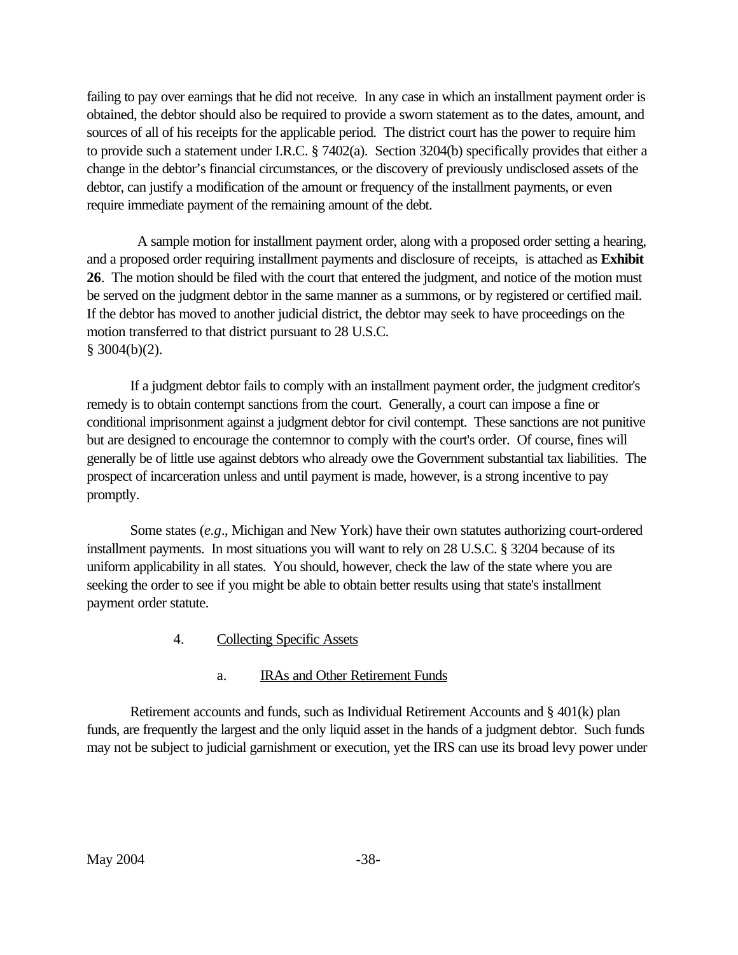<span id="page-44-0"></span>failing to pay over earnings that he did not receive. In any case in which an installment payment order is obtained, the debtor should also be required to provide a sworn statement as to the dates, amount, and sources of all of his receipts for the applicable period. The district court has the power to require him to provide such a statement under I.R.C. § 7402(a). Section 3204(b) specifically provides that either a change in the debtor's financial circumstances, or the discovery of previously undisclosed assets of the debtor, can justify a modification of the amount or frequency of the installment payments, or even require immediate payment of the remaining amount of the debt.

 A sample motion for installment payment order, along with a proposed order setting a hearing, and a proposed order requiring installment payments and disclosure of receipts, is attached as **Exhibit 26**. The motion should be filed with the court that entered the judgment, and notice of the motion must be served on the judgment debtor in the same manner as a summons, or by registered or certified mail. If the debtor has moved to another judicial district, the debtor may seek to have proceedings on the motion transferred to that district pursuant to 28 U.S.C.  $§$  3004(b)(2).

If a judgment debtor fails to comply with an installment payment order, the judgment creditor's remedy is to obtain contempt sanctions from the court. Generally, a court can impose a fine or conditional imprisonment against a judgment debtor for civil contempt. These sanctions are not punitive but are designed to encourage the contemnor to comply with the court's order. Of course, fines will generally be of little use against debtors who already owe the Government substantial tax liabilities. The prospect of incarceration unless and until payment is made, however, is a strong incentive to pay promptly.

Some states (*e.g*., Michigan and New York) have their own statutes authorizing court-ordered installment payments. In most situations you will want to rely on 28 U.S.C. § 3204 because of its uniform applicability in all states. You should, however, check the law of the state where you are seeking the order to see if you might be able to obtain better results using that state's installment payment order statute.

4. Collecting Specific Assets

#### a. IRAs and Other Retirement Funds

Retirement accounts and funds, such as Individual Retirement Accounts and § 401(k) plan funds, are frequently the largest and the only liquid asset in the hands of a judgment debtor. Such funds may not be subject to judicial garnishment or execution, yet the IRS can use its broad levy power under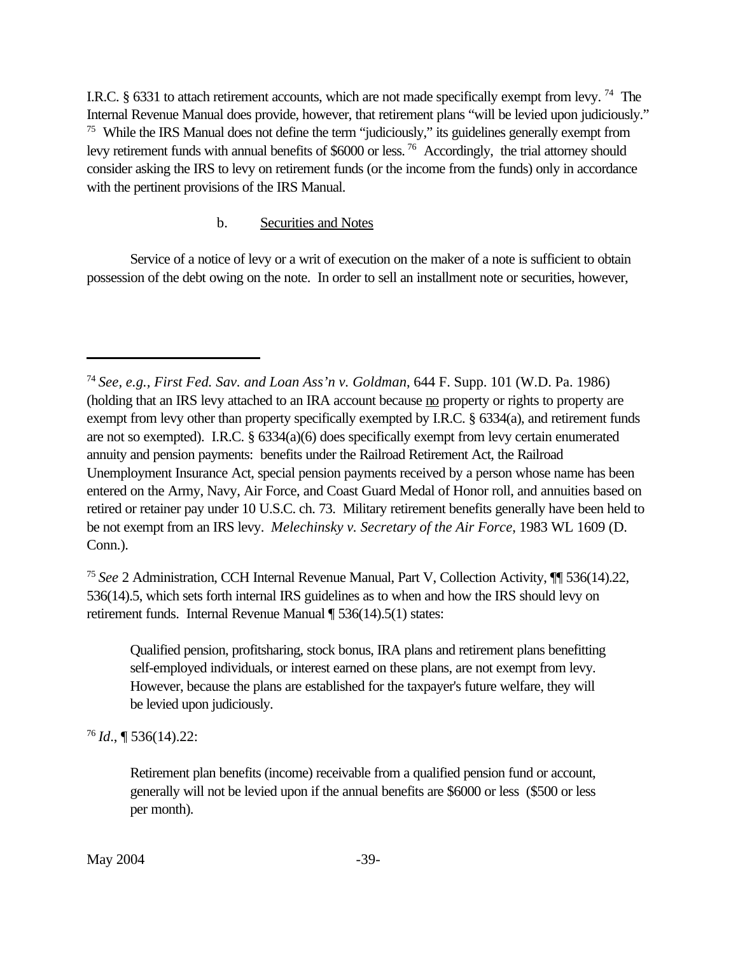<span id="page-45-0"></span>I.R.C. § 6331 to attach retirement accounts, which are not made specifically exempt from levy.<sup>74</sup> The Internal Revenue Manual does provide, however, that retirement plans "will be levied upon judiciously." <sup>75</sup> While the IRS Manual does not define the term "judiciously," its guidelines generally exempt from levy retirement funds with annual benefits of \$6000 or less.<sup>76</sup> Accordingly, the trial attorney should consider asking the IRS to levy on retirement funds (or the income from the funds) only in accordance with the pertinent provisions of the IRS Manual.

### b. Securities and Notes

Service of a notice of levy or a writ of execution on the maker of a note is sufficient to obtain possession of the debt owing on the note. In order to sell an installment note or securities, however,

<sup>75</sup>*See* 2 Administration, CCH Internal Revenue Manual, Part V, Collection Activity, ¶¶ 536(14).22, 536(14).5, which sets forth internal IRS guidelines as to when and how the IRS should levy on retirement funds. Internal Revenue Manual ¶ 536(14).5(1) states:

Qualified pension, profitsharing, stock bonus, IRA plans and retirement plans benefitting self-employed individuals, or interest earned on these plans, are not exempt from levy. However, because the plans are established for the taxpayer's future welfare, they will be levied upon judiciously.

<sup>76</sup>*Id*., ¶ 536(14).22:

Retirement plan benefits (income) receivable from a qualified pension fund or account, generally will not be levied upon if the annual benefits are \$6000 or less (\$500 or less per month).

<sup>74</sup>*See, e.g., First Fed. Sav. and Loan Ass'n v. Goldman*, 644 F. Supp. 101 (W.D. Pa. 1986) (holding that an IRS levy attached to an IRA account because no property or rights to property are exempt from levy other than property specifically exempted by I.R.C. § 6334(a), and retirement funds are not so exempted). I.R.C. § 6334(a)(6) does specifically exempt from levy certain enumerated annuity and pension payments: benefits under the Railroad Retirement Act, the Railroad Unemployment Insurance Act, special pension payments received by a person whose name has been entered on the Army, Navy, Air Force, and Coast Guard Medal of Honor roll, and annuities based on retired or retainer pay under 10 U.S.C. ch. 73. Military retirement benefits generally have been held to be not exempt from an IRS levy. *Melechinsky v. Secretary of the Air Force*, 1983 WL 1609 (D. Conn.).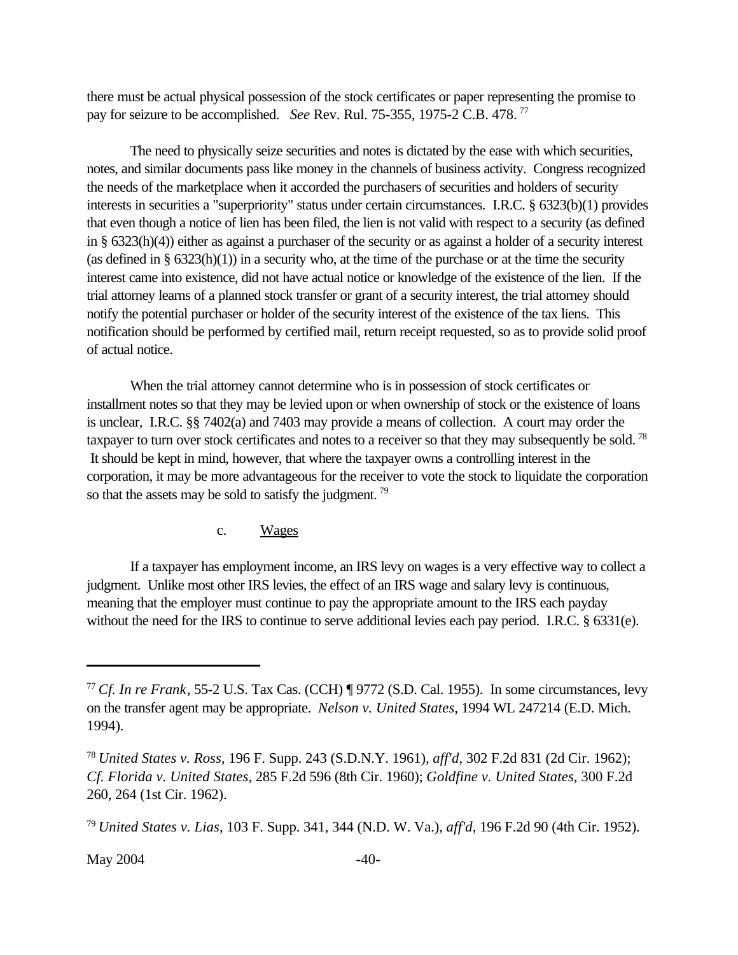<span id="page-46-0"></span>there must be actual physical possession of the stock certificates or paper representing the promise to pay for seizure to be accomplished. *See* Rev. Rul. 75-355, 1975-2 C.B. 478.<sup>77</sup>

The need to physically seize securities and notes is dictated by the ease with which securities, notes, and similar documents pass like money in the channels of business activity. Congress recognized the needs of the marketplace when it accorded the purchasers of securities and holders of security interests in securities a "superpriority" status under certain circumstances. I.R.C. § 6323(b)(1) provides that even though a notice of lien has been filed, the lien is not valid with respect to a security (as defined in § 6323(h)(4)) either as against a purchaser of the security or as against a holder of a security interest (as defined in  $\S$  6323(h)(1)) in a security who, at the time of the purchase or at the time the security interest came into existence, did not have actual notice or knowledge of the existence of the lien. If the trial attorney learns of a planned stock transfer or grant of a security interest, the trial attorney should notify the potential purchaser or holder of the security interest of the existence of the tax liens. This notification should be performed by certified mail, return receipt requested, so as to provide solid proof of actual notice.

When the trial attorney cannot determine who is in possession of stock certificates or installment notes so that they may be levied upon or when ownership of stock or the existence of loans is unclear, I.R.C. §§ 7402(a) and 7403 may provide a means of collection. A court may order the taxpayer to turn over stock certificates and notes to a receiver so that they may subsequently be sold.<sup>78</sup> It should be kept in mind, however, that where the taxpayer owns a controlling interest in the corporation, it may be more advantageous for the receiver to vote the stock to liquidate the corporation so that the assets may be sold to satisfy the judgment.<sup>79</sup>

#### c. Wages

If a taxpayer has employment income, an IRS levy on wages is a very effective way to collect a judgment. Unlike most other IRS levies, the effect of an IRS wage and salary levy is continuous, meaning that the employer must continue to pay the appropriate amount to the IRS each payday without the need for the IRS to continue to serve additional levies each pay period. I.R.C. § 6331(e).

<sup>77</sup>*Cf. In re Frank*, 55-2 U.S. Tax Cas. (CCH) ¶ 9772 (S.D. Cal. 1955). In some circumstances, levy on the transfer agent may be appropriate. *Nelson v. United States*, 1994 WL 247214 (E.D. Mich. 1994).

<sup>78</sup>*United States v. Ross*, 196 F. Supp. 243 (S.D.N.Y. 1961), *aff'd*, 302 F.2d 831 (2d Cir. 1962); *Cf. Florida v. United States*, 285 F.2d 596 (8th Cir. 1960); *Goldfine v. United States*, 300 F.2d 260, 264 (1st Cir. 1962).

<sup>79</sup>*United States v. Lias*, 103 F. Supp. 341, 344 (N.D. W. Va.), *aff'd*, 196 F.2d 90 (4th Cir. 1952).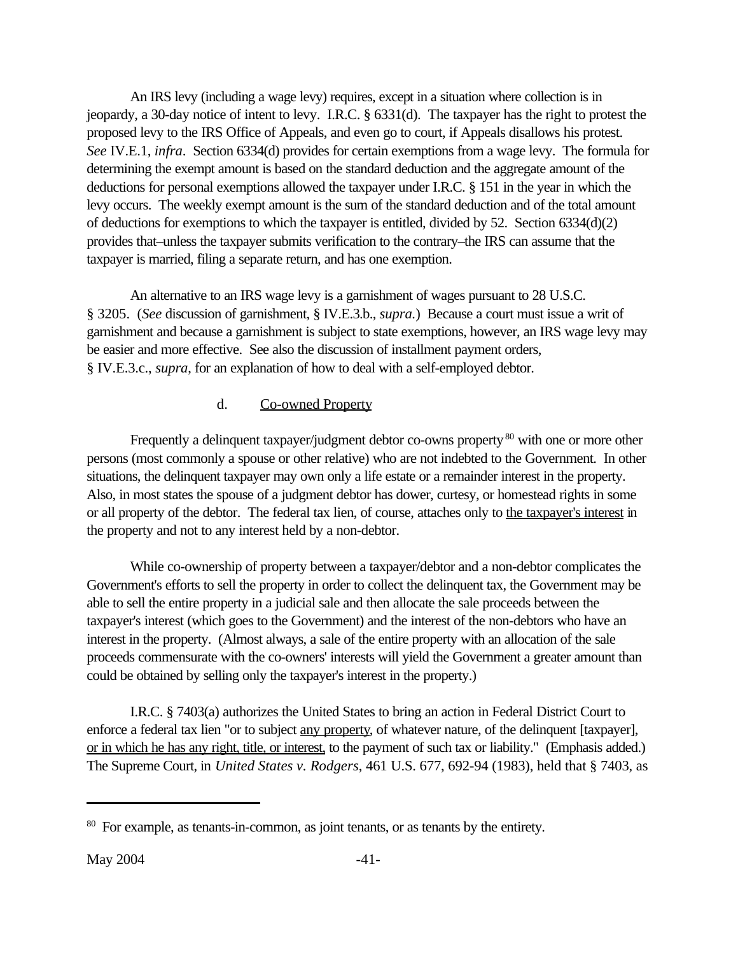<span id="page-47-0"></span>An IRS levy (including a wage levy) requires, except in a situation where collection is in jeopardy, a 30-day notice of intent to levy. I.R.C. § 6331(d). The taxpayer has the right to protest the proposed levy to the IRS Office of Appeals, and even go to court, if Appeals disallows his protest. *See* IV.E.1, *infra*. Section 6334(d) provides for certain exemptions from a wage levy. The formula for determining the exempt amount is based on the standard deduction and the aggregate amount of the deductions for personal exemptions allowed the taxpayer under I.R.C. § 151 in the year in which the levy occurs. The weekly exempt amount is the sum of the standard deduction and of the total amount of deductions for exemptions to which the taxpayer is entitled, divided by 52. Section 6334(d)(2) provides that–unless the taxpayer submits verification to the contrary–the IRS can assume that the taxpayer is married, filing a separate return, and has one exemption.

An alternative to an IRS wage levy is a garnishment of wages pursuant to 28 U.S.C. § 3205. (*See* discussion of garnishment, § IV.E.3.b., *supra.*) Because a court must issue a writ of garnishment and because a garnishment is subject to state exemptions, however, an IRS wage levy may be easier and more effective. See also the discussion of installment payment orders, § IV.E.3.c., *supra*, for an explanation of how to deal with a self-employed debtor.

#### d. Co-owned Property

Frequently a delinquent taxpayer/judgment debtor co-owns property<sup>80</sup> with one or more other persons (most commonly a spouse or other relative) who are not indebted to the Government. In other situations, the delinquent taxpayer may own only a life estate or a remainder interest in the property. Also, in most states the spouse of a judgment debtor has dower, curtesy, or homestead rights in some or all property of the debtor. The federal tax lien, of course, attaches only to the taxpayer's interest in the property and not to any interest held by a non-debtor.

While co-ownership of property between a taxpayer/debtor and a non-debtor complicates the Government's efforts to sell the property in order to collect the delinquent tax, the Government may be able to sell the entire property in a judicial sale and then allocate the sale proceeds between the taxpayer's interest (which goes to the Government) and the interest of the non-debtors who have an interest in the property. (Almost always, a sale of the entire property with an allocation of the sale proceeds commensurate with the co-owners' interests will yield the Government a greater amount than could be obtained by selling only the taxpayer's interest in the property.)

I.R.C. § 7403(a) authorizes the United States to bring an action in Federal District Court to enforce a federal tax lien "or to subject any property, of whatever nature, of the delinquent [taxpayer], or in which he has any right, title, or interest, to the payment of such tax or liability." (Emphasis added.) The Supreme Court, in *United States v. Rodgers*, 461 U.S. 677, 692-94 (1983), held that § 7403, as

<sup>&</sup>lt;sup>80</sup> For example, as tenants-in-common, as joint tenants, or as tenants by the entirety.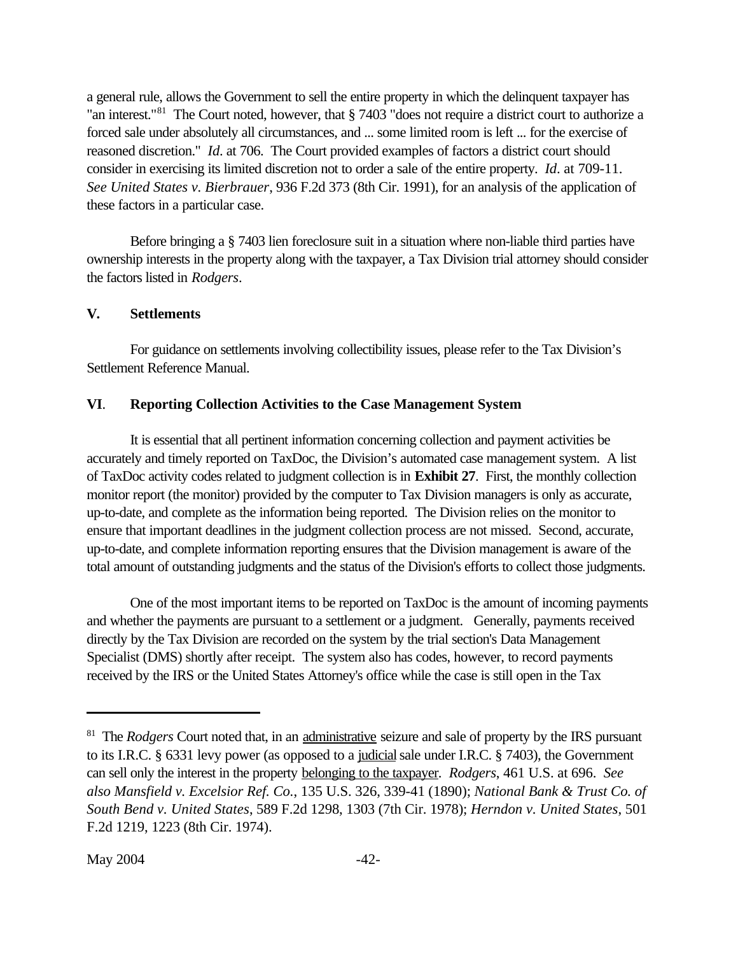<span id="page-48-0"></span>a general rule, allows the Government to sell the entire property in which the delinquent taxpayer has "an interest."<sup>81</sup> The Court noted, however, that § 7403 "does not require a district court to authorize a forced sale under absolutely all circumstances, and ... some limited room is left ... for the exercise of reasoned discretion." *Id*. at 706. The Court provided examples of factors a district court should consider in exercising its limited discretion not to order a sale of the entire property. *Id*. at 709-11. *See United States v. Bierbrauer*, 936 F.2d 373 (8th Cir. 1991), for an analysis of the application of these factors in a particular case.

Before bringing a § 7403 lien foreclosure suit in a situation where non-liable third parties have ownership interests in the property along with the taxpayer, a Tax Division trial attorney should consider the factors listed in *Rodgers*.

#### **V. Settlements**

For guidance on settlements involving collectibility issues, please refer to the Tax Division's Settlement Reference Manual.

#### **VI**. **Reporting Collection Activities to the Case Management System**

It is essential that all pertinent information concerning collection and payment activities be accurately and timely reported on TaxDoc, the Division's automated case management system. A list of TaxDoc activity codes related to judgment collection is in **[Exhibit 27](www.usdoj.gov/tax/readingroom/JCM2004/exh27.pdf)**. First, the monthly collection monitor report (the monitor) provided by the computer to Tax Division managers is only as accurate, up-to-date, and complete as the information being reported. The Division relies on the monitor to ensure that important deadlines in the judgment collection process are not missed. Second, accurate, up-to-date, and complete information reporting ensures that the Division management is aware of the total amount of outstanding judgments and the status of the Division's efforts to collect those judgments.

One of the most important items to be reported on TaxDoc is the amount of incoming payments and whether the payments are pursuant to a settlement or a judgment. Generally, payments received directly by the Tax Division are recorded on the system by the trial section's Data Management Specialist (DMS) shortly after receipt. The system also has codes, however, to record payments received by the IRS or the United States Attorney's office while the case is still open in the Tax

<sup>&</sup>lt;sup>81</sup> The *Rodgers* Court noted that, in an administrative seizure and sale of property by the IRS pursuant to its I.R.C. § 6331 levy power (as opposed to a judicial sale under I.R.C. § 7403), the Government can sell only the interest in the property belonging to the taxpayer. *Rodgers*, 461 U.S. at 696. *See also Mansfield v. Excelsior Ref. Co.*, 135 U.S. 326, 339-41 (1890); *National Bank & Trust Co. of South Bend v. United States*, 589 F.2d 1298, 1303 (7th Cir. 1978); *Herndon v. United States*, 501 F.2d 1219, 1223 (8th Cir. 1974).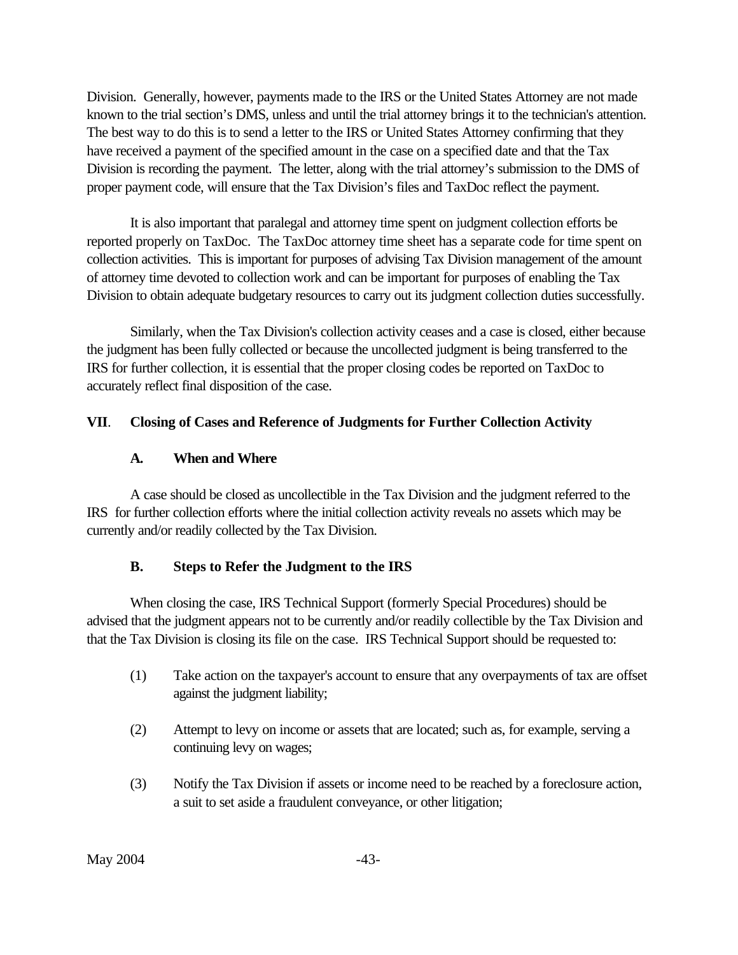<span id="page-49-0"></span>Division. Generally, however, payments made to the IRS or the United States Attorney are not made known to the trial section's DMS, unless and until the trial attorney brings it to the technician's attention. The best way to do this is to send a letter to the IRS or United States Attorney confirming that they have received a payment of the specified amount in the case on a specified date and that the Tax Division is recording the payment. The letter, along with the trial attorney's submission to the DMS of proper payment code, will ensure that the Tax Division's files and TaxDoc reflect the payment.

It is also important that paralegal and attorney time spent on judgment collection efforts be reported properly on TaxDoc. The TaxDoc attorney time sheet has a separate code for time spent on collection activities. This is important for purposes of advising Tax Division management of the amount of attorney time devoted to collection work and can be important for purposes of enabling the Tax Division to obtain adequate budgetary resources to carry out its judgment collection duties successfully.

Similarly, when the Tax Division's collection activity ceases and a case is closed, either because the judgment has been fully collected or because the uncollected judgment is being transferred to the IRS for further collection, it is essential that the proper closing codes be reported on TaxDoc to accurately reflect final disposition of the case.

#### **VII**. **Closing of Cases and Reference of Judgments for Further Collection Activity**

#### **A. When and Where**

A case should be closed as uncollectible in the Tax Division and the judgment referred to the IRS for further collection efforts where the initial collection activity reveals no assets which may be currently and/or readily collected by the Tax Division.

#### **B. Steps to Refer the Judgment to the IRS**

When closing the case, IRS Technical Support (formerly Special Procedures) should be advised that the judgment appears not to be currently and/or readily collectible by the Tax Division and that the Tax Division is closing its file on the case. IRS Technical Support should be requested to:

- (1) Take action on the taxpayer's account to ensure that any overpayments of tax are offset against the judgment liability;
- (2) Attempt to levy on income or assets that are located; such as, for example, serving a continuing levy on wages;
- (3) Notify the Tax Division if assets or income need to be reached by a foreclosure action, a suit to set aside a fraudulent conveyance, or other litigation;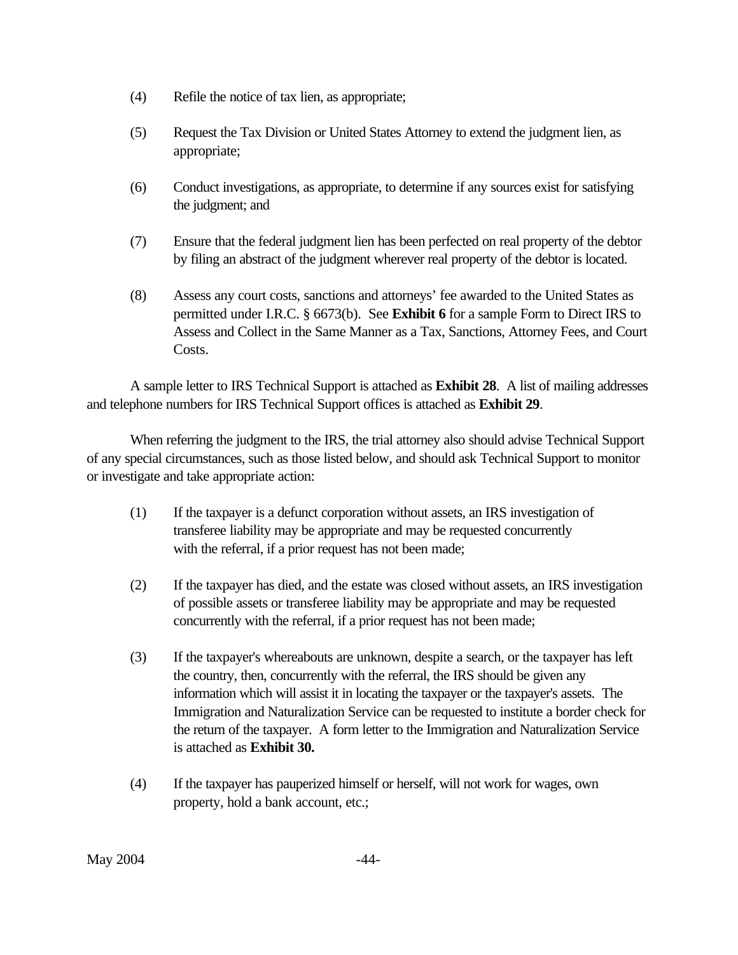- (4) Refile the notice of tax lien, as appropriate;
- (5) Request the Tax Division or United States Attorney to extend the judgment lien, as appropriate;
- (6) Conduct investigations, as appropriate, to determine if any sources exist for satisfying the judgment; and
- (7) Ensure that the federal judgment lien has been perfected on real property of the debtor by filing an abstract of the judgment wherever real property of the debtor is located.
- (8) Assess any court costs, sanctions and attorneys' fee awarded to the United States as permitted under I.R.C. § 6673(b). See **[Exhibit 6](www.usdoj.gov/tax/readingroom/JCM2004/exh6.pdf)** for a sample Form to Direct IRS to Assess and Collect in the Same Manner as a Tax, Sanctions, Attorney Fees, and Court Costs.

A sample letter to IRS Technical Support is attached as **[Exhibit 28](www.usdoj.gov/tax/readingroom/JCM2004/JCMEx28.PDF)**. A list of mailing addresses and telephone numbers for IRS Technical Support offices is attached as **[Exhibit 29](www.usdoj.gov/tax/readingroom/JCM2004/exh29.pdf)**.

When referring the judgment to the IRS, the trial attorney also should advise Technical Support of any special circumstances, such as those listed below, and should ask Technical Support to monitor or investigate and take appropriate action:

- (1) If the taxpayer is a defunct corporation without assets, an IRS investigation of transferee liability may be appropriate and may be requested concurrently with the referral, if a prior request has not been made;
- (2) If the taxpayer has died, and the estate was closed without assets, an IRS investigation of possible assets or transferee liability may be appropriate and may be requested concurrently with the referral, if a prior request has not been made;
- (3) If the taxpayer's whereabouts are unknown, despite a search, or the taxpayer has left the country, then, concurrently with the referral, the IRS should be given any information which will assist it in locating the taxpayer or the taxpayer's assets. The Immigration and Naturalization Service can be requested to institute a border check for the return of the taxpayer. A form letter to the Immigration and Naturalization Service is attached as **[Exhibit 30.](www.usdoj.gov/tax/readingroom/JCM2004/exh30.pdf)**
- (4) If the taxpayer has pauperized himself or herself, will not work for wages, own property, hold a bank account, etc.;